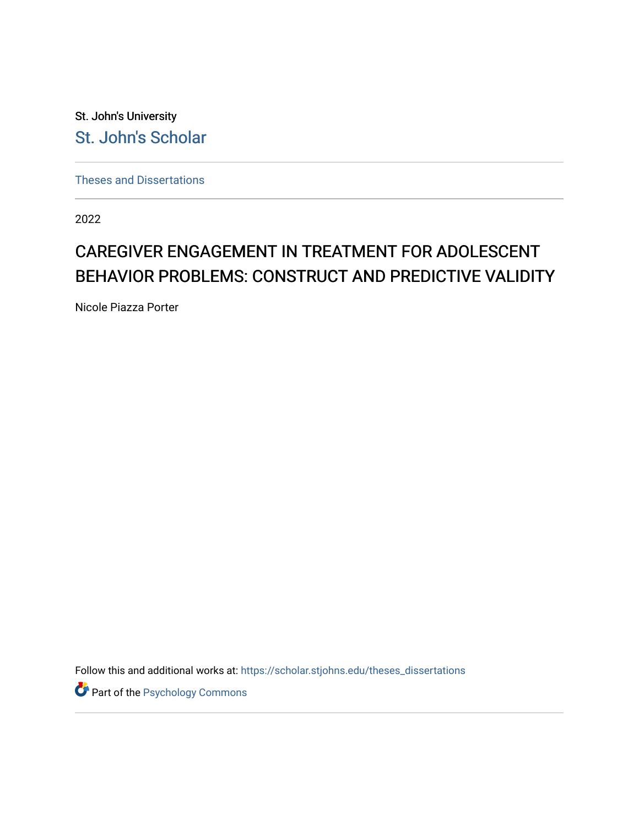St. John's University [St. John's Scholar](https://scholar.stjohns.edu/) 

[Theses and Dissertations](https://scholar.stjohns.edu/theses_dissertations)

2022

# CAREGIVER ENGAGEMENT IN TREATMENT FOR ADOLESCENT BEHAVIOR PROBLEMS: CONSTRUCT AND PREDICTIVE VALIDITY

Nicole Piazza Porter

Follow this and additional works at: [https://scholar.stjohns.edu/theses\\_dissertations](https://scholar.stjohns.edu/theses_dissertations?utm_source=scholar.stjohns.edu%2Ftheses_dissertations%2F354&utm_medium=PDF&utm_campaign=PDFCoverPages)

**Part of the Psychology Commons**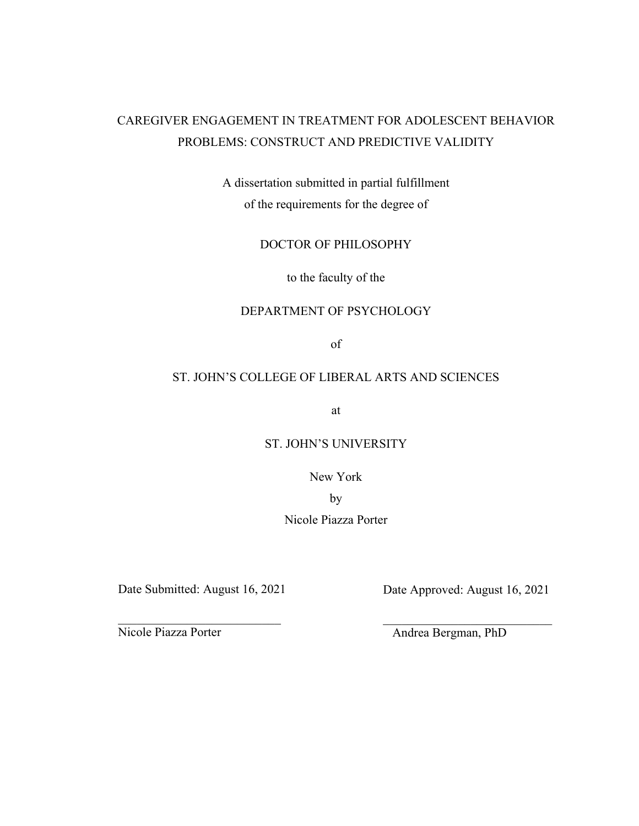# CAREGIVER ENGAGEMENT IN TREATMENT FOR ADOLESCENT BEHAVIOR PROBLEMS: CONSTRUCT AND PREDICTIVE VALIDITY

A dissertation submitted in partial fulfillment of the requirements for the degree of

DOCTOR OF PHILOSOPHY

to the faculty of the

# DEPARTMENT OF PSYCHOLOGY

of

# ST. JOHN'S COLLEGE OF LIBERAL ARTS AND SCIENCES

at

# ST. JOHN'S UNIVERSITY

New York

by

Nicole Piazza Porter

 $\_$ 

Date Submitted: August 16, 2021 Date Approved: August 16, 2021

Nicole Piazza Porter Andrea Bergman, PhD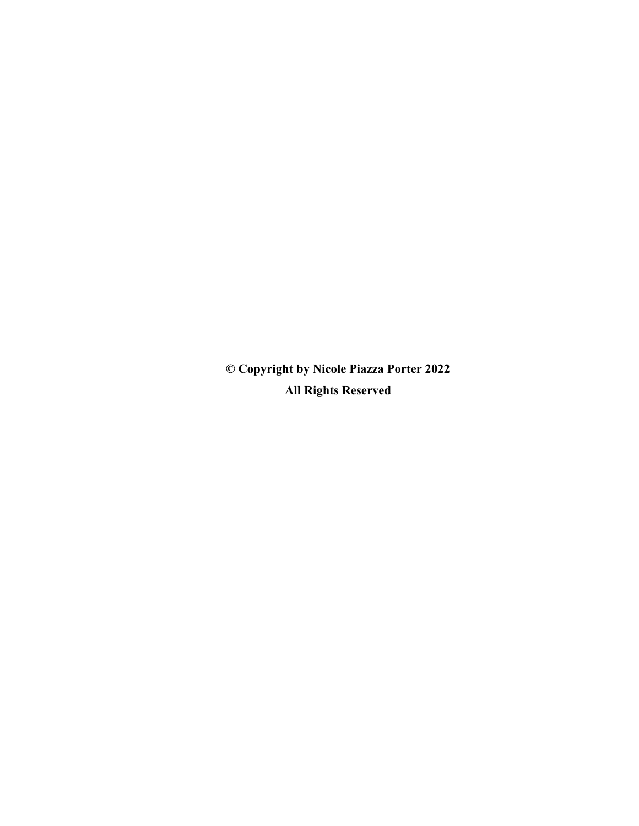**© Copyright by Nicole Piazza Porter 2022 All Rights Reserved**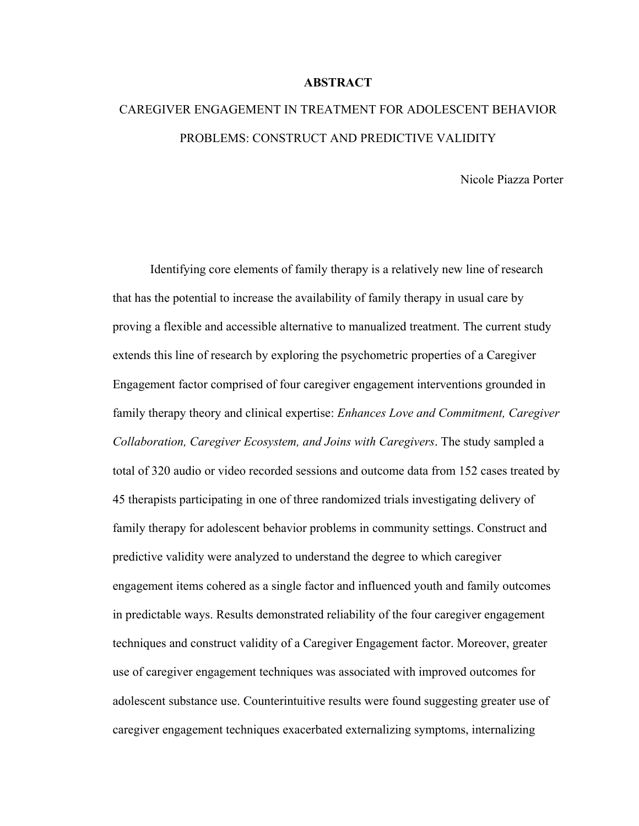# **ABSTRACT**

# CAREGIVER ENGAGEMENT IN TREATMENT FOR ADOLESCENT BEHAVIOR PROBLEMS: CONSTRUCT AND PREDICTIVE VALIDITY

Nicole Piazza Porter

Identifying core elements of family therapy is a relatively new line of research that has the potential to increase the availability of family therapy in usual care by proving a flexible and accessible alternative to manualized treatment. The current study extends this line of research by exploring the psychometric properties of a Caregiver Engagement factor comprised of four caregiver engagement interventions grounded in family therapy theory and clinical expertise: *Enhances Love and Commitment, Caregiver Collaboration, Caregiver Ecosystem, and Joins with Caregivers*. The study sampled a total of 320 audio or video recorded sessions and outcome data from 152 cases treated by 45 therapists participating in one of three randomized trials investigating delivery of family therapy for adolescent behavior problems in community settings. Construct and predictive validity were analyzed to understand the degree to which caregiver engagement items cohered as a single factor and influenced youth and family outcomes in predictable ways. Results demonstrated reliability of the four caregiver engagement techniques and construct validity of a Caregiver Engagement factor. Moreover, greater use of caregiver engagement techniques was associated with improved outcomes for adolescent substance use. Counterintuitive results were found suggesting greater use of caregiver engagement techniques exacerbated externalizing symptoms, internalizing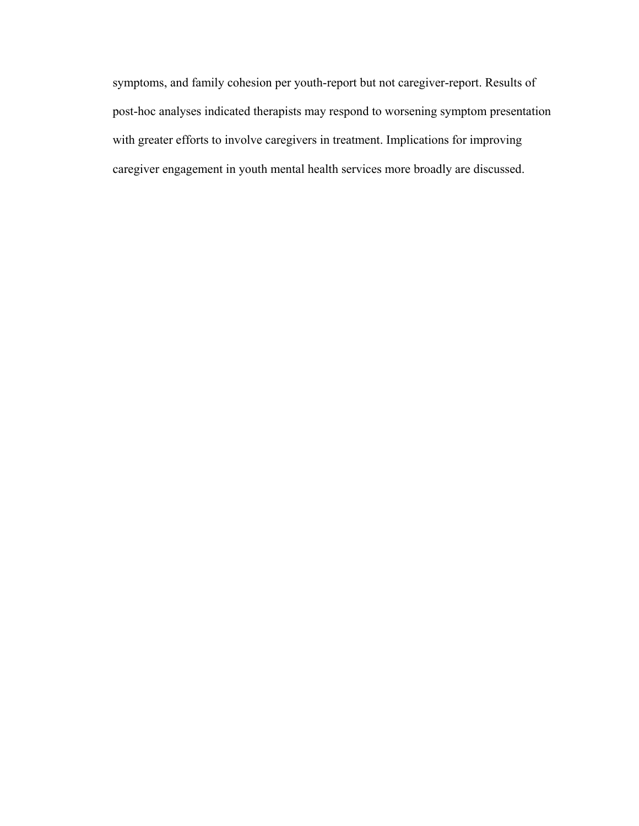symptoms, and family cohesion per youth-report but not caregiver-report. Results of post-hoc analyses indicated therapists may respond to worsening symptom presentation with greater efforts to involve caregivers in treatment. Implications for improving caregiver engagement in youth mental health services more broadly are discussed.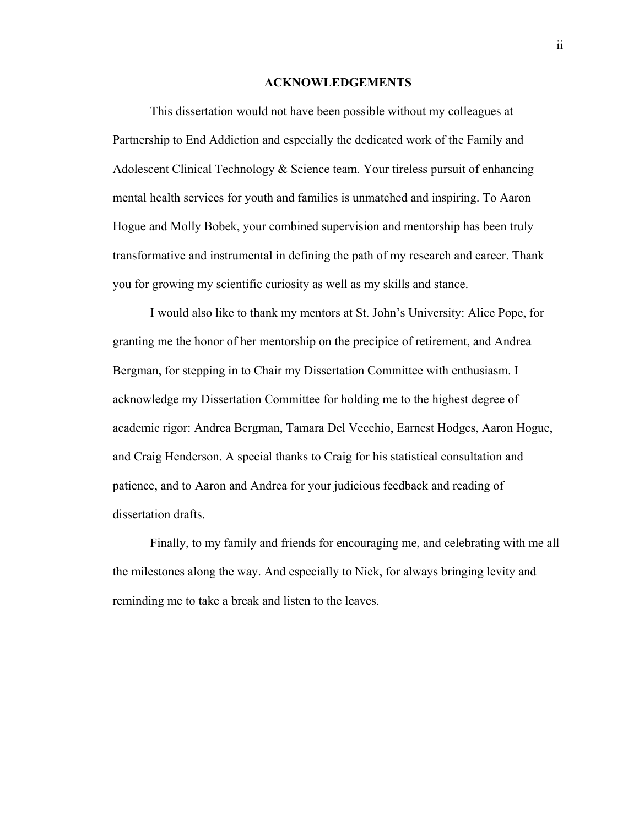## **ACKNOWLEDGEMENTS**

<span id="page-5-0"></span>This dissertation would not have been possible without my colleagues at Partnership to End Addiction and especially the dedicated work of the Family and Adolescent Clinical Technology & Science team. Your tireless pursuit of enhancing mental health services for youth and families is unmatched and inspiring. To Aaron Hogue and Molly Bobek, your combined supervision and mentorship has been truly transformative and instrumental in defining the path of my research and career. Thank you for growing my scientific curiosity as well as my skills and stance.

I would also like to thank my mentors at St. John's University: Alice Pope, for granting me the honor of her mentorship on the precipice of retirement, and Andrea Bergman, for stepping in to Chair my Dissertation Committee with enthusiasm. I acknowledge my Dissertation Committee for holding me to the highest degree of academic rigor: Andrea Bergman, Tamara Del Vecchio, Earnest Hodges, Aaron Hogue, and Craig Henderson. A special thanks to Craig for his statistical consultation and patience, and to Aaron and Andrea for your judicious feedback and reading of dissertation drafts.

Finally, to my family and friends for encouraging me, and celebrating with me all the milestones along the way. And especially to Nick, for always bringing levity and reminding me to take a break and listen to the leaves.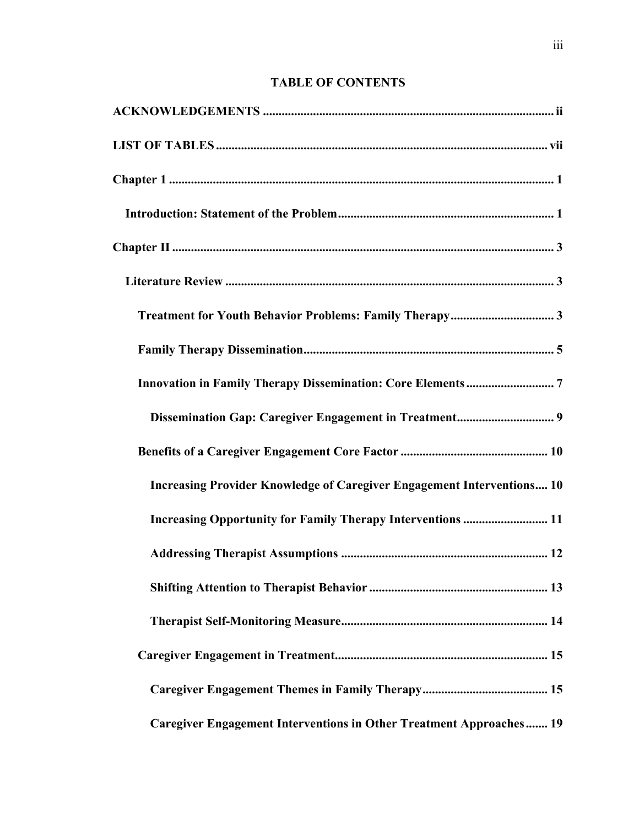# **TABLE OF CONTENTS**

| Increasing Provider Knowledge of Caregiver Engagement Interventions 10 |
|------------------------------------------------------------------------|
| Increasing Opportunity for Family Therapy Interventions  11            |
|                                                                        |
|                                                                        |
|                                                                        |
|                                                                        |
|                                                                        |
| Caregiver Engagement Interventions in Other Treatment Approaches 19    |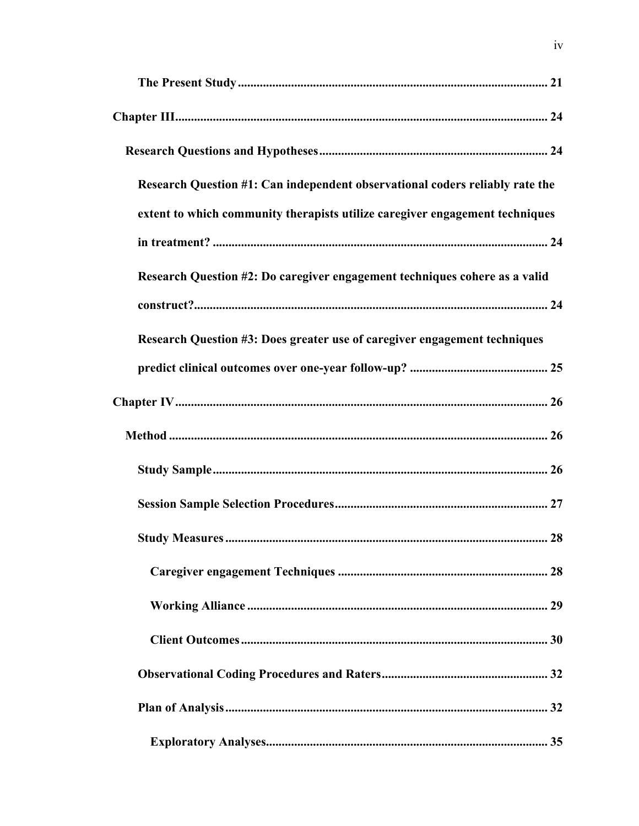| Research Question #1: Can independent observational coders reliably rate the |
|------------------------------------------------------------------------------|
| extent to which community therapists utilize caregiver engagement techniques |
|                                                                              |
| Research Question #2: Do caregiver engagement techniques cohere as a valid   |
|                                                                              |
| Research Question #3: Does greater use of caregiver engagement techniques    |
|                                                                              |
|                                                                              |
|                                                                              |
|                                                                              |
|                                                                              |
| 28<br><b>Study Measures </b>                                                 |
|                                                                              |
|                                                                              |
|                                                                              |
|                                                                              |
|                                                                              |
|                                                                              |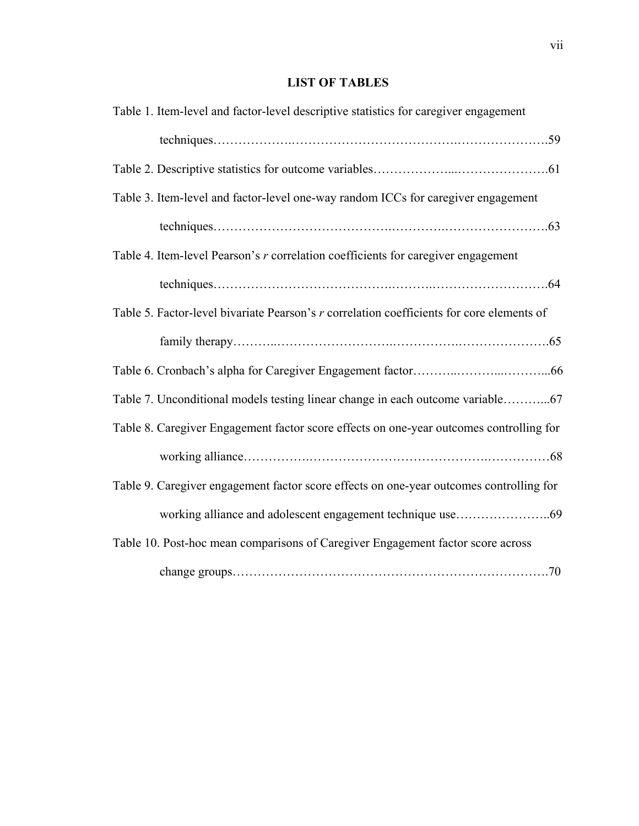# **LIST OF TABLES**

<span id="page-10-0"></span>

| Table 1. Item-level and factor-level descriptive statistics for caregiver engagement      |
|-------------------------------------------------------------------------------------------|
|                                                                                           |
|                                                                                           |
| Table 3. Item-level and factor-level one-way random ICCs for caregiver engagement         |
|                                                                                           |
| Table 4. Item-level Pearson's r correlation coefficients for caregiver engagement         |
|                                                                                           |
| Table 5. Factor-level bivariate Pearson's r correlation coefficients for core elements of |
|                                                                                           |
|                                                                                           |
| Table 7. Unconditional models testing linear change in each outcome variable              |
| Table 8. Caregiver Engagement factor score effects on one-year outcomes controlling for   |
|                                                                                           |
| Table 9. Caregiver engagement factor score effects on one-year outcomes controlling for   |
|                                                                                           |
| Table 10. Post-hoc mean comparisons of Caregiver Engagement factor score across           |
|                                                                                           |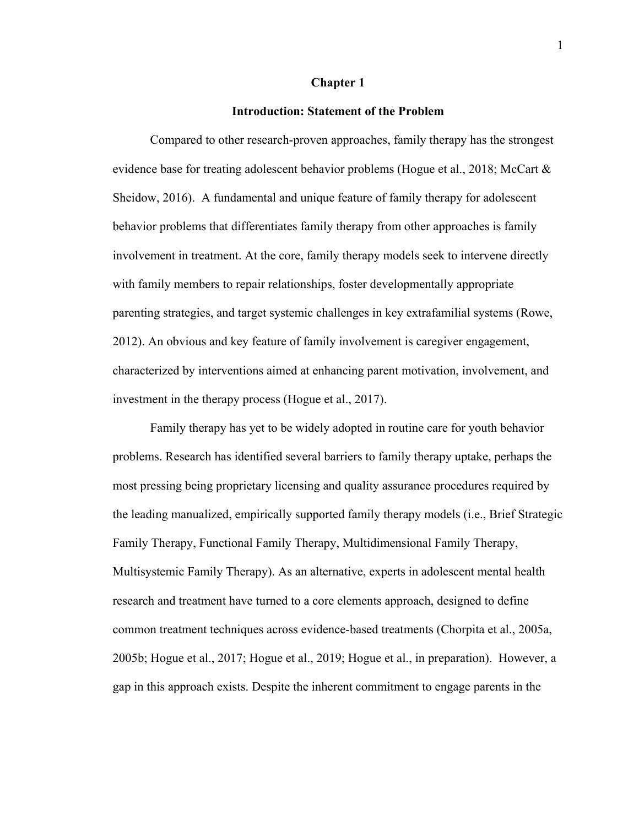#### **Chapter 1**

# **Introduction: Statement of the Problem**

<span id="page-11-1"></span><span id="page-11-0"></span>Compared to other research-proven approaches, family therapy has the strongest evidence base for treating adolescent behavior problems (Hogue et al., 2018; McCart & Sheidow, 2016). A fundamental and unique feature of family therapy for adolescent behavior problems that differentiates family therapy from other approaches is family involvement in treatment. At the core, family therapy models seek to intervene directly with family members to repair relationships, foster developmentally appropriate parenting strategies, and target systemic challenges in key extrafamilial systems (Rowe, 2012). An obvious and key feature of family involvement is caregiver engagement, characterized by interventions aimed at enhancing parent motivation, involvement, and investment in the therapy process (Hogue et al., 2017).

Family therapy has yet to be widely adopted in routine care for youth behavior problems. Research has identified several barriers to family therapy uptake, perhaps the most pressing being proprietary licensing and quality assurance procedures required by the leading manualized, empirically supported family therapy models (i.e., Brief Strategic Family Therapy, Functional Family Therapy, Multidimensional Family Therapy, Multisystemic Family Therapy). As an alternative, experts in adolescent mental health research and treatment have turned to a core elements approach, designed to define common treatment techniques across evidence-based treatments (Chorpita et al., 2005a, 2005b; Hogue et al., 2017; Hogue et al., 2019; Hogue et al., in preparation). However, a gap in this approach exists. Despite the inherent commitment to engage parents in the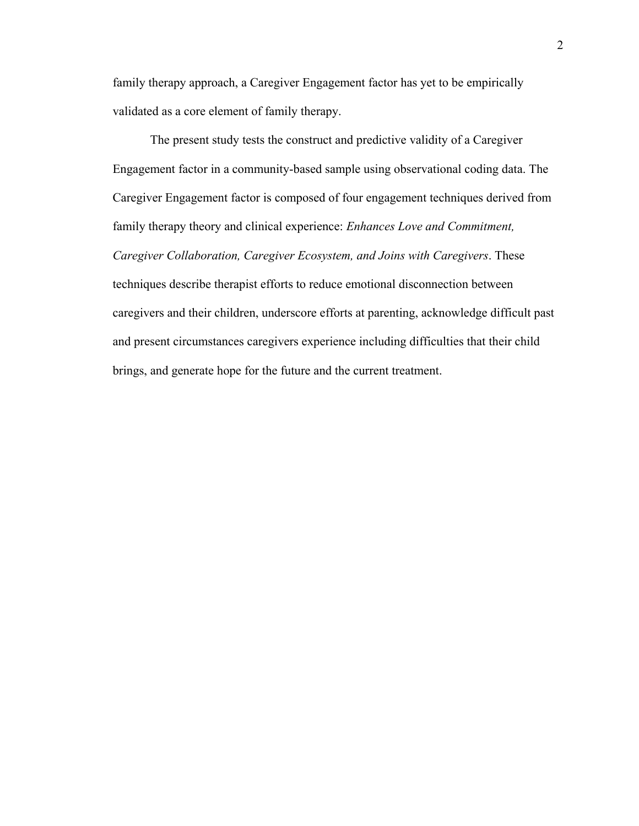family therapy approach, a Caregiver Engagement factor has yet to be empirically validated as a core element of family therapy.

The present study tests the construct and predictive validity of a Caregiver Engagement factor in a community-based sample using observational coding data. The Caregiver Engagement factor is composed of four engagement techniques derived from family therapy theory and clinical experience: *Enhances Love and Commitment, Caregiver Collaboration, Caregiver Ecosystem, and Joins with Caregivers*. These techniques describe therapist efforts to reduce emotional disconnection between caregivers and their children, underscore efforts at parenting, acknowledge difficult past and present circumstances caregivers experience including difficulties that their child brings, and generate hope for the future and the current treatment.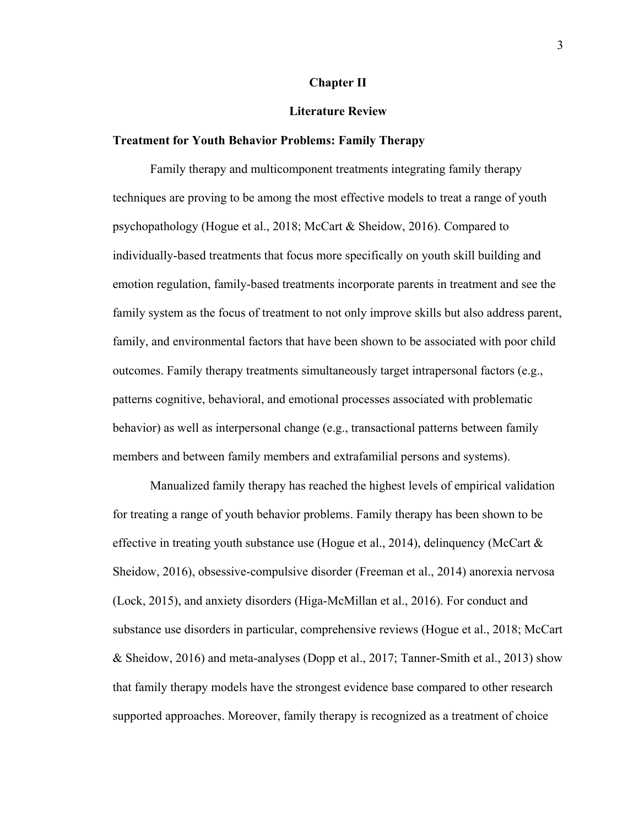# **Chapter II**

# **Literature Review**

#### <span id="page-13-2"></span><span id="page-13-1"></span><span id="page-13-0"></span>**Treatment for Youth Behavior Problems: Family Therapy**

Family therapy and multicomponent treatments integrating family therapy techniques are proving to be among the most effective models to treat a range of youth psychopathology (Hogue et al., 2018; McCart & Sheidow, 2016). Compared to individually-based treatments that focus more specifically on youth skill building and emotion regulation, family-based treatments incorporate parents in treatment and see the family system as the focus of treatment to not only improve skills but also address parent, family, and environmental factors that have been shown to be associated with poor child outcomes. Family therapy treatments simultaneously target intrapersonal factors (e.g., patterns cognitive, behavioral, and emotional processes associated with problematic behavior) as well as interpersonal change (e.g., transactional patterns between family members and between family members and extrafamilial persons and systems).

Manualized family therapy has reached the highest levels of empirical validation for treating a range of youth behavior problems. Family therapy has been shown to be effective in treating youth substance use (Hogue et al., 2014), delinquency (McCart  $\&$ Sheidow, 2016), obsessive-compulsive disorder (Freeman et al., 2014) anorexia nervosa (Lock, 2015), and anxiety disorders (Higa-McMillan et al., 2016). For conduct and substance use disorders in particular, comprehensive reviews (Hogue et al., 2018; McCart & Sheidow, 2016) and meta-analyses (Dopp et al., 2017; Tanner-Smith et al., 2013) show that family therapy models have the strongest evidence base compared to other research supported approaches. Moreover, family therapy is recognized as a treatment of choice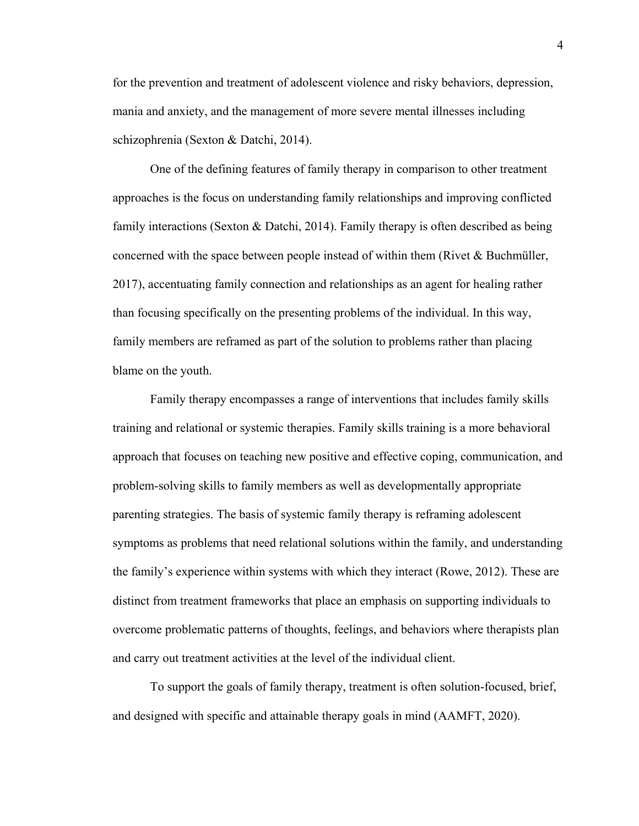for the prevention and treatment of adolescent violence and risky behaviors, depression, mania and anxiety, and the management of more severe mental illnesses including schizophrenia (Sexton & Datchi, 2014).

One of the defining features of family therapy in comparison to other treatment approaches is the focus on understanding family relationships and improving conflicted family interactions (Sexton & Datchi, 2014). Family therapy is often described as being concerned with the space between people instead of within them (Rivet & Buchmüller, 2017), accentuating family connection and relationships as an agent for healing rather than focusing specifically on the presenting problems of the individual. In this way, family members are reframed as part of the solution to problems rather than placing blame on the youth.

Family therapy encompasses a range of interventions that includes family skills training and relational or systemic therapies. Family skills training is a more behavioral approach that focuses on teaching new positive and effective coping, communication, and problem-solving skills to family members as well as developmentally appropriate parenting strategies. The basis of systemic family therapy is reframing adolescent symptoms as problems that need relational solutions within the family, and understanding the family's experience within systems with which they interact (Rowe, 2012). These are distinct from treatment frameworks that place an emphasis on supporting individuals to overcome problematic patterns of thoughts, feelings, and behaviors where therapists plan and carry out treatment activities at the level of the individual client.

To support the goals of family therapy, treatment is often solution-focused, brief, and designed with specific and attainable therapy goals in mind (AAMFT, 2020).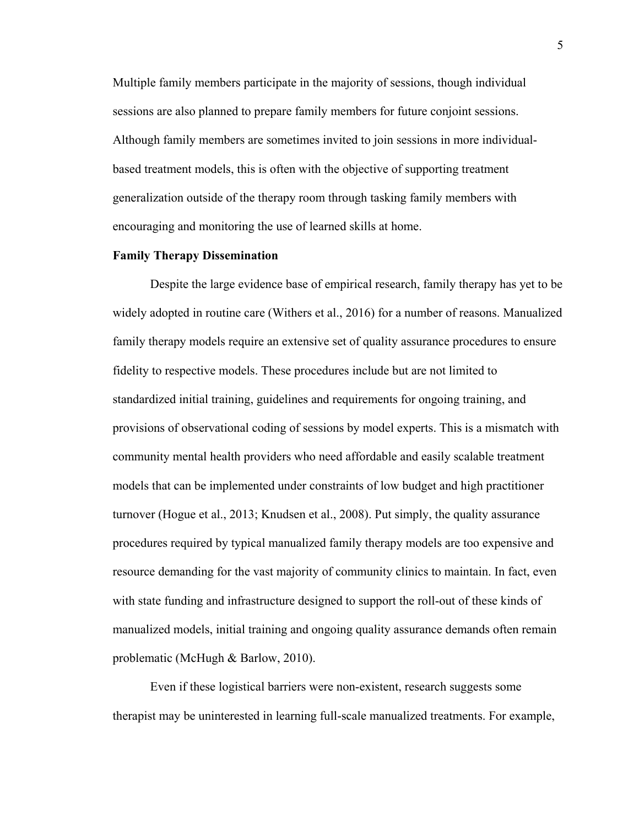Multiple family members participate in the majority of sessions, though individual sessions are also planned to prepare family members for future conjoint sessions. Although family members are sometimes invited to join sessions in more individualbased treatment models, this is often with the objective of supporting treatment generalization outside of the therapy room through tasking family members with encouraging and monitoring the use of learned skills at home.

# <span id="page-15-0"></span>**Family Therapy Dissemination**

Despite the large evidence base of empirical research, family therapy has yet to be widely adopted in routine care (Withers et al., 2016) for a number of reasons. Manualized family therapy models require an extensive set of quality assurance procedures to ensure fidelity to respective models. These procedures include but are not limited to standardized initial training, guidelines and requirements for ongoing training, and provisions of observational coding of sessions by model experts. This is a mismatch with community mental health providers who need affordable and easily scalable treatment models that can be implemented under constraints of low budget and high practitioner turnover (Hogue et al., 2013; Knudsen et al., 2008). Put simply, the quality assurance procedures required by typical manualized family therapy models are too expensive and resource demanding for the vast majority of community clinics to maintain. In fact, even with state funding and infrastructure designed to support the roll-out of these kinds of manualized models, initial training and ongoing quality assurance demands often remain problematic (McHugh & Barlow, 2010).

Even if these logistical barriers were non-existent, research suggests some therapist may be uninterested in learning full-scale manualized treatments. For example,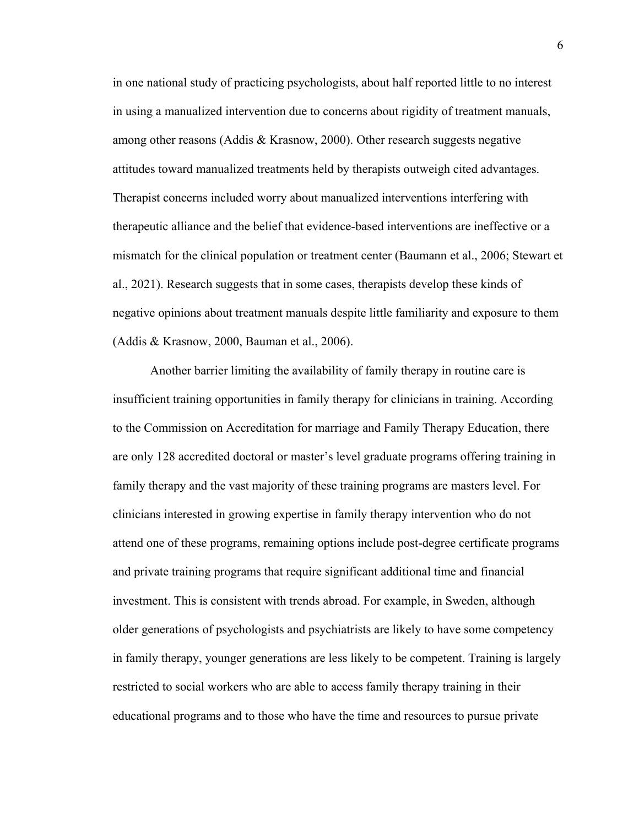in one national study of practicing psychologists, about half reported little to no interest in using a manualized intervention due to concerns about rigidity of treatment manuals, among other reasons (Addis & Krasnow, 2000). Other research suggests negative attitudes toward manualized treatments held by therapists outweigh cited advantages. Therapist concerns included worry about manualized interventions interfering with therapeutic alliance and the belief that evidence-based interventions are ineffective or a mismatch for the clinical population or treatment center (Baumann et al., 2006; Stewart et al., 2021). Research suggests that in some cases, therapists develop these kinds of negative opinions about treatment manuals despite little familiarity and exposure to them (Addis & Krasnow, 2000, Bauman et al., 2006).

 Another barrier limiting the availability of family therapy in routine care is insufficient training opportunities in family therapy for clinicians in training. According to the Commission on Accreditation for marriage and Family Therapy Education, there are only 128 accredited doctoral or master's level graduate programs offering training in family therapy and the vast majority of these training programs are masters level. For clinicians interested in growing expertise in family therapy intervention who do not attend one of these programs, remaining options include post-degree certificate programs and private training programs that require significant additional time and financial investment. This is consistent with trends abroad. For example, in Sweden, although older generations of psychologists and psychiatrists are likely to have some competency in family therapy, younger generations are less likely to be competent. Training is largely restricted to social workers who are able to access family therapy training in their educational programs and to those who have the time and resources to pursue private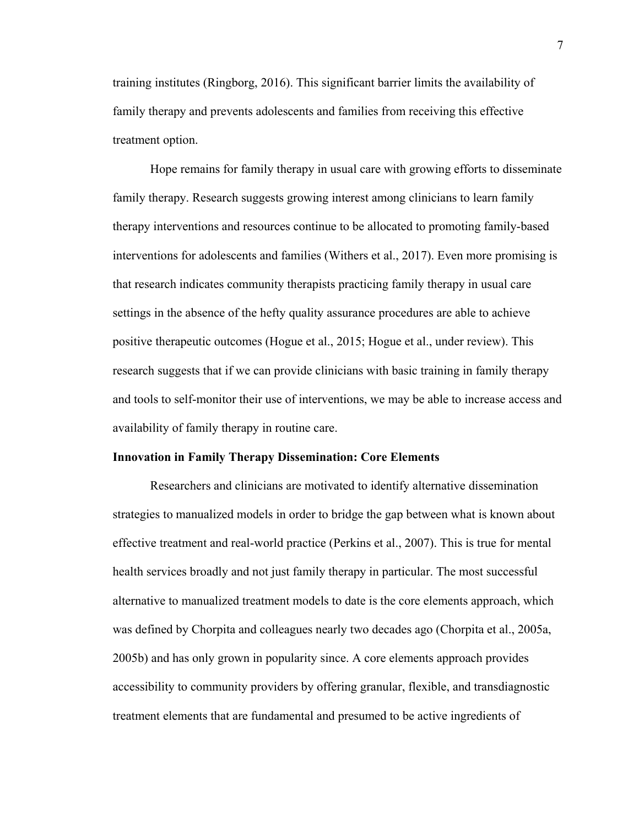training institutes (Ringborg, 2016). This significant barrier limits the availability of family therapy and prevents adolescents and families from receiving this effective treatment option.

Hope remains for family therapy in usual care with growing efforts to disseminate family therapy. Research suggests growing interest among clinicians to learn family therapy interventions and resources continue to be allocated to promoting family-based interventions for adolescents and families (Withers et al., 2017). Even more promising is that research indicates community therapists practicing family therapy in usual care settings in the absence of the hefty quality assurance procedures are able to achieve positive therapeutic outcomes (Hogue et al., 2015; Hogue et al., under review). This research suggests that if we can provide clinicians with basic training in family therapy and tools to self-monitor their use of interventions, we may be able to increase access and availability of family therapy in routine care.

#### <span id="page-17-0"></span>**Innovation in Family Therapy Dissemination: Core Elements**

Researchers and clinicians are motivated to identify alternative dissemination strategies to manualized models in order to bridge the gap between what is known about effective treatment and real-world practice (Perkins et al., 2007). This is true for mental health services broadly and not just family therapy in particular. The most successful alternative to manualized treatment models to date is the core elements approach, which was defined by Chorpita and colleagues nearly two decades ago (Chorpita et al., 2005a, 2005b) and has only grown in popularity since. A core elements approach provides accessibility to community providers by offering granular, flexible, and transdiagnostic treatment elements that are fundamental and presumed to be active ingredients of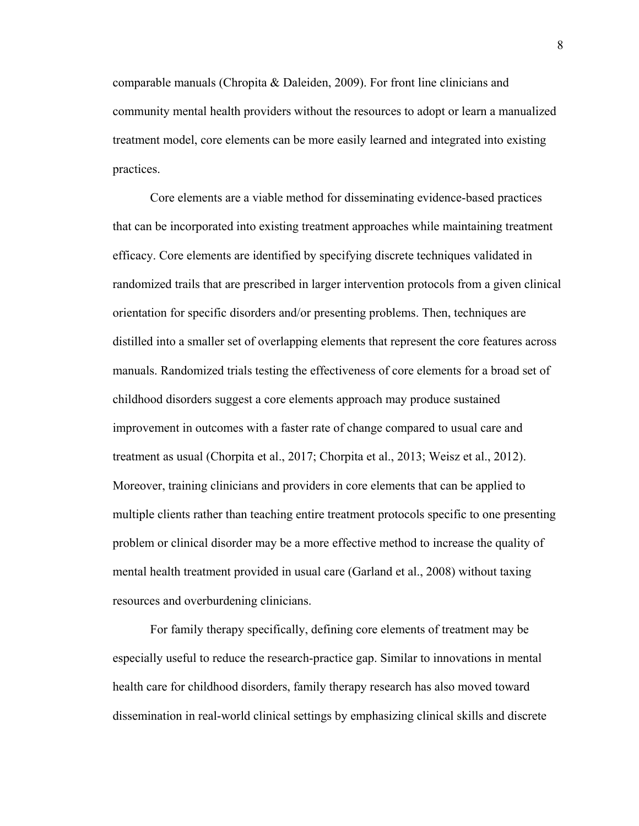comparable manuals (Chropita & Daleiden, 2009). For front line clinicians and community mental health providers without the resources to adopt or learn a manualized treatment model, core elements can be more easily learned and integrated into existing practices.

Core elements are a viable method for disseminating evidence-based practices that can be incorporated into existing treatment approaches while maintaining treatment efficacy. Core elements are identified by specifying discrete techniques validated in randomized trails that are prescribed in larger intervention protocols from a given clinical orientation for specific disorders and/or presenting problems. Then, techniques are distilled into a smaller set of overlapping elements that represent the core features across manuals. Randomized trials testing the effectiveness of core elements for a broad set of childhood disorders suggest a core elements approach may produce sustained improvement in outcomes with a faster rate of change compared to usual care and treatment as usual (Chorpita et al., 2017; Chorpita et al., 2013; Weisz et al., 2012). Moreover, training clinicians and providers in core elements that can be applied to multiple clients rather than teaching entire treatment protocols specific to one presenting problem or clinical disorder may be a more effective method to increase the quality of mental health treatment provided in usual care (Garland et al., 2008) without taxing resources and overburdening clinicians.

For family therapy specifically, defining core elements of treatment may be especially useful to reduce the research-practice gap. Similar to innovations in mental health care for childhood disorders, family therapy research has also moved toward dissemination in real-world clinical settings by emphasizing clinical skills and discrete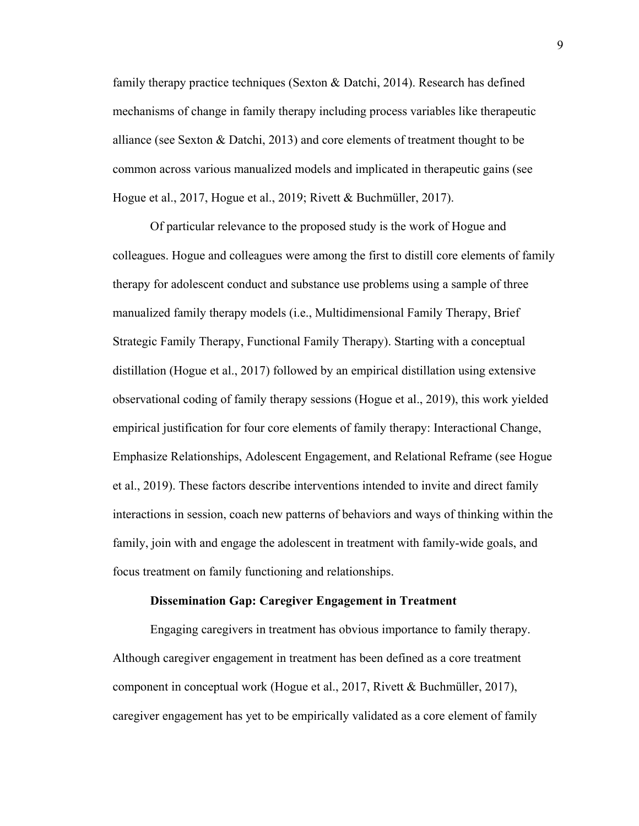family therapy practice techniques (Sexton & Datchi, 2014). Research has defined mechanisms of change in family therapy including process variables like therapeutic alliance (see Sexton & Datchi, 2013) and core elements of treatment thought to be common across various manualized models and implicated in therapeutic gains (see Hogue et al., 2017, Hogue et al., 2019; Rivett & Buchmüller, 2017).

Of particular relevance to the proposed study is the work of Hogue and colleagues. Hogue and colleagues were among the first to distill core elements of family therapy for adolescent conduct and substance use problems using a sample of three manualized family therapy models (i.e., Multidimensional Family Therapy, Brief Strategic Family Therapy, Functional Family Therapy). Starting with a conceptual distillation (Hogue et al., 2017) followed by an empirical distillation using extensive observational coding of family therapy sessions (Hogue et al., 2019), this work yielded empirical justification for four core elements of family therapy: Interactional Change, Emphasize Relationships, Adolescent Engagement, and Relational Reframe (see Hogue et al., 2019). These factors describe interventions intended to invite and direct family interactions in session, coach new patterns of behaviors and ways of thinking within the family, join with and engage the adolescent in treatment with family-wide goals, and focus treatment on family functioning and relationships.

#### **Dissemination Gap: Caregiver Engagement in Treatment**

<span id="page-19-0"></span>Engaging caregivers in treatment has obvious importance to family therapy. Although caregiver engagement in treatment has been defined as a core treatment component in conceptual work (Hogue et al., 2017, Rivett & Buchmüller, 2017), caregiver engagement has yet to be empirically validated as a core element of family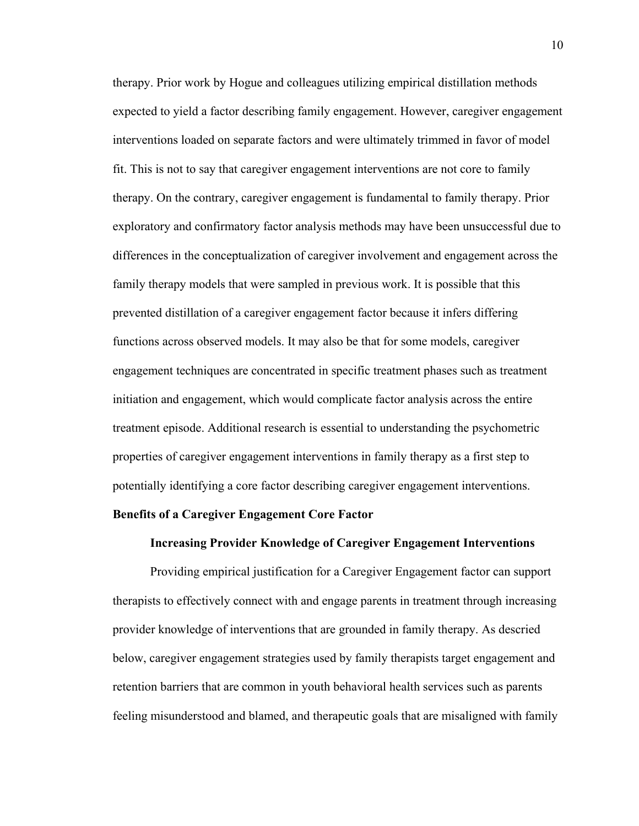therapy. Prior work by Hogue and colleagues utilizing empirical distillation methods expected to yield a factor describing family engagement. However, caregiver engagement interventions loaded on separate factors and were ultimately trimmed in favor of model fit. This is not to say that caregiver engagement interventions are not core to family therapy. On the contrary, caregiver engagement is fundamental to family therapy. Prior exploratory and confirmatory factor analysis methods may have been unsuccessful due to differences in the conceptualization of caregiver involvement and engagement across the family therapy models that were sampled in previous work. It is possible that this prevented distillation of a caregiver engagement factor because it infers differing functions across observed models. It may also be that for some models, caregiver engagement techniques are concentrated in specific treatment phases such as treatment initiation and engagement, which would complicate factor analysis across the entire treatment episode. Additional research is essential to understanding the psychometric properties of caregiver engagement interventions in family therapy as a first step to potentially identifying a core factor describing caregiver engagement interventions.

# <span id="page-20-1"></span><span id="page-20-0"></span>**Benefits of a Caregiver Engagement Core Factor**

# **Increasing Provider Knowledge of Caregiver Engagement Interventions**

Providing empirical justification for a Caregiver Engagement factor can support therapists to effectively connect with and engage parents in treatment through increasing provider knowledge of interventions that are grounded in family therapy. As descried below, caregiver engagement strategies used by family therapists target engagement and retention barriers that are common in youth behavioral health services such as parents feeling misunderstood and blamed, and therapeutic goals that are misaligned with family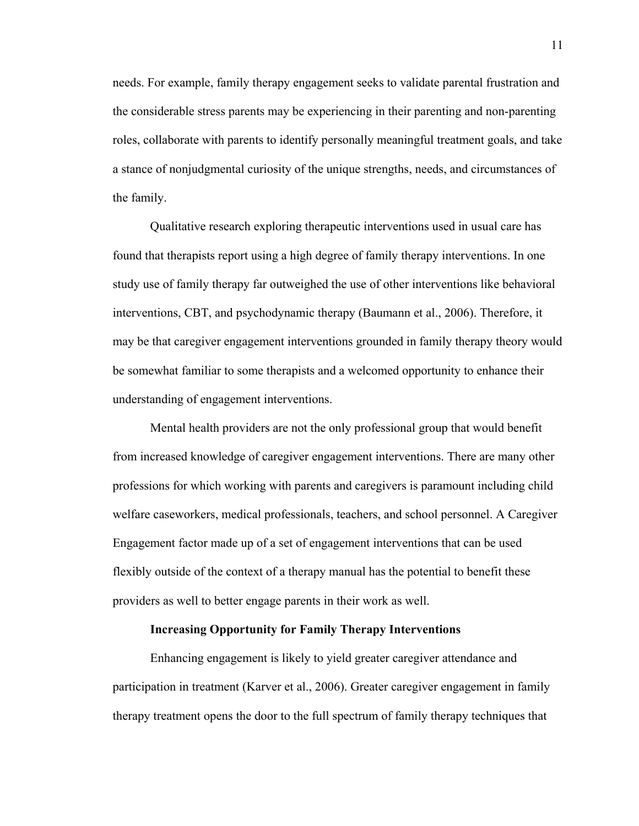needs. For example, family therapy engagement seeks to validate parental frustration and the considerable stress parents may be experiencing in their parenting and non-parenting roles, collaborate with parents to identify personally meaningful treatment goals, and take a stance of nonjudgmental curiosity of the unique strengths, needs, and circumstances of the family.

Qualitative research exploring therapeutic interventions used in usual care has found that therapists report using a high degree of family therapy interventions. In one study use of family therapy far outweighed the use of other interventions like behavioral interventions, CBT, and psychodynamic therapy (Baumann et al., 2006). Therefore, it may be that caregiver engagement interventions grounded in family therapy theory would be somewhat familiar to some therapists and a welcomed opportunity to enhance their understanding of engagement interventions.

Mental health providers are not the only professional group that would benefit from increased knowledge of caregiver engagement interventions. There are many other professions for which working with parents and caregivers is paramount including child welfare caseworkers, medical professionals, teachers, and school personnel. A Caregiver Engagement factor made up of a set of engagement interventions that can be used flexibly outside of the context of a therapy manual has the potential to benefit these providers as well to better engage parents in their work as well.

## **Increasing Opportunity for Family Therapy Interventions**

<span id="page-21-0"></span>Enhancing engagement is likely to yield greater caregiver attendance and participation in treatment (Karver et al., 2006). Greater caregiver engagement in family therapy treatment opens the door to the full spectrum of family therapy techniques that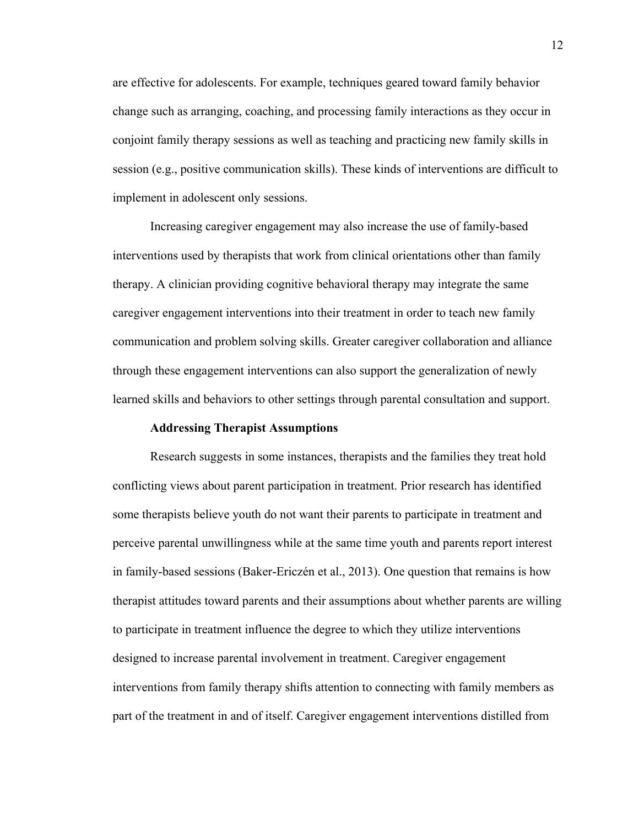are effective for adolescents. For example, techniques geared toward family behavior change such as arranging, coaching, and processing family interactions as they occur in conjoint family therapy sessions as well as teaching and practicing new family skills in session (e.g., positive communication skills). These kinds of interventions are difficult to implement in adolescent only sessions.

Increasing caregiver engagement may also increase the use of family-based interventions used by therapists that work from clinical orientations other than family therapy. A clinician providing cognitive behavioral therapy may integrate the same caregiver engagement interventions into their treatment in order to teach new family communication and problem solving skills. Greater caregiver collaboration and alliance through these engagement interventions can also support the generalization of newly learned skills and behaviors to other settings through parental consultation and support.

# **Addressing Therapist Assumptions**

<span id="page-22-0"></span>Research suggests in some instances, therapists and the families they treat hold conflicting views about parent participation in treatment. Prior research has identified some therapists believe youth do not want their parents to participate in treatment and perceive parental unwillingness while at the same time youth and parents report interest in family-based sessions [\(Baker-Ericzén et al., 2013\)](https://www.ncbi.nlm.nih.gov/pmc/articles/PMC5556951/#R5). One question that remains is how therapist attitudes toward parents and their assumptions about whether parents are willing to participate in treatment influence the degree to which they utilize interventions designed to increase parental involvement in treatment. Caregiver engagement interventions from family therapy shifts attention to connecting with family members as part of the treatment in and of itself. Caregiver engagement interventions distilled from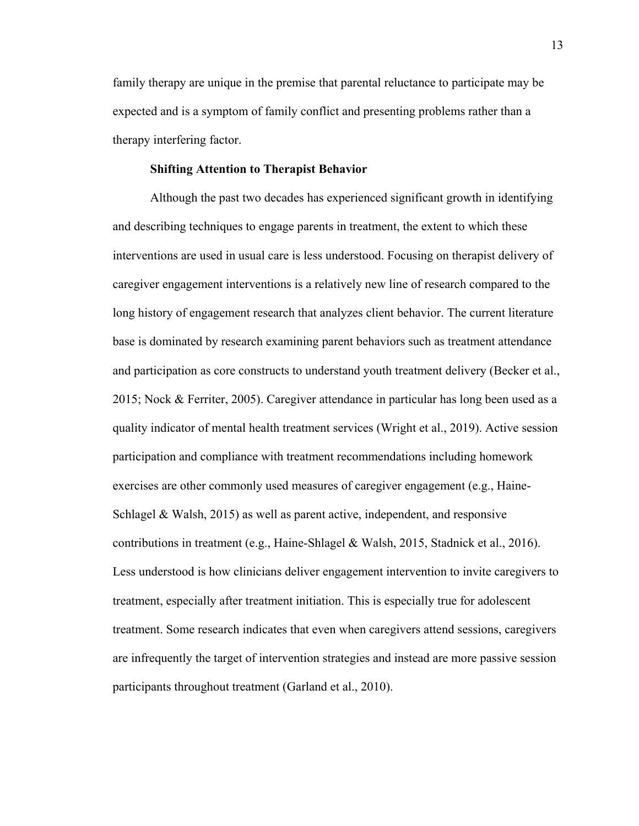family therapy are unique in the premise that parental reluctance to participate may be expected and is a symptom of family conflict and presenting problems rather than a therapy interfering factor.

#### **Shifting Attention to Therapist Behavior**

<span id="page-23-0"></span>Although the past two decades has experienced significant growth in identifying and describing techniques to engage parents in treatment, the extent to which these interventions are used in usual care is less understood. Focusing on therapist delivery of caregiver engagement interventions is a relatively new line of research compared to the long history of engagement research that analyzes client behavior. The current literature base is dominated by research examining parent behaviors such as treatment attendance and participation as core constructs to understand youth treatment delivery (Becker et al., 2015; Nock & Ferriter, 2005). Caregiver attendance in particular has long been used as a quality indicator of mental health treatment services (Wright et al., 2019). Active session participation and compliance with treatment recommendations including homework exercises are other commonly used measures of caregiver engagement (e.g., Haine-Schlagel & Walsh, 2015) as well as parent active, independent, and responsive contributions in treatment (e.g., Haine-Shlagel & Walsh, 2015, Stadnick et al., 2016). Less understood is how clinicians deliver engagement intervention to invite caregivers to treatment, especially after treatment initiation. This is especially true for adolescent treatment. Some research indicates that even when caregivers attend sessions, caregivers are infrequently the target of intervention strategies and instead are more passive session participants throughout treatment (Garland et al., 2010).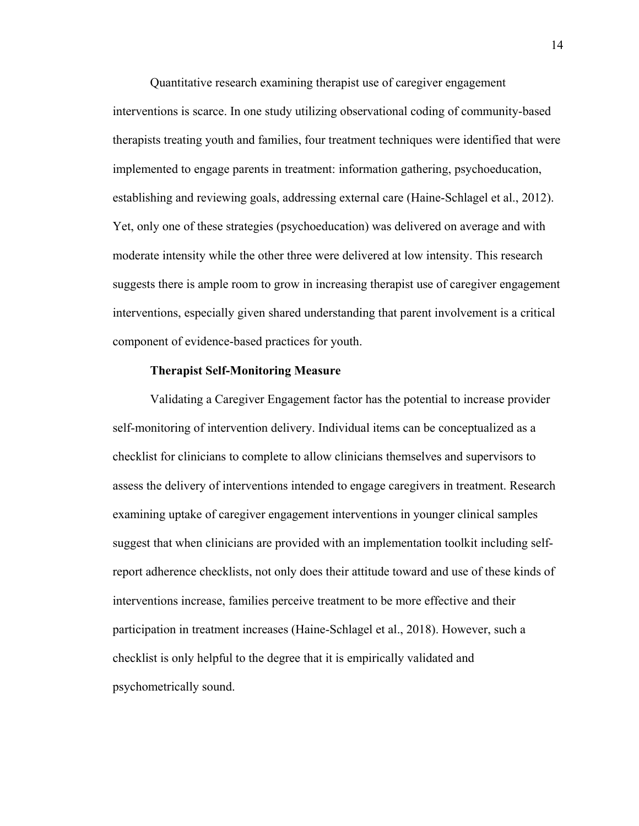Quantitative research examining therapist use of caregiver engagement interventions is scarce. In one study utilizing observational coding of community-based therapists treating youth and families, four treatment techniques were identified that were implemented to engage parents in treatment: information gathering, psychoeducation, establishing and reviewing goals, addressing external care (Haine-Schlagel et al., 2012). Yet, only one of these strategies (psychoeducation) was delivered on average and with moderate intensity while the other three were delivered at low intensity. This research suggests there is ample room to grow in increasing therapist use of caregiver engagement interventions, especially given shared understanding that parent involvement is a critical component of evidence-based practices for youth.

# **Therapist Self-Monitoring Measure**

<span id="page-24-0"></span>Validating a Caregiver Engagement factor has the potential to increase provider self-monitoring of intervention delivery. Individual items can be conceptualized as a checklist for clinicians to complete to allow clinicians themselves and supervisors to assess the delivery of interventions intended to engage caregivers in treatment. Research examining uptake of caregiver engagement interventions in younger clinical samples suggest that when clinicians are provided with an implementation toolkit including selfreport adherence checklists, not only does their attitude toward and use of these kinds of interventions increase, families perceive treatment to be more effective and their participation in treatment increases (Haine-Schlagel et al., 2018). However, such a checklist is only helpful to the degree that it is empirically validated and psychometrically sound.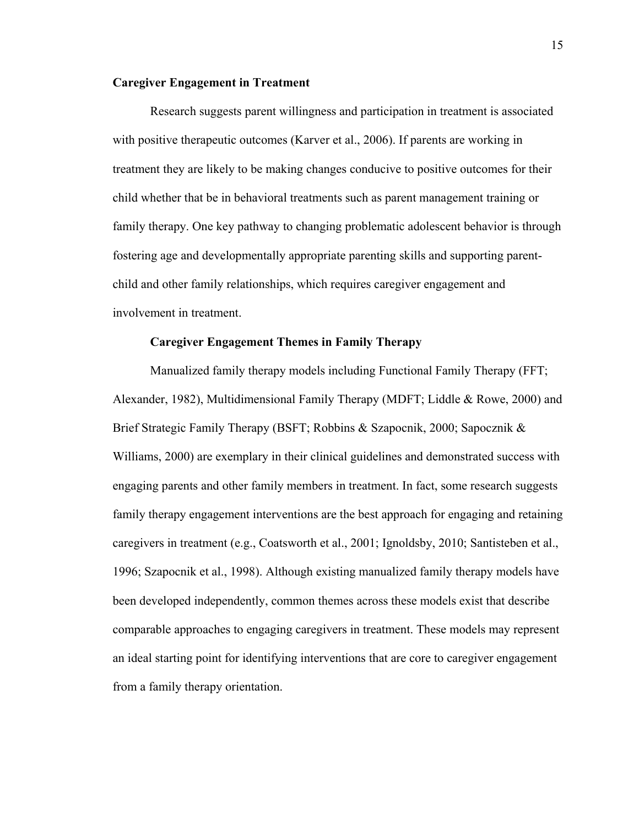# <span id="page-25-0"></span>**Caregiver Engagement in Treatment**

Research suggests parent willingness and participation in treatment is associated with positive therapeutic outcomes (Karver et al., 2006). If parents are working in treatment they are likely to be making changes conducive to positive outcomes for their child whether that be in behavioral treatments such as parent management training or family therapy. One key pathway to changing problematic adolescent behavior is through fostering age and developmentally appropriate parenting skills and supporting parentchild and other family relationships, which requires caregiver engagement and involvement in treatment.

# **Caregiver Engagement Themes in Family Therapy**

<span id="page-25-1"></span>Manualized family therapy models including Functional Family Therapy (FFT; Alexander, 1982), Multidimensional Family Therapy (MDFT; Liddle & Rowe, 2000) and Brief Strategic Family Therapy (BSFT; Robbins & Szapocnik, 2000; Sapocznik & Williams, 2000) are exemplary in their clinical guidelines and demonstrated success with engaging parents and other family members in treatment. In fact, some research suggests family therapy engagement interventions are the best approach for engaging and retaining caregivers in treatment (e.g., Coatsworth et al., 2001; Ignoldsby, 2010; Santisteben et al., 1996; Szapocnik et al., 1998). Although existing manualized family therapy models have been developed independently, common themes across these models exist that describe comparable approaches to engaging caregivers in treatment. These models may represent an ideal starting point for identifying interventions that are core to caregiver engagement from a family therapy orientation.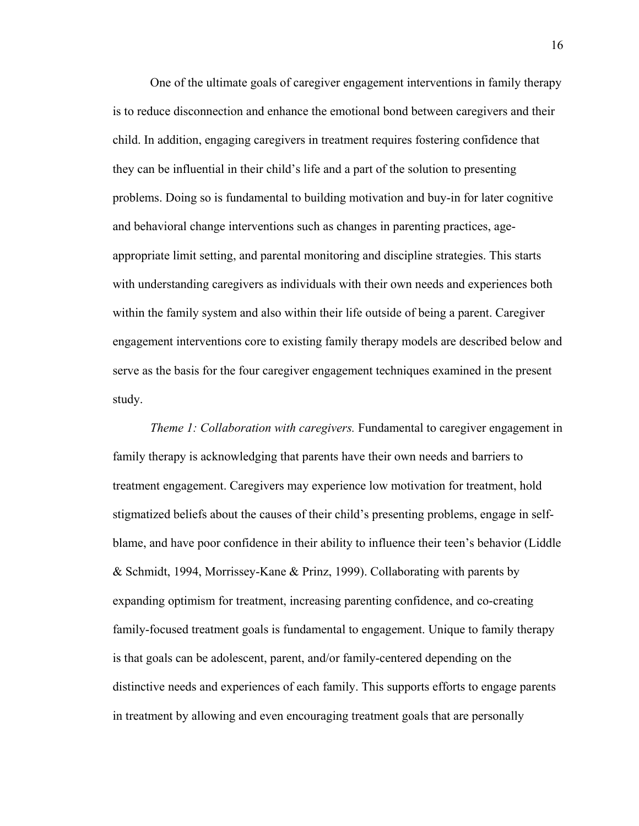One of the ultimate goals of caregiver engagement interventions in family therapy is to reduce disconnection and enhance the emotional bond between caregivers and their child. In addition, engaging caregivers in treatment requires fostering confidence that they can be influential in their child's life and a part of the solution to presenting problems. Doing so is fundamental to building motivation and buy-in for later cognitive and behavioral change interventions such as changes in parenting practices, ageappropriate limit setting, and parental monitoring and discipline strategies. This starts with understanding caregivers as individuals with their own needs and experiences both within the family system and also within their life outside of being a parent. Caregiver engagement interventions core to existing family therapy models are described below and serve as the basis for the four caregiver engagement techniques examined in the present study.

*Theme 1: Collaboration with caregivers.* Fundamental to caregiver engagement in family therapy is acknowledging that parents have their own needs and barriers to treatment engagement. Caregivers may experience low motivation for treatment, hold stigmatized beliefs about the causes of their child's presenting problems, engage in selfblame, and have poor confidence in their ability to influence their teen's behavior (Liddle & Schmidt, 1994, Morrissey-Kane & Prinz, 1999). Collaborating with parents by expanding optimism for treatment, increasing parenting confidence, and co-creating family-focused treatment goals is fundamental to engagement. Unique to family therapy is that goals can be adolescent, parent, and/or family-centered depending on the distinctive needs and experiences of each family. This supports efforts to engage parents in treatment by allowing and even encouraging treatment goals that are personally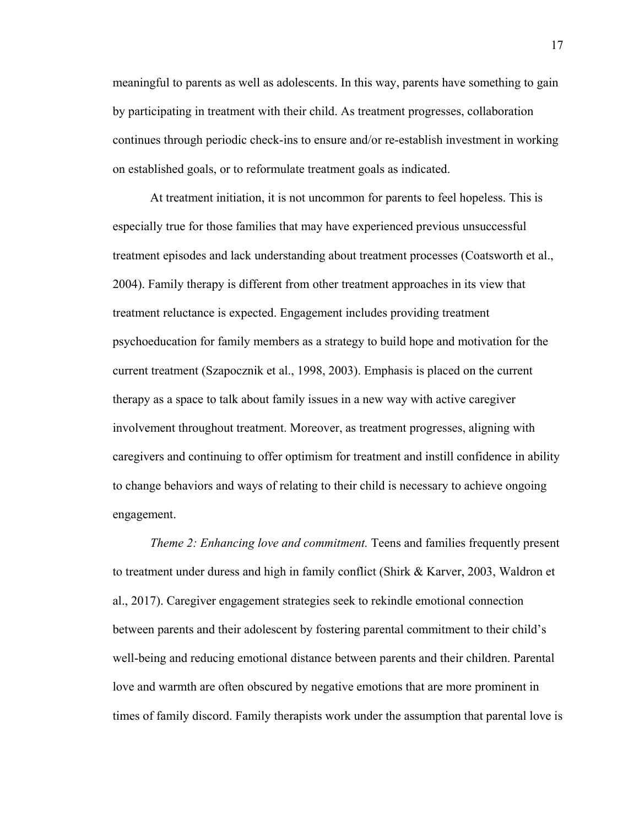meaningful to parents as well as adolescents. In this way, parents have something to gain by participating in treatment with their child. As treatment progresses, collaboration continues through periodic check-ins to ensure and/or re-establish investment in working on established goals, or to reformulate treatment goals as indicated.

At treatment initiation, it is not uncommon for parents to feel hopeless. This is especially true for those families that may have experienced previous unsuccessful treatment episodes and lack understanding about treatment processes (Coatsworth et al., 2004). Family therapy is different from other treatment approaches in its view that treatment reluctance is expected. Engagement includes providing treatment psychoeducation for family members as a strategy to build hope and motivation for the current treatment (Szapocznik et al., 1998, 2003). Emphasis is placed on the current therapy as a space to talk about family issues in a new way with active caregiver involvement throughout treatment. Moreover, as treatment progresses, aligning with caregivers and continuing to offer optimism for treatment and instill confidence in ability to change behaviors and ways of relating to their child is necessary to achieve ongoing engagement.

*Theme 2: Enhancing love and commitment.* Teens and families frequently present to treatment under duress and high in family conflict (Shirk & Karver, 2003, Waldron et al., 2017). Caregiver engagement strategies seek to rekindle emotional connection between parents and their adolescent by fostering parental commitment to their child's well-being and reducing emotional distance between parents and their children. Parental love and warmth are often obscured by negative emotions that are more prominent in times of family discord. Family therapists work under the assumption that parental love is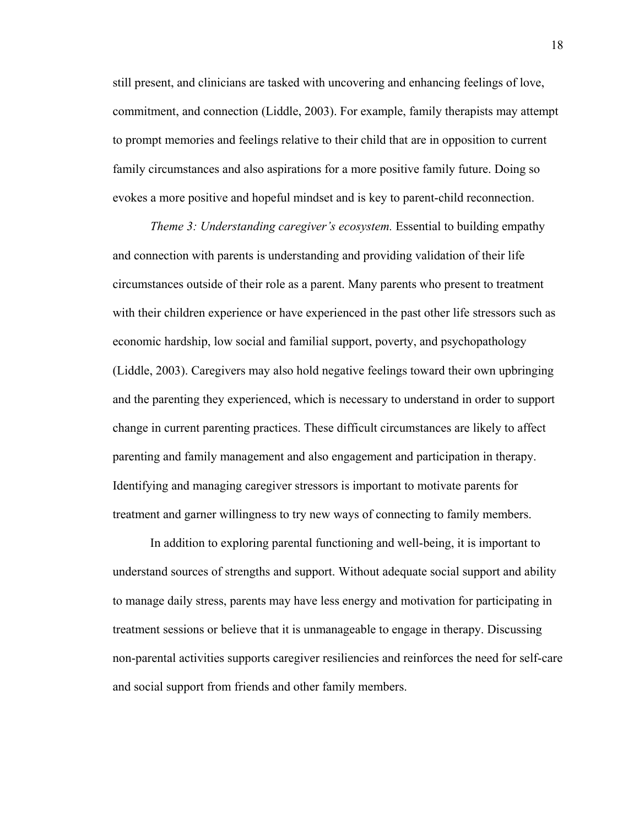still present, and clinicians are tasked with uncovering and enhancing feelings of love, commitment, and connection (Liddle, 2003). For example, family therapists may attempt to prompt memories and feelings relative to their child that are in opposition to current family circumstances and also aspirations for a more positive family future. Doing so evokes a more positive and hopeful mindset and is key to parent-child reconnection.

*Theme 3: Understanding caregiver's ecosystem.* Essential to building empathy and connection with parents is understanding and providing validation of their life circumstances outside of their role as a parent. Many parents who present to treatment with their children experience or have experienced in the past other life stressors such as economic hardship, low social and familial support, poverty, and psychopathology (Liddle, 2003). Caregivers may also hold negative feelings toward their own upbringing and the parenting they experienced, which is necessary to understand in order to support change in current parenting practices. These difficult circumstances are likely to affect parenting and family management and also engagement and participation in therapy. Identifying and managing caregiver stressors is important to motivate parents for treatment and garner willingness to try new ways of connecting to family members.

In addition to exploring parental functioning and well-being, it is important to understand sources of strengths and support. Without adequate social support and ability to manage daily stress, parents may have less energy and motivation for participating in treatment sessions or believe that it is unmanageable to engage in therapy. Discussing non-parental activities supports caregiver resiliencies and reinforces the need for self-care and social support from friends and other family members.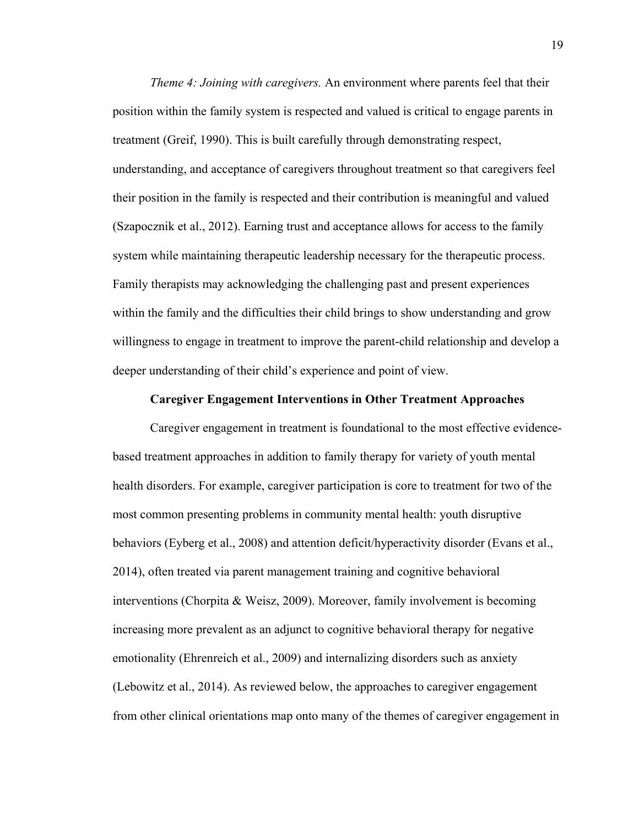*Theme 4: Joining with caregivers.* An environment where parents feel that their position within the family system is respected and valued is critical to engage parents in treatment (Greif, 1990). This is built carefully through demonstrating respect, understanding, and acceptance of caregivers throughout treatment so that caregivers feel their position in the family is respected and their contribution is meaningful and valued (Szapocznik et al., 2012). Earning trust and acceptance allows for access to the family system while maintaining therapeutic leadership necessary for the therapeutic process. Family therapists may acknowledging the challenging past and present experiences within the family and the difficulties their child brings to show understanding and grow willingness to engage in treatment to improve the parent-child relationship and develop a deeper understanding of their child's experience and point of view.

# **Caregiver Engagement Interventions in Other Treatment Approaches**

<span id="page-29-0"></span>Caregiver engagement in treatment is foundational to the most effective evidencebased treatment approaches in addition to family therapy for variety of youth mental health disorders. For example, caregiver participation is core to treatment for two of the most common presenting problems in community mental health: youth disruptive behaviors (Eyberg et al., 2008) and attention deficit/hyperactivity disorder (Evans et al., 2014), often treated via parent management training and cognitive behavioral interventions (Chorpita & Weisz, 2009). Moreover, family involvement is becoming increasing more prevalent as an adjunct to cognitive behavioral therapy for negative emotionality (Ehrenreich et al., 2009) and internalizing disorders such as anxiety (Lebowitz et al., 2014). As reviewed below, the approaches to caregiver engagement from other clinical orientations map onto many of the themes of caregiver engagement in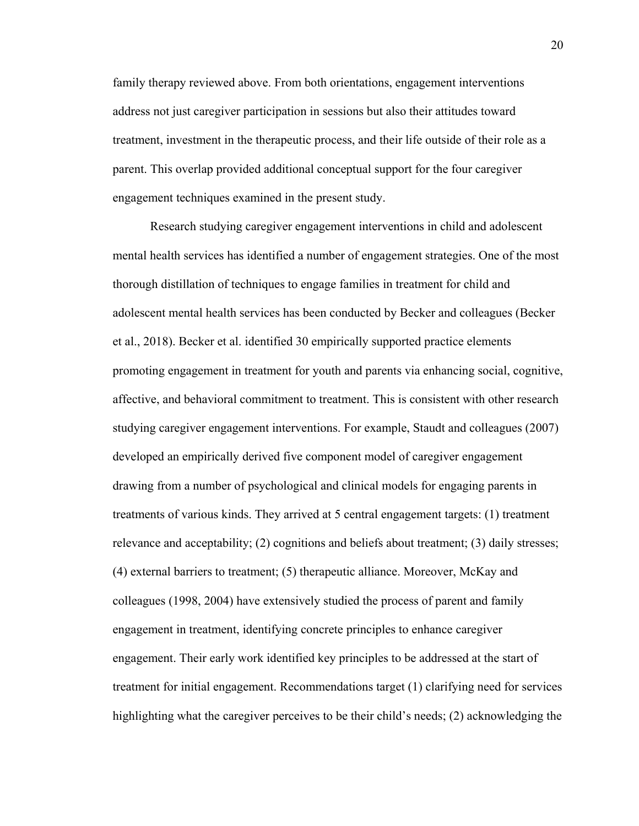family therapy reviewed above. From both orientations, engagement interventions address not just caregiver participation in sessions but also their attitudes toward treatment, investment in the therapeutic process, and their life outside of their role as a parent. This overlap provided additional conceptual support for the four caregiver engagement techniques examined in the present study.

Research studying caregiver engagement interventions in child and adolescent mental health services has identified a number of engagement strategies. One of the most thorough distillation of techniques to engage families in treatment for child and adolescent mental health services has been conducted by Becker and colleagues (Becker et al., 2018). Becker et al. identified 30 empirically supported practice elements promoting engagement in treatment for youth and parents via enhancing social, cognitive, affective, and behavioral commitment to treatment. This is consistent with other research studying caregiver engagement interventions. For example, Staudt and colleagues (2007) developed an empirically derived five component model of caregiver engagement drawing from a number of psychological and clinical models for engaging parents in treatments of various kinds. They arrived at 5 central engagement targets: (1) treatment relevance and acceptability; (2) cognitions and beliefs about treatment; (3) daily stresses; (4) external barriers to treatment; (5) therapeutic alliance. Moreover, McKay and colleagues (1998, 2004) have extensively studied the process of parent and family engagement in treatment, identifying concrete principles to enhance caregiver engagement. Their early work identified key principles to be addressed at the start of treatment for initial engagement. Recommendations target (1) clarifying need for services highlighting what the caregiver perceives to be their child's needs; (2) acknowledging the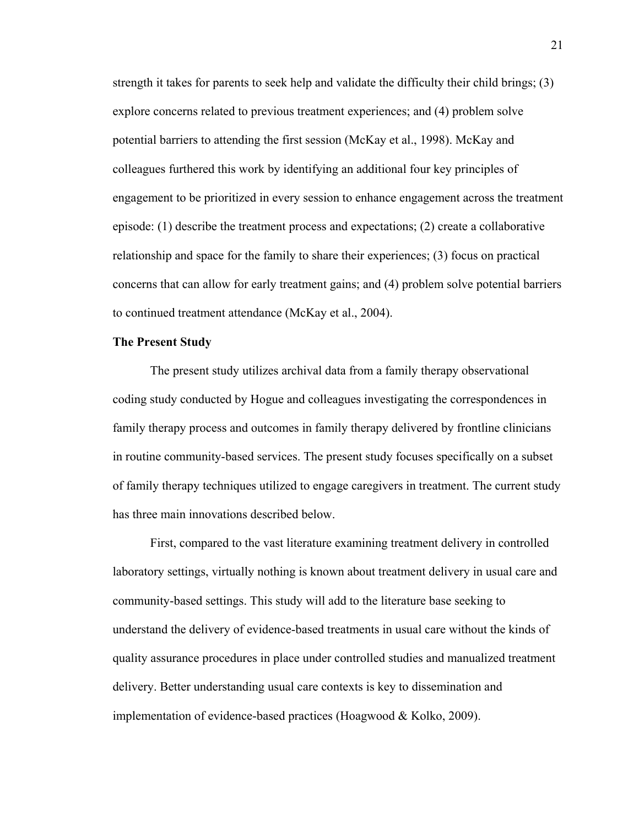strength it takes for parents to seek help and validate the difficulty their child brings; (3) explore concerns related to previous treatment experiences; and (4) problem solve potential barriers to attending the first session (McKay et al., 1998). McKay and colleagues furthered this work by identifying an additional four key principles of engagement to be prioritized in every session to enhance engagement across the treatment episode: (1) describe the treatment process and expectations; (2) create a collaborative relationship and space for the family to share their experiences; (3) focus on practical concerns that can allow for early treatment gains; and (4) problem solve potential barriers to continued treatment attendance (McKay et al., 2004).

# <span id="page-31-0"></span>**The Present Study**

The present study utilizes archival data from a family therapy observational coding study conducted by Hogue and colleagues investigating the correspondences in family therapy process and outcomes in family therapy delivered by frontline clinicians in routine community-based services. The present study focuses specifically on a subset of family therapy techniques utilized to engage caregivers in treatment. The current study has three main innovations described below.

First, compared to the vast literature examining treatment delivery in controlled laboratory settings, virtually nothing is known about treatment delivery in usual care and community-based settings. This study will add to the literature base seeking to understand the delivery of evidence-based treatments in usual care without the kinds of quality assurance procedures in place under controlled studies and manualized treatment delivery. Better understanding usual care contexts is key to dissemination and implementation of evidence-based practices (Hoagwood & Kolko, 2009).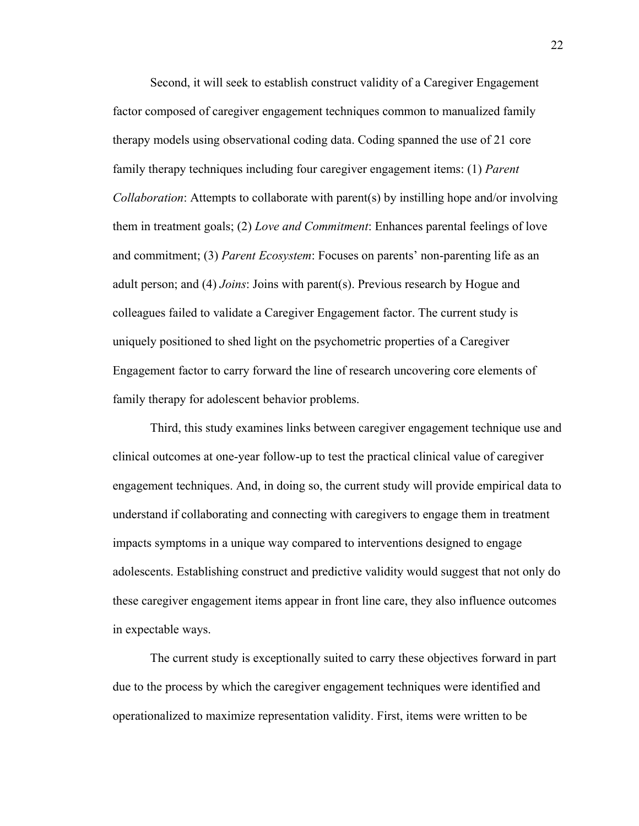Second, it will seek to establish construct validity of a Caregiver Engagement factor composed of caregiver engagement techniques common to manualized family therapy models using observational coding data. Coding spanned the use of 21 core family therapy techniques including four caregiver engagement items: (1) *Parent Collaboration*: Attempts to collaborate with parent(s) by instilling hope and/or involving them in treatment goals; (2) *Love and Commitment*: Enhances parental feelings of love and commitment; (3) *Parent Ecosystem*: Focuses on parents' non-parenting life as an adult person; and (4) *Joins*: Joins with parent(s). Previous research by Hogue and colleagues failed to validate a Caregiver Engagement factor. The current study is uniquely positioned to shed light on the psychometric properties of a Caregiver Engagement factor to carry forward the line of research uncovering core elements of family therapy for adolescent behavior problems.

Third, this study examines links between caregiver engagement technique use and clinical outcomes at one-year follow-up to test the practical clinical value of caregiver engagement techniques. And, in doing so, the current study will provide empirical data to understand if collaborating and connecting with caregivers to engage them in treatment impacts symptoms in a unique way compared to interventions designed to engage adolescents. Establishing construct and predictive validity would suggest that not only do these caregiver engagement items appear in front line care, they also influence outcomes in expectable ways.

The current study is exceptionally suited to carry these objectives forward in part due to the process by which the caregiver engagement techniques were identified and operationalized to maximize representation validity. First, items were written to be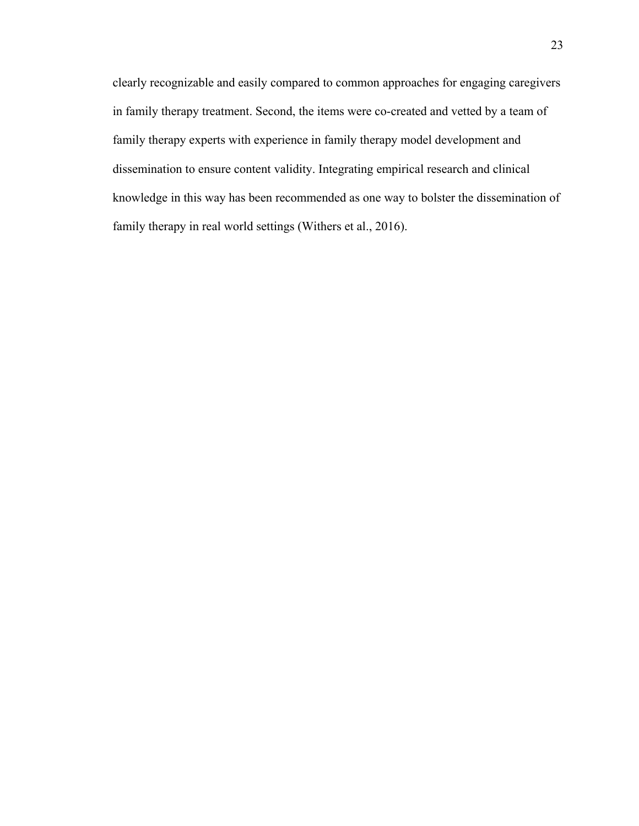clearly recognizable and easily compared to common approaches for engaging caregivers in family therapy treatment. Second, the items were co-created and vetted by a team of family therapy experts with experience in family therapy model development and dissemination to ensure content validity. Integrating empirical research and clinical knowledge in this way has been recommended as one way to bolster the dissemination of family therapy in real world settings (Withers et al., 2016).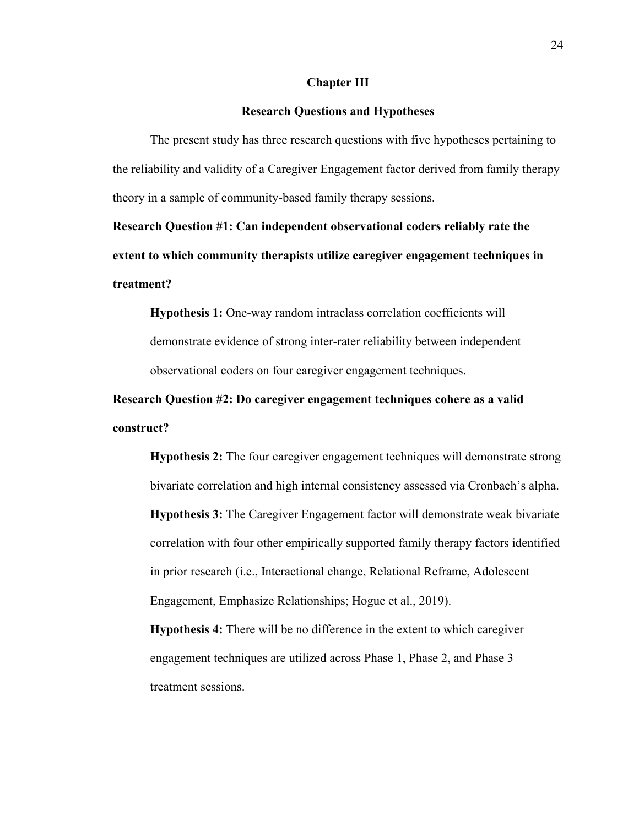#### **Chapter III**

# **Research Questions and Hypotheses**

<span id="page-34-1"></span><span id="page-34-0"></span> The present study has three research questions with five hypotheses pertaining to the reliability and validity of a Caregiver Engagement factor derived from family therapy theory in a sample of community-based family therapy sessions.

<span id="page-34-2"></span>**Research Question #1: Can independent observational coders reliably rate the extent to which community therapists utilize caregiver engagement techniques in treatment?**

**Hypothesis 1:** One-way random intraclass correlation coefficients will demonstrate evidence of strong inter-rater reliability between independent observational coders on four caregiver engagement techniques.

<span id="page-34-3"></span>**Research Question #2: Do caregiver engagement techniques cohere as a valid construct?**

**Hypothesis 2:** The four caregiver engagement techniques will demonstrate strong bivariate correlation and high internal consistency assessed via Cronbach's alpha. **Hypothesis 3:** The Caregiver Engagement factor will demonstrate weak bivariate correlation with four other empirically supported family therapy factors identified in prior research (i.e., Interactional change, Relational Reframe, Adolescent Engagement, Emphasize Relationships; Hogue et al., 2019).

**Hypothesis 4:** There will be no difference in the extent to which caregiver engagement techniques are utilized across Phase 1, Phase 2, and Phase 3 treatment sessions.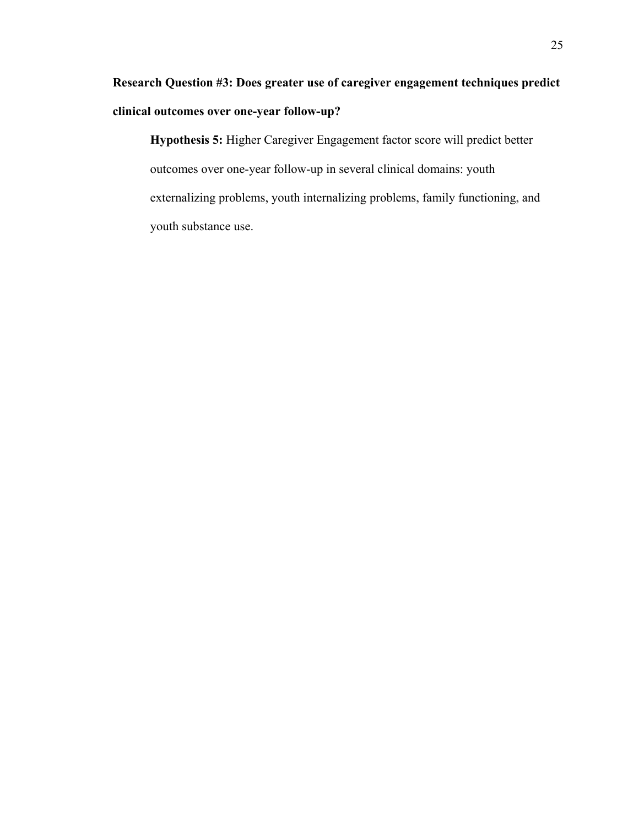<span id="page-35-0"></span>**Research Question #3: Does greater use of caregiver engagement techniques predict clinical outcomes over one-year follow-up?**

**Hypothesis 5:** Higher Caregiver Engagement factor score will predict better outcomes over one-year follow-up in several clinical domains: youth externalizing problems, youth internalizing problems, family functioning, and youth substance use.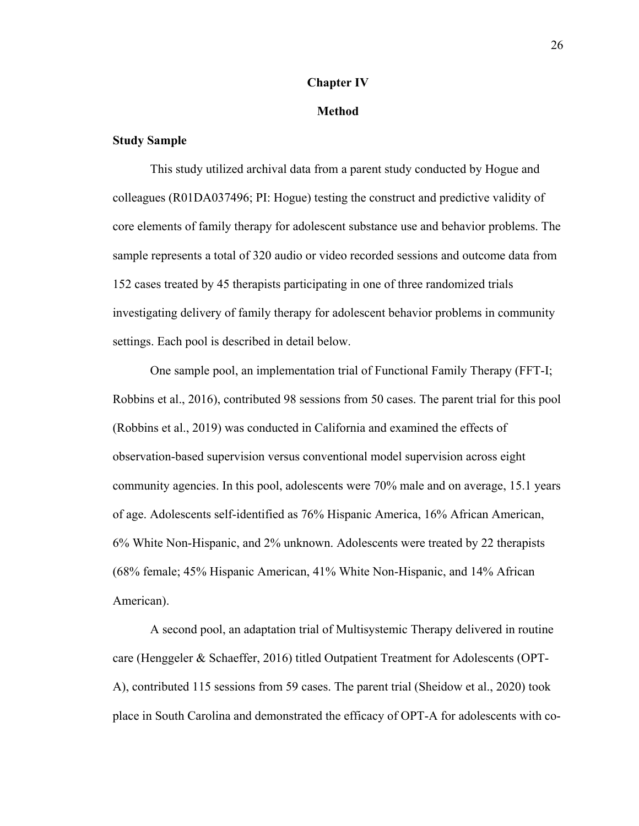#### **Chapter IV**

#### **Method**

## **Study Sample**

This study utilized archival data from a parent study conducted by Hogue and colleagues (R01DA037496; PI: Hogue) testing the construct and predictive validity of core elements of family therapy for adolescent substance use and behavior problems. The sample represents a total of 320 audio or video recorded sessions and outcome data from 152 cases treated by 45 therapists participating in one of three randomized trials investigating delivery of family therapy for adolescent behavior problems in community settings. Each pool is described in detail below.

One sample pool, an implementation trial of Functional Family Therapy (FFT-I; Robbins et al., 2016), contributed 98 sessions from 50 cases. The parent trial for this pool (Robbins et al., 2019) was conducted in California and examined the effects of observation-based supervision versus conventional model supervision across eight community agencies. In this pool, adolescents were 70% male and on average, 15.1 years of age. Adolescents self-identified as 76% Hispanic America, 16% African American, 6% White Non-Hispanic, and 2% unknown. Adolescents were treated by 22 therapists (68% female; 45% Hispanic American, 41% White Non-Hispanic, and 14% African American).

A second pool, an adaptation trial of Multisystemic Therapy delivered in routine care (Henggeler & Schaeffer, 2016) titled Outpatient Treatment for Adolescents (OPT-A), contributed 115 sessions from 59 cases. The parent trial (Sheidow et al., 2020) took place in South Carolina and demonstrated the efficacy of OPT-A for adolescents with co-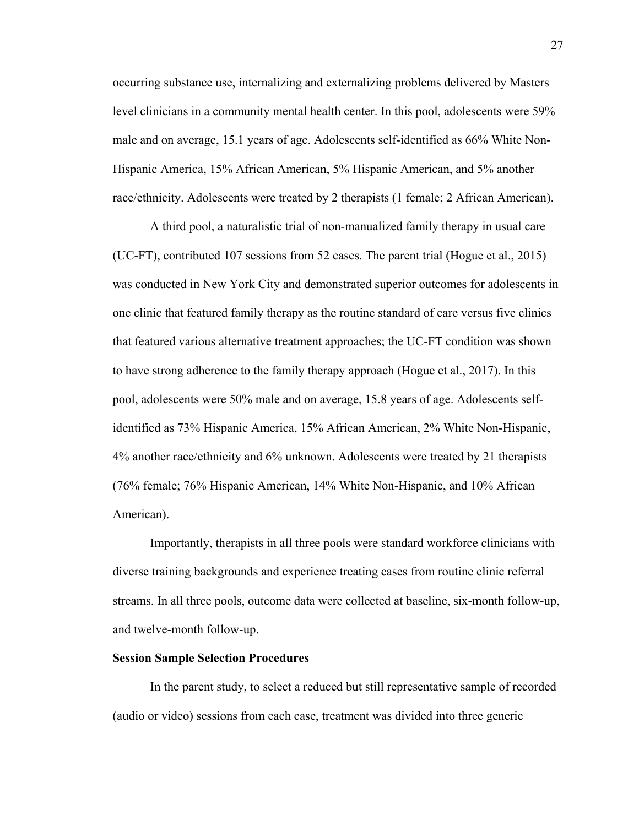occurring substance use, internalizing and externalizing problems delivered by Masters level clinicians in a community mental health center. In this pool, adolescents were 59% male and on average, 15.1 years of age. Adolescents self-identified as 66% White Non-Hispanic America, 15% African American, 5% Hispanic American, and 5% another race/ethnicity. Adolescents were treated by 2 therapists (1 female; 2 African American).

A third pool, a naturalistic trial of non-manualized family therapy in usual care (UC-FT), contributed 107 sessions from 52 cases. The parent trial (Hogue et al., 2015) was conducted in New York City and demonstrated superior outcomes for adolescents in one clinic that featured family therapy as the routine standard of care versus five clinics that featured various alternative treatment approaches; the UC-FT condition was shown to have strong adherence to the family therapy approach (Hogue et al., 2017). In this pool, adolescents were 50% male and on average, 15.8 years of age. Adolescents selfidentified as 73% Hispanic America, 15% African American, 2% White Non-Hispanic, 4% another race/ethnicity and 6% unknown. Adolescents were treated by 21 therapists (76% female; 76% Hispanic American, 14% White Non-Hispanic, and 10% African American).

Importantly, therapists in all three pools were standard workforce clinicians with diverse training backgrounds and experience treating cases from routine clinic referral streams. In all three pools, outcome data were collected at baseline, six-month follow-up, and twelve-month follow-up.

#### **Session Sample Selection Procedures**

In the parent study, to select a reduced but still representative sample of recorded (audio or video) sessions from each case, treatment was divided into three generic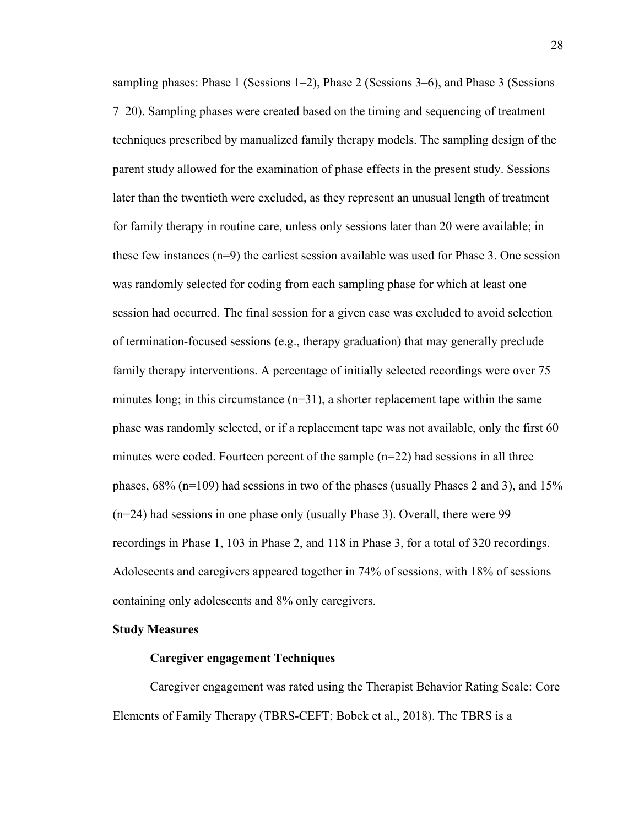sampling phases: Phase 1 (Sessions  $1-2$ ), Phase 2 (Sessions  $3-6$ ), and Phase 3 (Sessions 7–20). Sampling phases were created based on the timing and sequencing of treatment techniques prescribed by manualized family therapy models. The sampling design of the parent study allowed for the examination of phase effects in the present study. Sessions later than the twentieth were excluded, as they represent an unusual length of treatment for family therapy in routine care, unless only sessions later than 20 were available; in these few instances  $(n=9)$  the earliest session available was used for Phase 3. One session was randomly selected for coding from each sampling phase for which at least one session had occurred. The final session for a given case was excluded to avoid selection of termination-focused sessions (e.g., therapy graduation) that may generally preclude family therapy interventions. A percentage of initially selected recordings were over 75 minutes long; in this circumstance  $(n=31)$ , a shorter replacement tape within the same phase was randomly selected, or if a replacement tape was not available, only the first 60 minutes were coded. Fourteen percent of the sample  $(n=22)$  had sessions in all three phases, 68% (n=109) had sessions in two of the phases (usually Phases 2 and 3), and 15% (n=24) had sessions in one phase only (usually Phase 3). Overall, there were 99 recordings in Phase 1, 103 in Phase 2, and 118 in Phase 3, for a total of 320 recordings. Adolescents and caregivers appeared together in 74% of sessions, with 18% of sessions containing only adolescents and 8% only caregivers.

#### **Study Measures**

#### **Caregiver engagement Techniques**

Caregiver engagement was rated using the Therapist Behavior Rating Scale: Core Elements of Family Therapy (TBRS-CEFT; Bobek et al., 2018). The TBRS is a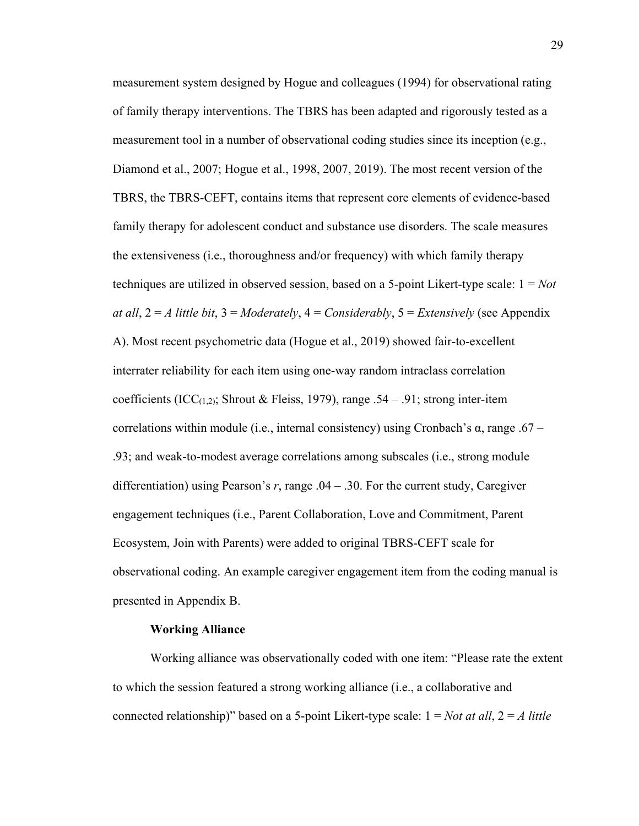measurement system designed by Hogue and colleagues (1994) for observational rating of family therapy interventions. The TBRS has been adapted and rigorously tested as a measurement tool in a number of observational coding studies since its inception (e.g., Diamond et al., 2007; Hogue et al., 1998, 2007, 2019). The most recent version of the TBRS, the TBRS-CEFT, contains items that represent core elements of evidence-based family therapy for adolescent conduct and substance use disorders. The scale measures the extensiveness (i.e., thoroughness and/or frequency) with which family therapy techniques are utilized in observed session, based on a 5-point Likert-type scale: 1 = *Not at all*, 2 = *A little bit*, 3 = *Moderately*, 4 = *Considerably*, 5 = *Extensively* (see Appendix A). Most recent psychometric data (Hogue et al., 2019) showed fair-to-excellent interrater reliability for each item using one-way random intraclass correlation coefficients (ICC(1,2); Shrout & Fleiss, 1979), range .54 – .91; strong inter-item correlations within module (i.e., internal consistency) using Cronbach's α, range .67 – .93; and weak-to-modest average correlations among subscales (i.e., strong module differentiation) using Pearson's *r*, range .04 – .30. For the current study, Caregiver engagement techniques (i.e., Parent Collaboration, Love and Commitment, Parent Ecosystem, Join with Parents) were added to original TBRS-CEFT scale for observational coding. An example caregiver engagement item from the coding manual is presented in Appendix B.

#### **Working Alliance**

Working alliance was observationally coded with one item: "Please rate the extent to which the session featured a strong working alliance (i.e., a collaborative and connected relationship)" based on a 5-point Likert-type scale: 1 = *Not at all*, 2 = *A little*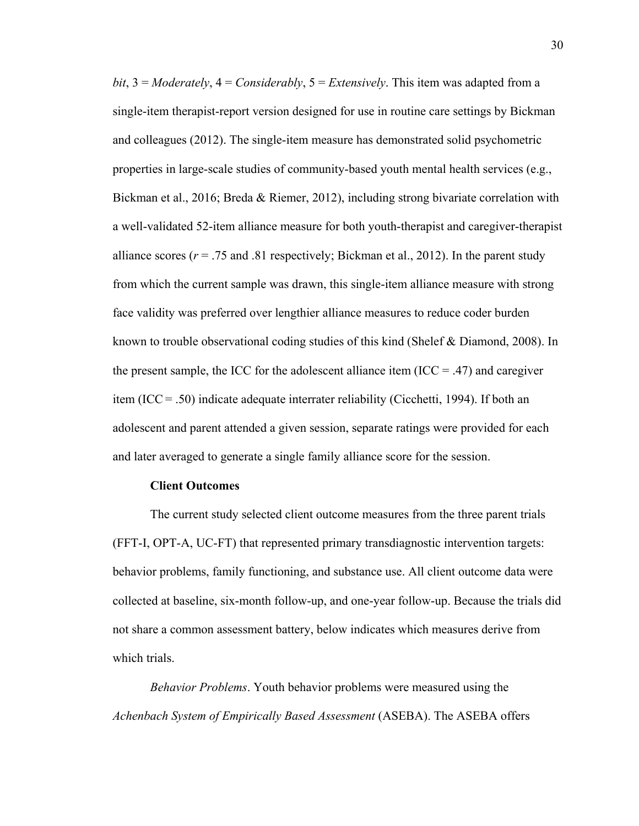*bit*, 3 = *Moderately*, 4 = *Considerably*, 5 = *Extensively*. This item was adapted from a single-item therapist-report version designed for use in routine care settings by Bickman and colleagues (2012). The single-item measure has demonstrated solid psychometric properties in large-scale studies of community-based youth mental health services (e.g., Bickman et al., 2016; Breda & Riemer, 2012), including strong bivariate correlation with a well-validated 52-item alliance measure for both youth-therapist and caregiver-therapist alliance scores  $(r = .75 \text{ and } .81 \text{ respectively};$  Bickman et al., 2012). In the parent study from which the current sample was drawn, this single-item alliance measure with strong face validity was preferred over lengthier alliance measures to reduce coder burden known to trouble observational coding studies of this kind (Shelef & Diamond, 2008). In the present sample, the ICC for the adolescent alliance item (ICC  $=$  .47) and caregiver item (ICC= .50) indicate adequate interrater reliability (Cicchetti, 1994). If both an adolescent and parent attended a given session, separate ratings were provided for each and later averaged to generate a single family alliance score for the session.

#### **Client Outcomes**

The current study selected client outcome measures from the three parent trials (FFT-I, OPT-A, UC-FT) that represented primary transdiagnostic intervention targets: behavior problems, family functioning, and substance use. All client outcome data were collected at baseline, six-month follow-up, and one-year follow-up. Because the trials did not share a common assessment battery, below indicates which measures derive from which trials.

*Behavior Problems*. Youth behavior problems were measured using the *Achenbach System of Empirically Based Assessment* (ASEBA). The ASEBA offers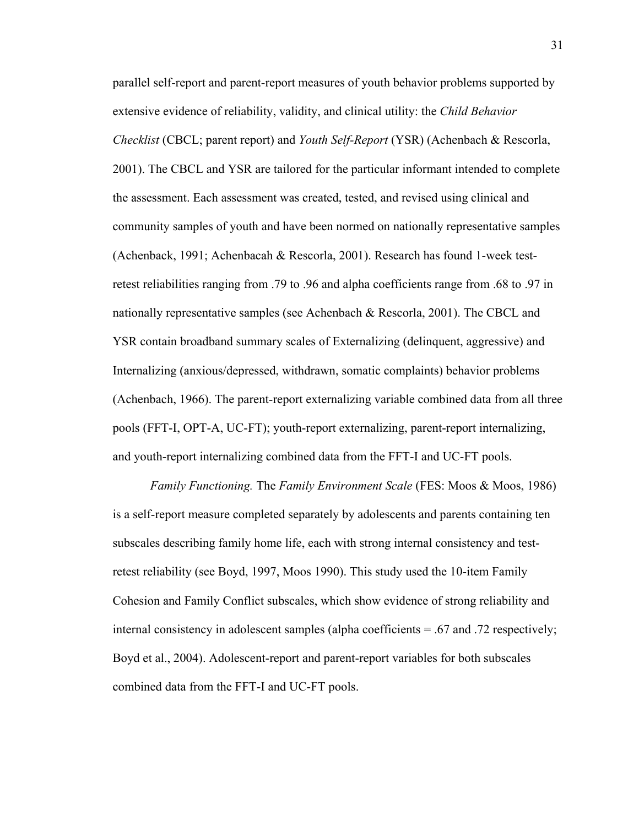parallel self-report and parent-report measures of youth behavior problems supported by extensive evidence of reliability, validity, and clinical utility: the *Child Behavior Checklist* (CBCL; parent report) and *Youth Self-Report* (YSR) (Achenbach & Rescorla, 2001). The CBCL and YSR are tailored for the particular informant intended to complete the assessment. Each assessment was created, tested, and revised using clinical and community samples of youth and have been normed on nationally representative samples (Achenback, 1991; Achenbacah & Rescorla, 2001). Research has found 1-week testretest reliabilities ranging from .79 to .96 and alpha coefficients range from .68 to .97 in nationally representative samples (see Achenbach & Rescorla, 2001). The CBCL and YSR contain broadband summary scales of Externalizing (delinquent, aggressive) and Internalizing (anxious/depressed, withdrawn, somatic complaints) behavior problems (Achenbach, 1966). The parent-report externalizing variable combined data from all three pools (FFT-I, OPT-A, UC-FT); youth-report externalizing, parent-report internalizing, and youth-report internalizing combined data from the FFT-I and UC-FT pools.

*Family Functioning.* The *Family Environment Scale* (FES: Moos & Moos, 1986) is a self-report measure completed separately by adolescents and parents containing ten subscales describing family home life, each with strong internal consistency and testretest reliability (see Boyd, 1997, Moos 1990). This study used the 10-item Family Cohesion and Family Conflict subscales, which show evidence of strong reliability and internal consistency in adolescent samples (alpha coefficients = .67 and .72 respectively; Boyd et al., 2004). Adolescent-report and parent-report variables for both subscales combined data from the FFT-I and UC-FT pools.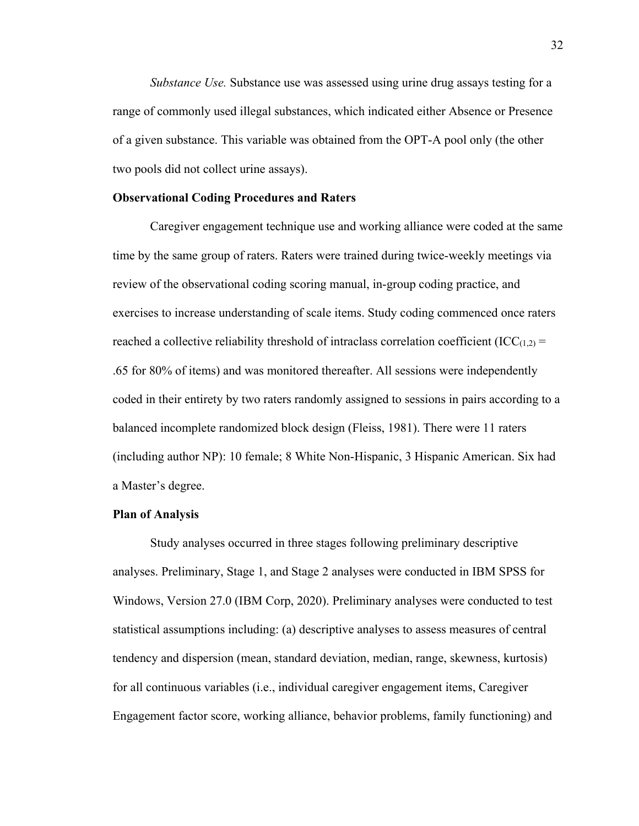*Substance Use.* Substance use was assessed using urine drug assays testing for a range of commonly used illegal substances, which indicated either Absence or Presence of a given substance. This variable was obtained from the OPT-A pool only (the other two pools did not collect urine assays).

#### **Observational Coding Procedures and Raters**

Caregiver engagement technique use and working alliance were coded at the same time by the same group of raters. Raters were trained during twice-weekly meetings via review of the observational coding scoring manual, in-group coding practice, and exercises to increase understanding of scale items. Study coding commenced once raters reached a collective reliability threshold of intraclass correlation coefficient (ICC $_{(1,2)}$  = .65 for 80% of items) and was monitored thereafter. All sessions were independently coded in their entirety by two raters randomly assigned to sessions in pairs according to a balanced incomplete randomized block design (Fleiss, 1981). There were 11 raters (including author NP): 10 female; 8 White Non-Hispanic, 3 Hispanic American. Six had a Master's degree.

#### **Plan of Analysis**

Study analyses occurred in three stages following preliminary descriptive analyses. Preliminary, Stage 1, and Stage 2 analyses were conducted in IBM SPSS for Windows, Version 27.0 (IBM Corp, 2020). Preliminary analyses were conducted to test statistical assumptions including: (a) descriptive analyses to assess measures of central tendency and dispersion (mean, standard deviation, median, range, skewness, kurtosis) for all continuous variables (i.e., individual caregiver engagement items, Caregiver Engagement factor score, working alliance, behavior problems, family functioning) and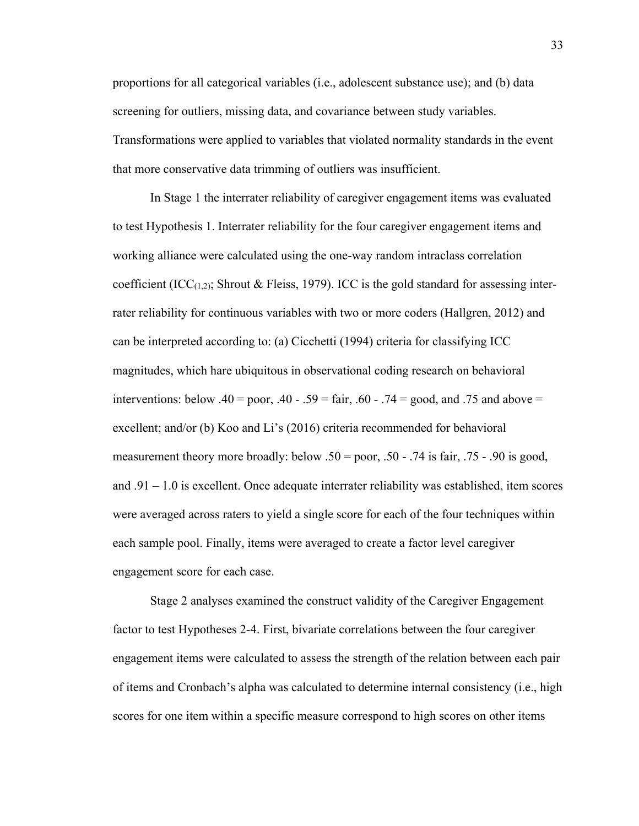proportions for all categorical variables (i.e., adolescent substance use); and (b) data screening for outliers, missing data, and covariance between study variables. Transformations were applied to variables that violated normality standards in the event that more conservative data trimming of outliers was insufficient.

In Stage 1 the interrater reliability of caregiver engagement items was evaluated to test Hypothesis 1. Interrater reliability for the four caregiver engagement items and working alliance were calculated using the one-way random intraclass correlation coefficient (ICC $(1,2)$ ; Shrout & Fleiss, 1979). ICC is the gold standard for assessing interrater reliability for continuous variables with two or more coders (Hallgren, 2012) and can be interpreted according to: (a) Cicchetti (1994) criteria for classifying ICC magnitudes, which hare ubiquitous in observational coding research on behavioral interventions: below .40 = poor, .40 - .59 = fair, .60 - .74 = good, and .75 and above = excellent; and/or (b) Koo and Li's (2016) criteria recommended for behavioral measurement theory more broadly: below .50 = poor, .50 - .74 is fair, .75 - .90 is good, and  $.91 - 1.0$  is excellent. Once adequate interrater reliability was established, item scores were averaged across raters to yield a single score for each of the four techniques within each sample pool. Finally, items were averaged to create a factor level caregiver engagement score for each case.

Stage 2 analyses examined the construct validity of the Caregiver Engagement factor to test Hypotheses 2-4. First, bivariate correlations between the four caregiver engagement items were calculated to assess the strength of the relation between each pair of items and Cronbach's alpha was calculated to determine internal consistency (i.e., high scores for one item within a specific measure correspond to high scores on other items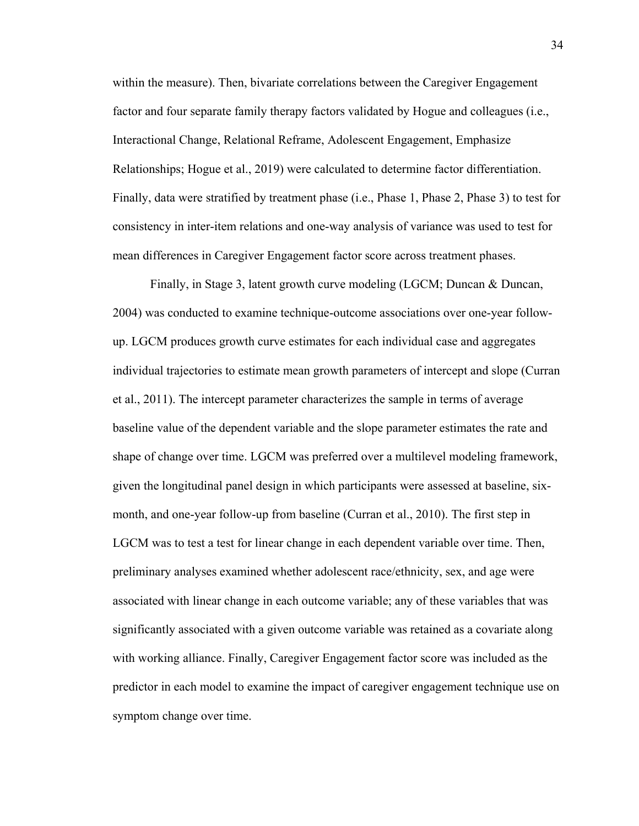within the measure). Then, bivariate correlations between the Caregiver Engagement factor and four separate family therapy factors validated by Hogue and colleagues (i.e., Interactional Change, Relational Reframe, Adolescent Engagement, Emphasize Relationships; Hogue et al., 2019) were calculated to determine factor differentiation. Finally, data were stratified by treatment phase (i.e., Phase 1, Phase 2, Phase 3) to test for consistency in inter-item relations and one-way analysis of variance was used to test for mean differences in Caregiver Engagement factor score across treatment phases.

Finally, in Stage 3, latent growth curve modeling (LGCM; Duncan & Duncan, 2004) was conducted to examine technique-outcome associations over one-year followup. LGCM produces growth curve estimates for each individual case and aggregates individual trajectories to estimate mean growth parameters of intercept and slope (Curran et al., 2011). The intercept parameter characterizes the sample in terms of average baseline value of the dependent variable and the slope parameter estimates the rate and shape of change over time. LGCM was preferred over a multilevel modeling framework, given the longitudinal panel design in which participants were assessed at baseline, sixmonth, and one-year follow-up from baseline (Curran et al., 2010). The first step in LGCM was to test a test for linear change in each dependent variable over time. Then, preliminary analyses examined whether adolescent race/ethnicity, sex, and age were associated with linear change in each outcome variable; any of these variables that was significantly associated with a given outcome variable was retained as a covariate along with working alliance. Finally, Caregiver Engagement factor score was included as the predictor in each model to examine the impact of caregiver engagement technique use on symptom change over time.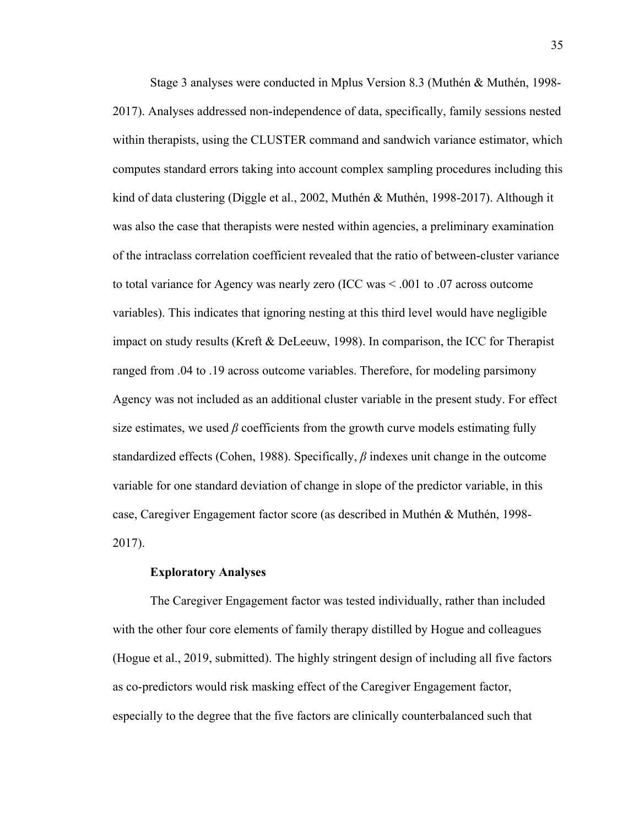Stage 3 analyses were conducted in Mplus Version 8.3 (Muthén & Muthén, 1998- 2017). Analyses addressed non-independence of data, specifically, family sessions nested within therapists, using the CLUSTER command and sandwich variance estimator, which computes standard errors taking into account complex sampling procedures including this kind of data clustering (Diggle et al., 2002, Muthén & Muthén, 1998-2017). Although it was also the case that therapists were nested within agencies, a preliminary examination of the intraclass correlation coefficient revealed that the ratio of between-cluster variance to total variance for Agency was nearly zero (ICC was < .001 to .07 across outcome variables). This indicates that ignoring nesting at this third level would have negligible impact on study results (Kreft & DeLeeuw, 1998). In comparison, the ICC for Therapist ranged from .04 to .19 across outcome variables. Therefore, for modeling parsimony Agency was not included as an additional cluster variable in the present study. For effect size estimates, we used  $\beta$  coefficients from the growth curve models estimating fully standardized effects (Cohen, 1988). Specifically, *β* indexes unit change in the outcome variable for one standard deviation of change in slope of the predictor variable, in this case, Caregiver Engagement factor score (as described in Muthén & Muthén, 1998- 2017).

#### **Exploratory Analyses**

The Caregiver Engagement factor was tested individually, rather than included with the other four core elements of family therapy distilled by Hogue and colleagues (Hogue et al., 2019, submitted). The highly stringent design of including all five factors as co-predictors would risk masking effect of the Caregiver Engagement factor, especially to the degree that the five factors are clinically counterbalanced such that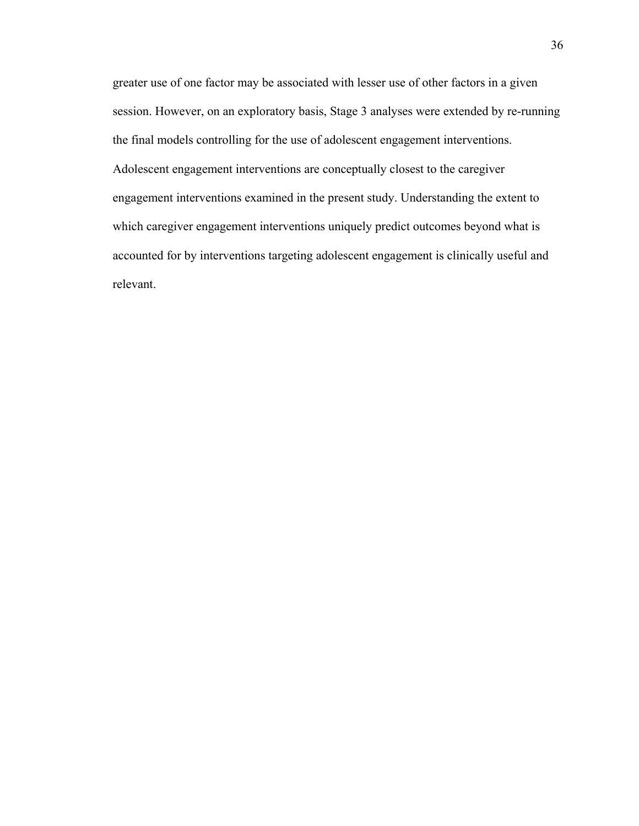greater use of one factor may be associated with lesser use of other factors in a given session. However, on an exploratory basis, Stage 3 analyses were extended by re-running the final models controlling for the use of adolescent engagement interventions. Adolescent engagement interventions are conceptually closest to the caregiver engagement interventions examined in the present study. Understanding the extent to which caregiver engagement interventions uniquely predict outcomes beyond what is accounted for by interventions targeting adolescent engagement is clinically useful and relevant.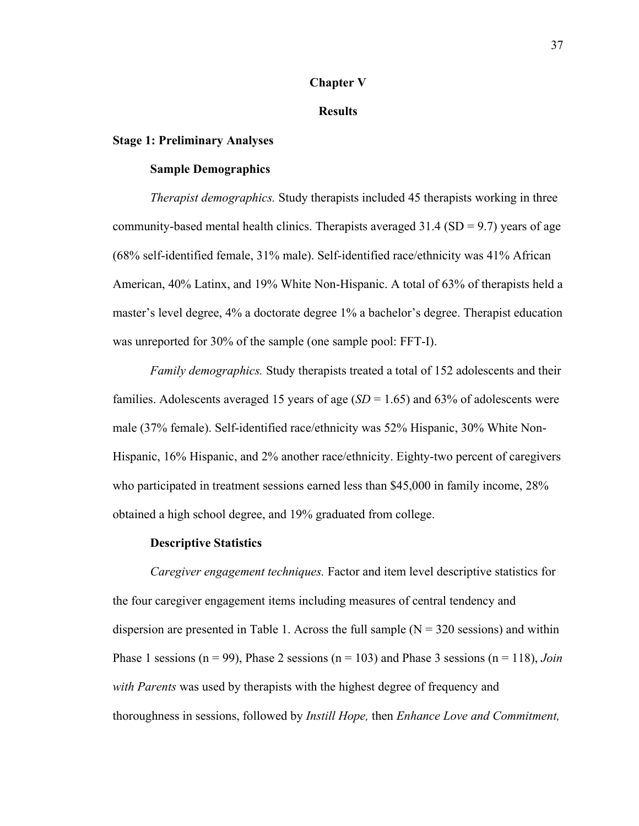#### **Chapter V**

#### **Results**

#### **Stage 1: Preliminary Analyses**

#### **Sample Demographics**

*Therapist demographics.* Study therapists included 45 therapists working in three community-based mental health clinics. Therapists averaged  $31.4$  (SD = 9.7) years of age (68% self-identified female, 31% male). Self-identified race/ethnicity was 41% African American, 40% Latinx, and 19% White Non-Hispanic. A total of 63% of therapists held a master's level degree, 4% a doctorate degree 1% a bachelor's degree. Therapist education was unreported for 30% of the sample (one sample pool: FFT-I).

 *Family demographics.* Study therapists treated a total of 152 adolescents and their families. Adolescents averaged 15 years of age (*SD* = 1.65) and 63% of adolescents were male (37% female). Self-identified race/ethnicity was 52% Hispanic, 30% White Non-Hispanic, 16% Hispanic, and 2% another race/ethnicity. Eighty-two percent of caregivers who participated in treatment sessions earned less than \$45,000 in family income, 28% obtained a high school degree, and 19% graduated from college.

#### **Descriptive Statistics**

*Caregiver engagement techniques.* Factor and item level descriptive statistics for the four caregiver engagement items including measures of central tendency and dispersion are presented in Table 1. Across the full sample  $(N = 320$  sessions) and within Phase 1 sessions ( $n = 99$ ), Phase 2 sessions ( $n = 103$ ) and Phase 3 sessions ( $n = 118$ ), *Join with Parents* was used by therapists with the highest degree of frequency and thoroughness in sessions, followed by *Instill Hope,* then *Enhance Love and Commitment,*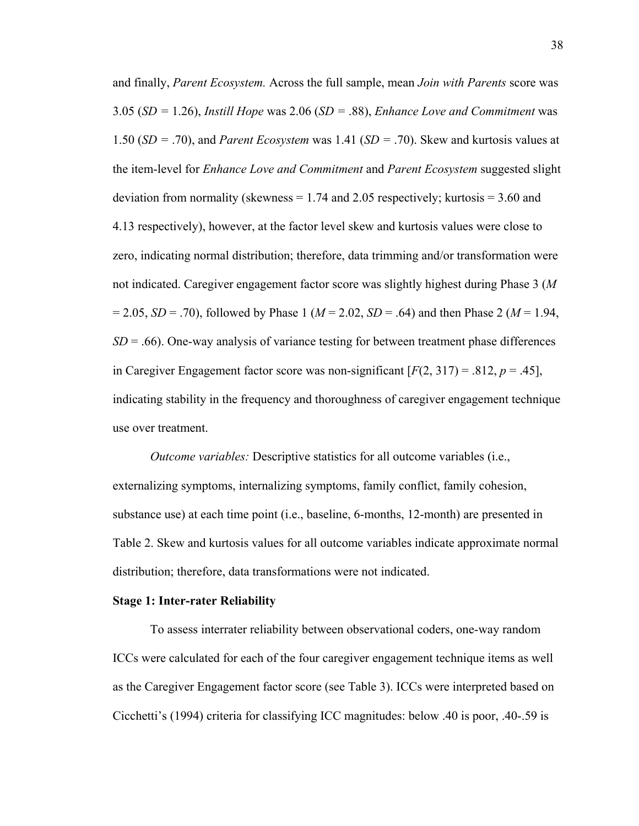and finally, *Parent Ecosystem.* Across the full sample, mean *Join with Parents* score was 3.05 (*SD =* 1.26), *Instill Hope* was 2.06 (*SD =* .88), *Enhance Love and Commitment* was 1.50 (*SD =* .70), and *Parent Ecosystem* was 1.41 (*SD =* .70). Skew and kurtosis values at the item-level for *Enhance Love and Commitment* and *Parent Ecosystem* suggested slight deviation from normality (skewness  $= 1.74$  and 2.05 respectively; kurtosis  $= 3.60$  and 4.13 respectively), however, at the factor level skew and kurtosis values were close to zero, indicating normal distribution; therefore, data trimming and/or transformation were not indicated. Caregiver engagement factor score was slightly highest during Phase 3 (*M* = 2.05, *SD* = .70), followed by Phase 1 (*M* = 2.02, *SD* = .64) and then Phase 2 (*M* = 1.94,  $SD = .66$ ). One-way analysis of variance testing for between treatment phase differences in Caregiver Engagement factor score was non-significant  $[F(2, 317) = .812, p = .45]$ , indicating stability in the frequency and thoroughness of caregiver engagement technique use over treatment.

*Outcome variables:* Descriptive statistics for all outcome variables (i.e., externalizing symptoms, internalizing symptoms, family conflict, family cohesion, substance use) at each time point (i.e., baseline, 6-months, 12-month) are presented in Table 2. Skew and kurtosis values for all outcome variables indicate approximate normal distribution; therefore, data transformations were not indicated.

#### **Stage 1: Inter-rater Reliability**

To assess interrater reliability between observational coders, one-way random ICCs were calculated for each of the four caregiver engagement technique items as well as the Caregiver Engagement factor score (see Table 3). ICCs were interpreted based on Cicchetti's (1994) criteria for classifying ICC magnitudes: below .40 is poor, .40-.59 is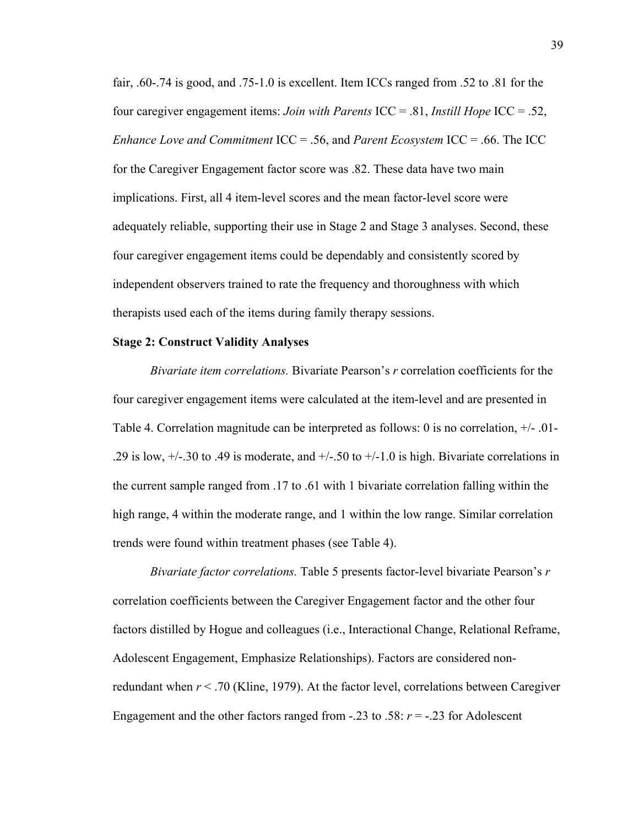fair, .60-.74 is good, and .75-1.0 is excellent. Item ICCs ranged from .52 to .81 for the four caregiver engagement items: *Join with Parents* ICC = .81, *Instill Hope* ICC = .52, *Enhance Love and Commitment* ICC = .56, and *Parent Ecosystem* ICC = .66. The ICC for the Caregiver Engagement factor score was .82. These data have two main implications. First, all 4 item-level scores and the mean factor-level score were adequately reliable, supporting their use in Stage 2 and Stage 3 analyses. Second, these four caregiver engagement items could be dependably and consistently scored by independent observers trained to rate the frequency and thoroughness with which therapists used each of the items during family therapy sessions.

#### **Stage 2: Construct Validity Analyses**

*Bivariate item correlations.* Bivariate Pearson's *r* correlation coefficients for the four caregiver engagement items were calculated at the item-level and are presented in Table 4. Correlation magnitude can be interpreted as follows: 0 is no correlation, +/- .01- .29 is low,  $+/-.30$  to .49 is moderate, and  $+/-.50$  to  $+/-1.0$  is high. Bivariate correlations in the current sample ranged from .17 to .61 with 1 bivariate correlation falling within the high range, 4 within the moderate range, and 1 within the low range. Similar correlation trends were found within treatment phases (see Table 4).

*Bivariate factor correlations.* Table 5 presents factor-level bivariate Pearson's *r* correlation coefficients between the Caregiver Engagement factor and the other four factors distilled by Hogue and colleagues (i.e., Interactional Change, Relational Reframe, Adolescent Engagement, Emphasize Relationships). Factors are considered nonredundant when *r* < .70 (Kline, 1979). At the factor level, correlations between Caregiver Engagement and the other factors ranged from  $-.23$  to  $.58: r = -.23$  for Adolescent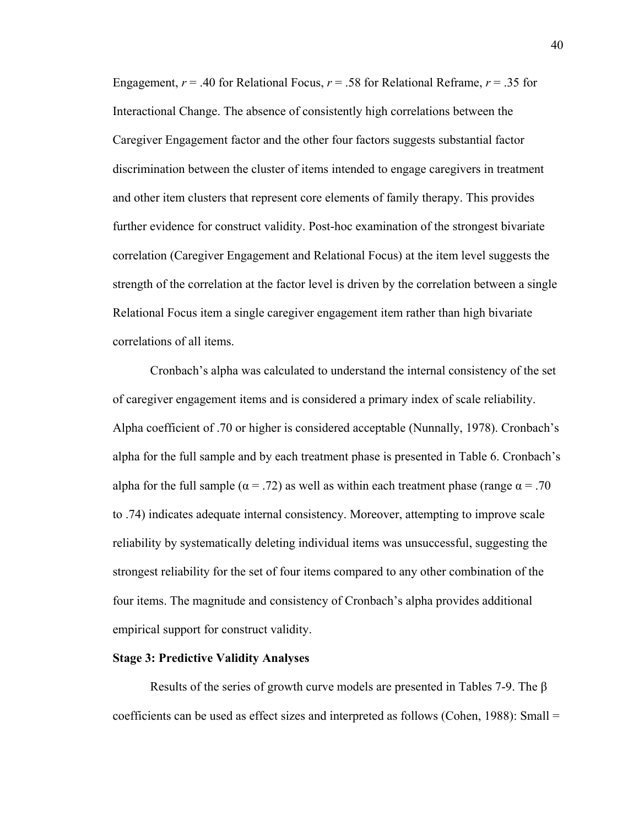Engagement,  $r = .40$  for Relational Focus,  $r = .58$  for Relational Reframe,  $r = .35$  for Interactional Change. The absence of consistently high correlations between the Caregiver Engagement factor and the other four factors suggests substantial factor discrimination between the cluster of items intended to engage caregivers in treatment and other item clusters that represent core elements of family therapy. This provides further evidence for construct validity. Post-hoc examination of the strongest bivariate correlation (Caregiver Engagement and Relational Focus) at the item level suggests the strength of the correlation at the factor level is driven by the correlation between a single Relational Focus item a single caregiver engagement item rather than high bivariate correlations of all items.

Cronbach's alpha was calculated to understand the internal consistency of the set of caregiver engagement items and is considered a primary index of scale reliability. Alpha coefficient of .70 or higher is considered acceptable (Nunnally, 1978). Cronbach's alpha for the full sample and by each treatment phase is presented in Table 6. Cronbach's alpha for the full sample ( $\alpha = .72$ ) as well as within each treatment phase (range  $\alpha = .70$ ) to .74) indicates adequate internal consistency. Moreover, attempting to improve scale reliability by systematically deleting individual items was unsuccessful, suggesting the strongest reliability for the set of four items compared to any other combination of the four items. The magnitude and consistency of Cronbach's alpha provides additional empirical support for construct validity.

#### **Stage 3: Predictive Validity Analyses**

Results of the series of growth curve models are presented in Tables 7-9. The β coefficients can be used as effect sizes and interpreted as follows (Cohen, 1988): Small =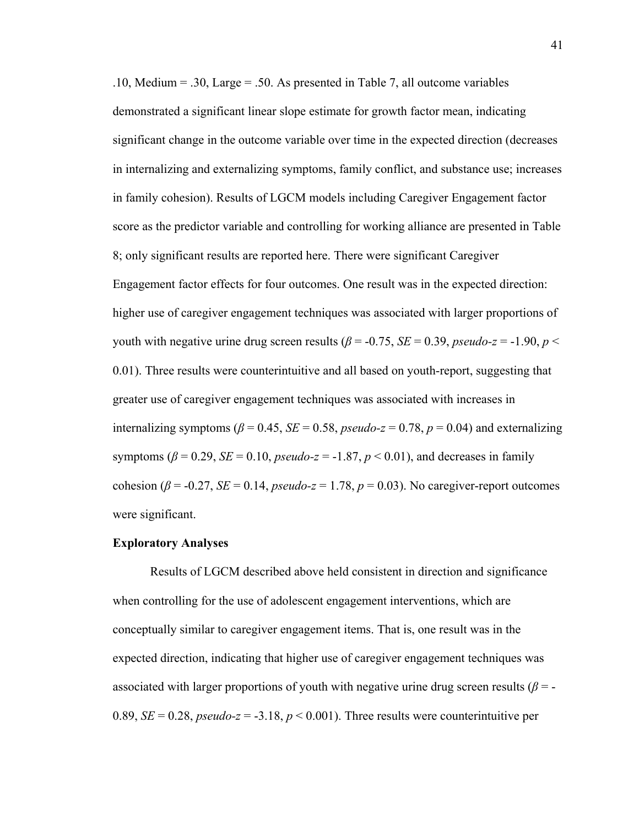.10, Medium = .30, Large = .50. As presented in Table 7, all outcome variables demonstrated a significant linear slope estimate for growth factor mean, indicating significant change in the outcome variable over time in the expected direction (decreases in internalizing and externalizing symptoms, family conflict, and substance use; increases in family cohesion). Results of LGCM models including Caregiver Engagement factor score as the predictor variable and controlling for working alliance are presented in Table 8; only significant results are reported here. There were significant Caregiver Engagement factor effects for four outcomes. One result was in the expected direction: higher use of caregiver engagement techniques was associated with larger proportions of youth with negative urine drug screen results ( $\beta$  = -0.75, *SE* = 0.39, *pseudo-z* = -1.90, *p* < 0.01). Three results were counterintuitive and all based on youth-report, suggesting that greater use of caregiver engagement techniques was associated with increases in internalizing symptoms ( $\beta$  = 0.45, *SE* = 0.58, *pseudo-z* = 0.78, *p* = 0.04) and externalizing symptoms ( $\beta$  = 0.29, *SE* = 0.10, *pseudo-z* = -1.87, *p* < 0.01), and decreases in family cohesion ( $\beta$  = -0.27, *SE* = 0.14, *pseudo-z* = 1.78,  $p$  = 0.03). No caregiver-report outcomes were significant.

#### **Exploratory Analyses**

Results of LGCM described above held consistent in direction and significance when controlling for the use of adolescent engagement interventions, which are conceptually similar to caregiver engagement items. That is, one result was in the expected direction, indicating that higher use of caregiver engagement techniques was associated with larger proportions of youth with negative urine drug screen results (*β* = - 0.89,  $SE = 0.28$ , *pseudo-z* = -3.18,  $p < 0.001$ ). Three results were counterintuitive per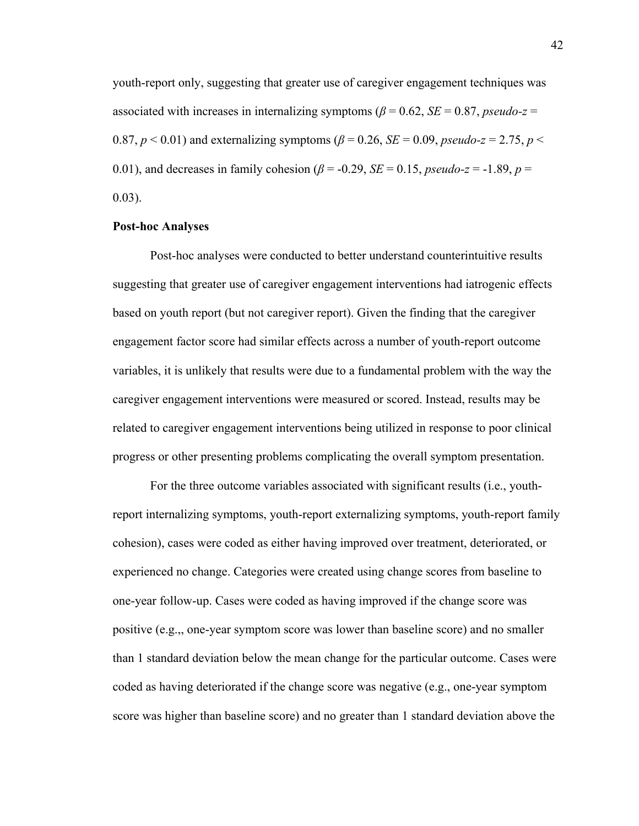youth-report only, suggesting that greater use of caregiver engagement techniques was associated with increases in internalizing symptoms ( $\beta = 0.62$ ,  $SE = 0.87$ , *pseudo-z =* 0.87,  $p < 0.01$  and externalizing symptoms ( $\beta = 0.26$ ,  $SE = 0.09$ , *pseudo-z* = 2.75,  $p <$ 0.01), and decreases in family cohesion ( $\beta$  = -0.29, *SE* = 0.15, *pseudo-z* = -1.89, *p* =  $0.03$ ).

#### **Post-hoc Analyses**

Post-hoc analyses were conducted to better understand counterintuitive results suggesting that greater use of caregiver engagement interventions had iatrogenic effects based on youth report (but not caregiver report). Given the finding that the caregiver engagement factor score had similar effects across a number of youth-report outcome variables, it is unlikely that results were due to a fundamental problem with the way the caregiver engagement interventions were measured or scored. Instead, results may be related to caregiver engagement interventions being utilized in response to poor clinical progress or other presenting problems complicating the overall symptom presentation.

For the three outcome variables associated with significant results (i.e., youthreport internalizing symptoms, youth-report externalizing symptoms, youth-report family cohesion), cases were coded as either having improved over treatment, deteriorated, or experienced no change. Categories were created using change scores from baseline to one-year follow-up. Cases were coded as having improved if the change score was positive (e.g.,, one-year symptom score was lower than baseline score) and no smaller than 1 standard deviation below the mean change for the particular outcome. Cases were coded as having deteriorated if the change score was negative (e.g., one-year symptom score was higher than baseline score) and no greater than 1 standard deviation above the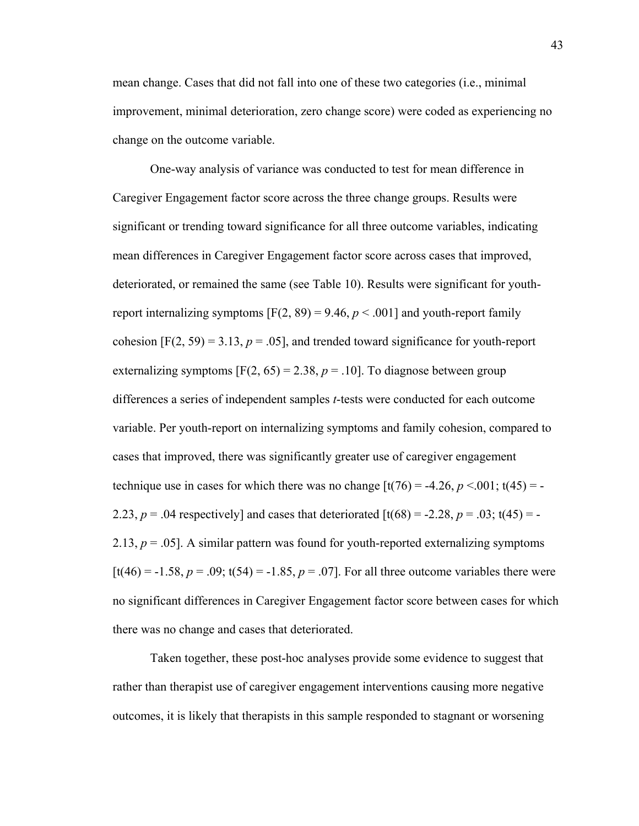mean change. Cases that did not fall into one of these two categories (i.e., minimal improvement, minimal deterioration, zero change score) were coded as experiencing no change on the outcome variable.

One-way analysis of variance was conducted to test for mean difference in Caregiver Engagement factor score across the three change groups. Results were significant or trending toward significance for all three outcome variables, indicating mean differences in Caregiver Engagement factor score across cases that improved, deteriorated, or remained the same (see Table 10). Results were significant for youthreport internalizing symptoms  $[F(2, 89) = 9.46, p < .001]$  and youth-report family cohesion  $[F(2, 59) = 3.13, p = .05]$ , and trended toward significance for youth-report externalizing symptoms  $[F(2, 65) = 2.38, p = .10]$ . To diagnose between group differences a series of independent samples *t*-tests were conducted for each outcome variable. Per youth-report on internalizing symptoms and family cohesion, compared to cases that improved, there was significantly greater use of caregiver engagement technique use in cases for which there was no change  $[t(76) = -4.26, p < 0.001; t(45) = -1.001$ 2.23,  $p = .04$  respectively] and cases that deteriorated  $\left[\frac{t(68)}{s} - 2.28, p = .03; t(45) = -1\right]$ 2.13,  $p = .05$ ]. A similar pattern was found for youth-reported externalizing symptoms  $[t(46) = -1.58, p = .09; t(54) = -1.85, p = .07]$ . For all three outcome variables there were no significant differences in Caregiver Engagement factor score between cases for which there was no change and cases that deteriorated.

Taken together, these post-hoc analyses provide some evidence to suggest that rather than therapist use of caregiver engagement interventions causing more negative outcomes, it is likely that therapists in this sample responded to stagnant or worsening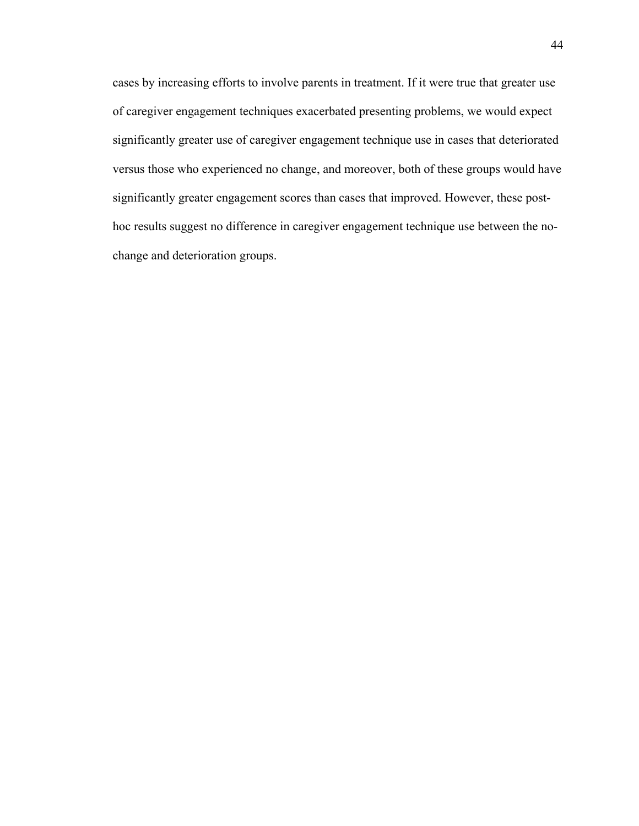cases by increasing efforts to involve parents in treatment. If it were true that greater use of caregiver engagement techniques exacerbated presenting problems, we would expect significantly greater use of caregiver engagement technique use in cases that deteriorated versus those who experienced no change, and moreover, both of these groups would have significantly greater engagement scores than cases that improved. However, these posthoc results suggest no difference in caregiver engagement technique use between the nochange and deterioration groups.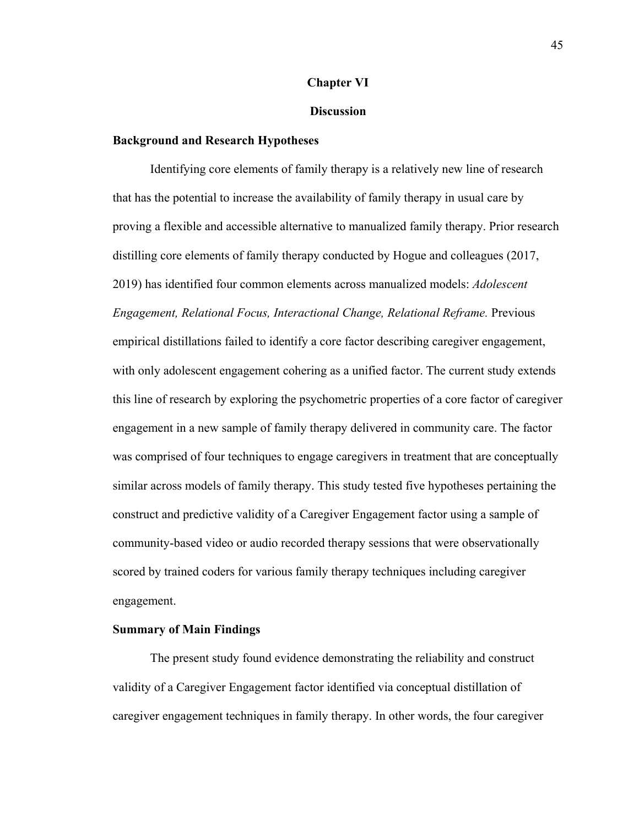#### **Chapter VI**

#### **Discussion**

#### **Background and Research Hypotheses**

Identifying core elements of family therapy is a relatively new line of research that has the potential to increase the availability of family therapy in usual care by proving a flexible and accessible alternative to manualized family therapy. Prior research distilling core elements of family therapy conducted by Hogue and colleagues (2017, 2019) has identified four common elements across manualized models: *Adolescent Engagement, Relational Focus, Interactional Change, Relational Reframe.* Previous empirical distillations failed to identify a core factor describing caregiver engagement, with only adolescent engagement cohering as a unified factor. The current study extends this line of research by exploring the psychometric properties of a core factor of caregiver engagement in a new sample of family therapy delivered in community care. The factor was comprised of four techniques to engage caregivers in treatment that are conceptually similar across models of family therapy. This study tested five hypotheses pertaining the construct and predictive validity of a Caregiver Engagement factor using a sample of community-based video or audio recorded therapy sessions that were observationally scored by trained coders for various family therapy techniques including caregiver engagement.

#### **Summary of Main Findings**

The present study found evidence demonstrating the reliability and construct validity of a Caregiver Engagement factor identified via conceptual distillation of caregiver engagement techniques in family therapy. In other words, the four caregiver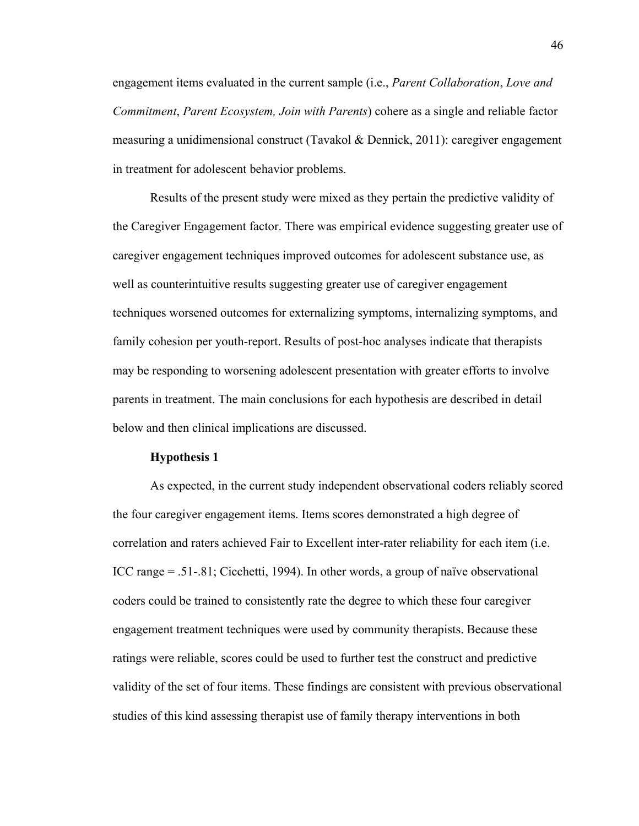engagement items evaluated in the current sample (i.e., *Parent Collaboration*, *Love and Commitment*, *Parent Ecosystem, Join with Parents*) cohere as a single and reliable factor measuring a unidimensional construct (Tavakol & Dennick, 2011): caregiver engagement in treatment for adolescent behavior problems.

Results of the present study were mixed as they pertain the predictive validity of the Caregiver Engagement factor. There was empirical evidence suggesting greater use of caregiver engagement techniques improved outcomes for adolescent substance use, as well as counterintuitive results suggesting greater use of caregiver engagement techniques worsened outcomes for externalizing symptoms, internalizing symptoms, and family cohesion per youth-report. Results of post-hoc analyses indicate that therapists may be responding to worsening adolescent presentation with greater efforts to involve parents in treatment. The main conclusions for each hypothesis are described in detail below and then clinical implications are discussed.

#### **Hypothesis 1**

As expected, in the current study independent observational coders reliably scored the four caregiver engagement items. Items scores demonstrated a high degree of correlation and raters achieved Fair to Excellent inter-rater reliability for each item (i.e. ICC range = .51-.81; Cicchetti, 1994). In other words, a group of naïve observational coders could be trained to consistently rate the degree to which these four caregiver engagement treatment techniques were used by community therapists. Because these ratings were reliable, scores could be used to further test the construct and predictive validity of the set of four items. These findings are consistent with previous observational studies of this kind assessing therapist use of family therapy interventions in both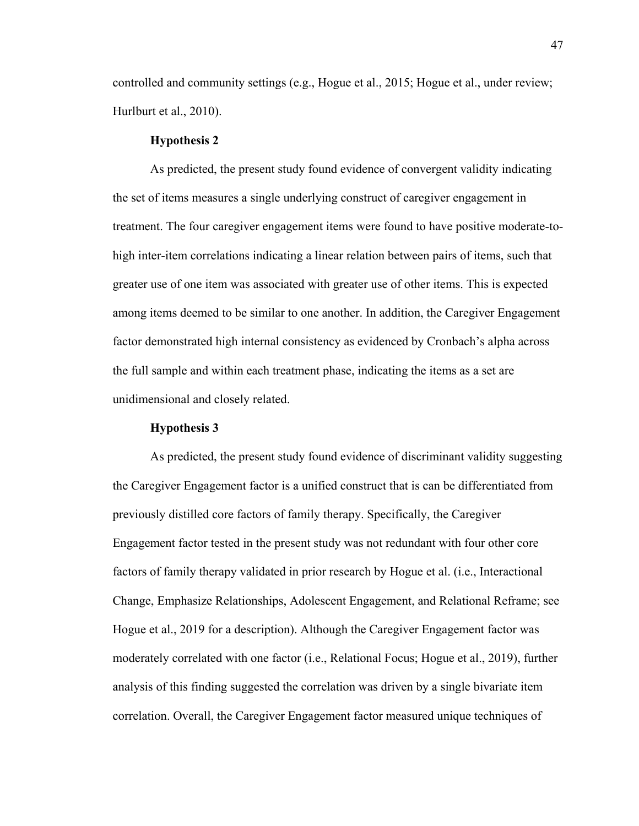controlled and community settings (e.g., Hogue et al., 2015; Hogue et al., under review; Hurlburt et al., 2010).

#### **Hypothesis 2**

As predicted, the present study found evidence of convergent validity indicating the set of items measures a single underlying construct of caregiver engagement in treatment. The four caregiver engagement items were found to have positive moderate-tohigh inter-item correlations indicating a linear relation between pairs of items, such that greater use of one item was associated with greater use of other items. This is expected among items deemed to be similar to one another. In addition, the Caregiver Engagement factor demonstrated high internal consistency as evidenced by Cronbach's alpha across the full sample and within each treatment phase, indicating the items as a set are unidimensional and closely related.

#### **Hypothesis 3**

As predicted, the present study found evidence of discriminant validity suggesting the Caregiver Engagement factor is a unified construct that is can be differentiated from previously distilled core factors of family therapy. Specifically, the Caregiver Engagement factor tested in the present study was not redundant with four other core factors of family therapy validated in prior research by Hogue et al. (i.e., Interactional Change, Emphasize Relationships, Adolescent Engagement, and Relational Reframe; see Hogue et al., 2019 for a description). Although the Caregiver Engagement factor was moderately correlated with one factor (i.e., Relational Focus; Hogue et al., 2019), further analysis of this finding suggested the correlation was driven by a single bivariate item correlation. Overall, the Caregiver Engagement factor measured unique techniques of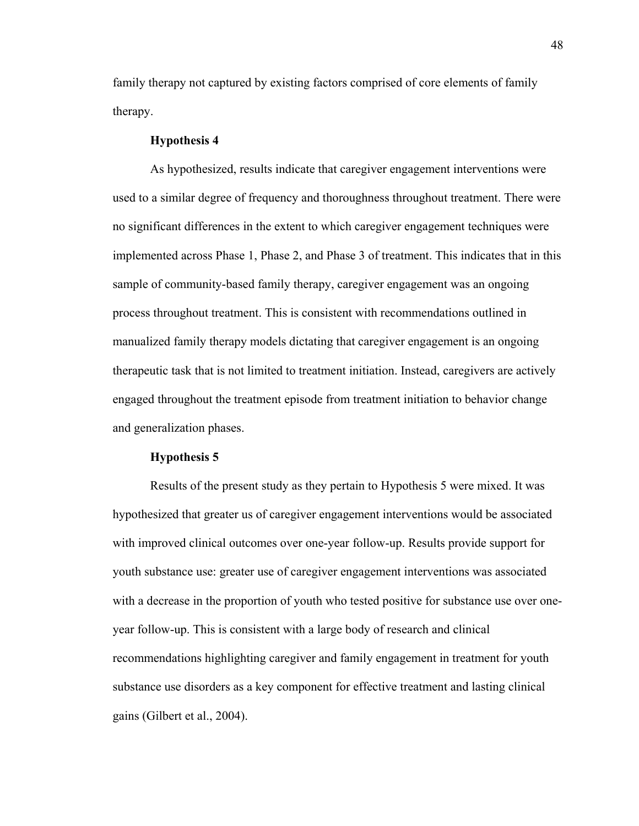family therapy not captured by existing factors comprised of core elements of family therapy.

#### **Hypothesis 4**

As hypothesized, results indicate that caregiver engagement interventions were used to a similar degree of frequency and thoroughness throughout treatment. There were no significant differences in the extent to which caregiver engagement techniques were implemented across Phase 1, Phase 2, and Phase 3 of treatment. This indicates that in this sample of community-based family therapy, caregiver engagement was an ongoing process throughout treatment. This is consistent with recommendations outlined in manualized family therapy models dictating that caregiver engagement is an ongoing therapeutic task that is not limited to treatment initiation. Instead, caregivers are actively engaged throughout the treatment episode from treatment initiation to behavior change and generalization phases.

#### **Hypothesis 5**

Results of the present study as they pertain to Hypothesis 5 were mixed. It was hypothesized that greater us of caregiver engagement interventions would be associated with improved clinical outcomes over one-year follow-up. Results provide support for youth substance use: greater use of caregiver engagement interventions was associated with a decrease in the proportion of youth who tested positive for substance use over oneyear follow-up. This is consistent with a large body of research and clinical recommendations highlighting caregiver and family engagement in treatment for youth substance use disorders as a key component for effective treatment and lasting clinical gains (Gilbert et al., 2004).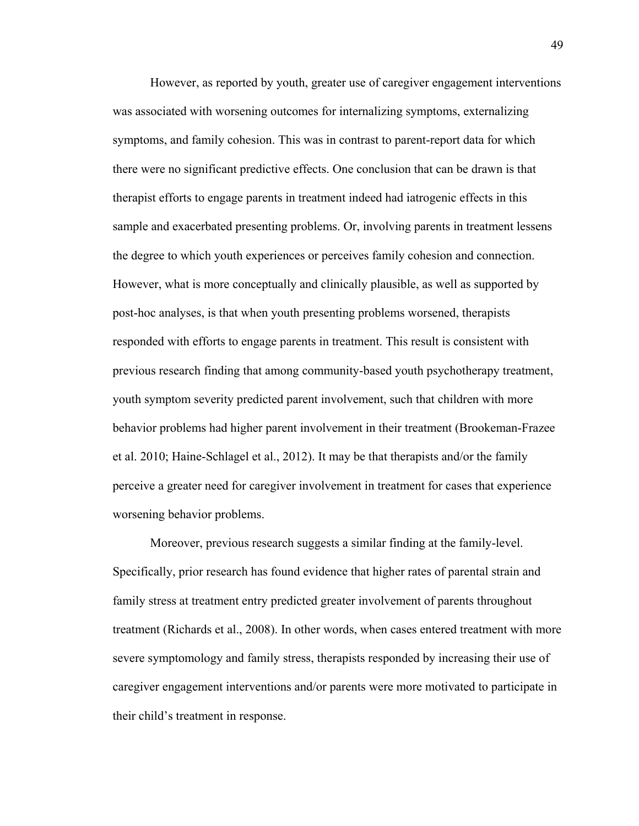However, as reported by youth, greater use of caregiver engagement interventions was associated with worsening outcomes for internalizing symptoms, externalizing symptoms, and family cohesion. This was in contrast to parent-report data for which there were no significant predictive effects. One conclusion that can be drawn is that therapist efforts to engage parents in treatment indeed had iatrogenic effects in this sample and exacerbated presenting problems. Or, involving parents in treatment lessens the degree to which youth experiences or perceives family cohesion and connection. However, what is more conceptually and clinically plausible, as well as supported by post-hoc analyses, is that when youth presenting problems worsened, therapists responded with efforts to engage parents in treatment. This result is consistent with previous research finding that among community-based youth psychotherapy treatment, youth symptom severity predicted parent involvement, such that children with more behavior problems had higher parent involvement in their treatment (Brookeman-Frazee et al. 2010; Haine-Schlagel et al., 2012). It may be that therapists and/or the family perceive a greater need for caregiver involvement in treatment for cases that experience worsening behavior problems.

Moreover, previous research suggests a similar finding at the family-level. Specifically, prior research has found evidence that higher rates of parental strain and family stress at treatment entry predicted greater involvement of parents throughout treatment (Richards et al., 2008). In other words, when cases entered treatment with more severe symptomology and family stress, therapists responded by increasing their use of caregiver engagement interventions and/or parents were more motivated to participate in their child's treatment in response.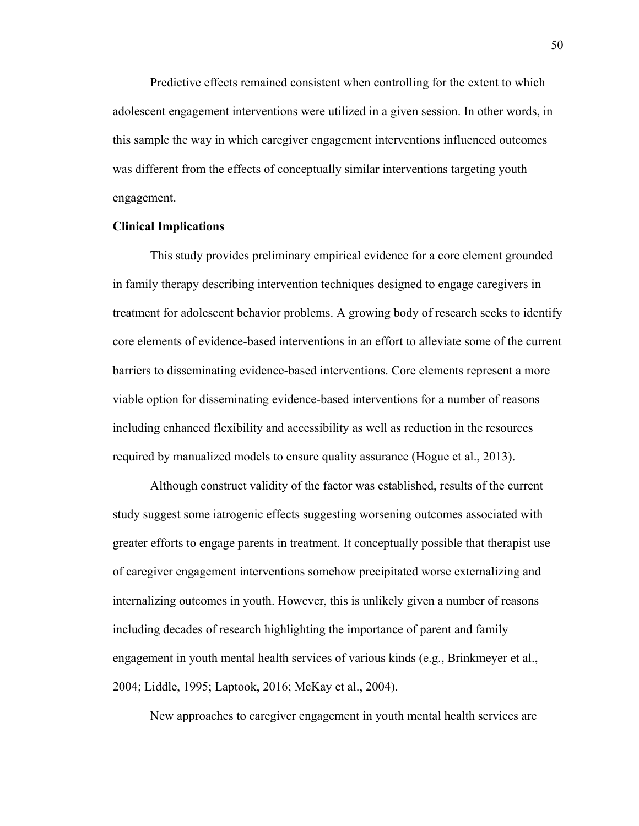Predictive effects remained consistent when controlling for the extent to which adolescent engagement interventions were utilized in a given session. In other words, in this sample the way in which caregiver engagement interventions influenced outcomes was different from the effects of conceptually similar interventions targeting youth engagement.

#### **Clinical Implications**

This study provides preliminary empirical evidence for a core element grounded in family therapy describing intervention techniques designed to engage caregivers in treatment for adolescent behavior problems. A growing body of research seeks to identify core elements of evidence-based interventions in an effort to alleviate some of the current barriers to disseminating evidence-based interventions. Core elements represent a more viable option for disseminating evidence-based interventions for a number of reasons including enhanced flexibility and accessibility as well as reduction in the resources required by manualized models to ensure quality assurance (Hogue et al., 2013).

Although construct validity of the factor was established, results of the current study suggest some iatrogenic effects suggesting worsening outcomes associated with greater efforts to engage parents in treatment. It conceptually possible that therapist use of caregiver engagement interventions somehow precipitated worse externalizing and internalizing outcomes in youth. However, this is unlikely given a number of reasons including decades of research highlighting the importance of parent and family engagement in youth mental health services of various kinds (e.g., Brinkmeyer et al., 2004; Liddle, 1995; Laptook, 2016; McKay et al., 2004).

New approaches to caregiver engagement in youth mental health services are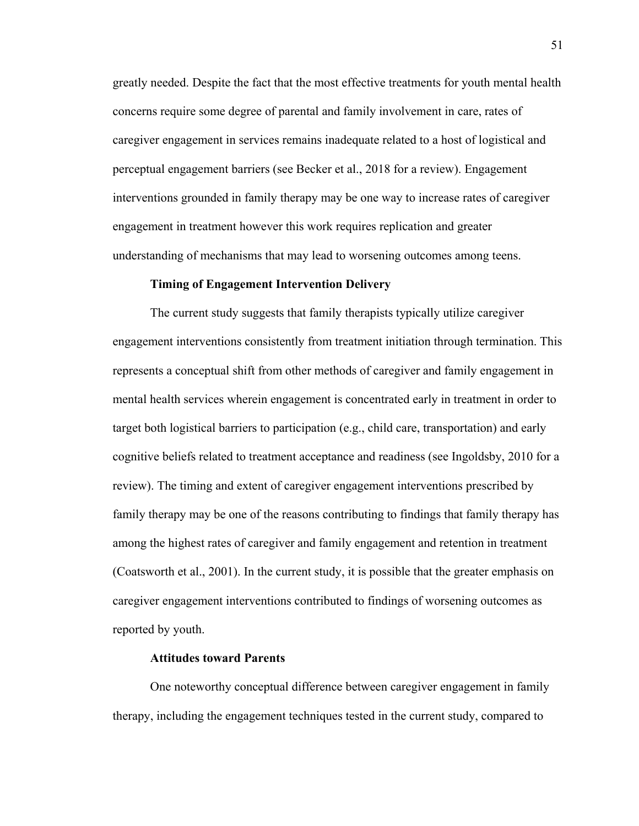greatly needed. Despite the fact that the most effective treatments for youth mental health concerns require some degree of parental and family involvement in care, rates of caregiver engagement in services remains inadequate related to a host of logistical and perceptual engagement barriers (see Becker et al., 2018 for a review). Engagement interventions grounded in family therapy may be one way to increase rates of caregiver engagement in treatment however this work requires replication and greater understanding of mechanisms that may lead to worsening outcomes among teens.

#### **Timing of Engagement Intervention Delivery**

The current study suggests that family therapists typically utilize caregiver engagement interventions consistently from treatment initiation through termination. This represents a conceptual shift from other methods of caregiver and family engagement in mental health services wherein engagement is concentrated early in treatment in order to target both logistical barriers to participation (e.g., child care, transportation) and early cognitive beliefs related to treatment acceptance and readiness (see Ingoldsby, 2010 for a review). The timing and extent of caregiver engagement interventions prescribed by family therapy may be one of the reasons contributing to findings that family therapy has among the highest rates of caregiver and family engagement and retention in treatment (Coatsworth et al., 2001). In the current study, it is possible that the greater emphasis on caregiver engagement interventions contributed to findings of worsening outcomes as reported by youth.

#### **Attitudes toward Parents**

One noteworthy conceptual difference between caregiver engagement in family therapy, including the engagement techniques tested in the current study, compared to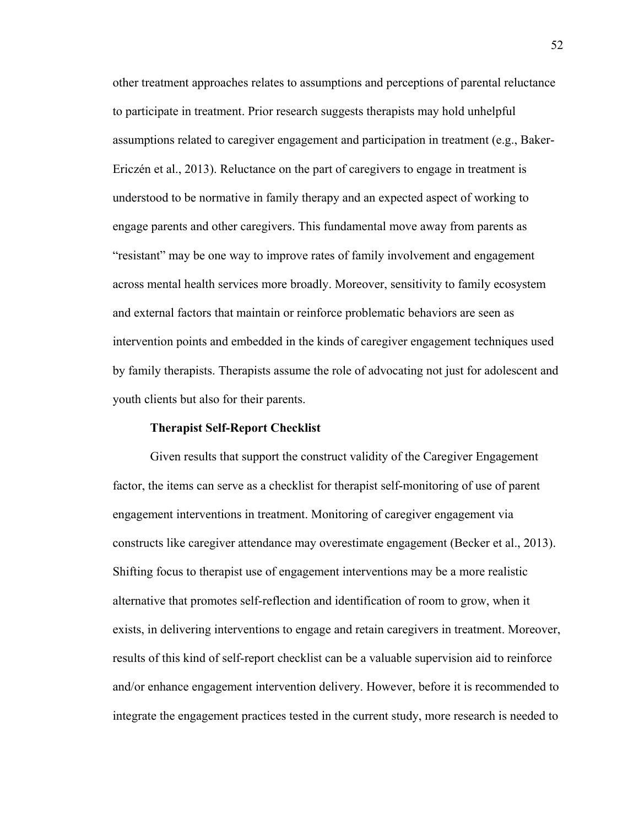other treatment approaches relates to assumptions and perceptions of parental reluctance to participate in treatment. Prior research suggests therapists may hold unhelpful assumptions related to caregiver engagement and participation in treatment (e.g., [Baker-](https://www.ncbi.nlm.nih.gov/pmc/articles/PMC5556951/#R5)[Ericzén et al., 2013\)](https://www.ncbi.nlm.nih.gov/pmc/articles/PMC5556951/#R5). Reluctance on the part of caregivers to engage in treatment is understood to be normative in family therapy and an expected aspect of working to engage parents and other caregivers. This fundamental move away from parents as "resistant" may be one way to improve rates of family involvement and engagement across mental health services more broadly. Moreover, sensitivity to family ecosystem and external factors that maintain or reinforce problematic behaviors are seen as intervention points and embedded in the kinds of caregiver engagement techniques used by family therapists. Therapists assume the role of advocating not just for adolescent and youth clients but also for their parents.

#### **Therapist Self-Report Checklist**

Given results that support the construct validity of the Caregiver Engagement factor, the items can serve as a checklist for therapist self-monitoring of use of parent engagement interventions in treatment. Monitoring of caregiver engagement via constructs like caregiver attendance may overestimate engagement (Becker et al., 2013). Shifting focus to therapist use of engagement interventions may be a more realistic alternative that promotes self-reflection and identification of room to grow, when it exists, in delivering interventions to engage and retain caregivers in treatment. Moreover, results of this kind of self-report checklist can be a valuable supervision aid to reinforce and/or enhance engagement intervention delivery. However, before it is recommended to integrate the engagement practices tested in the current study, more research is needed to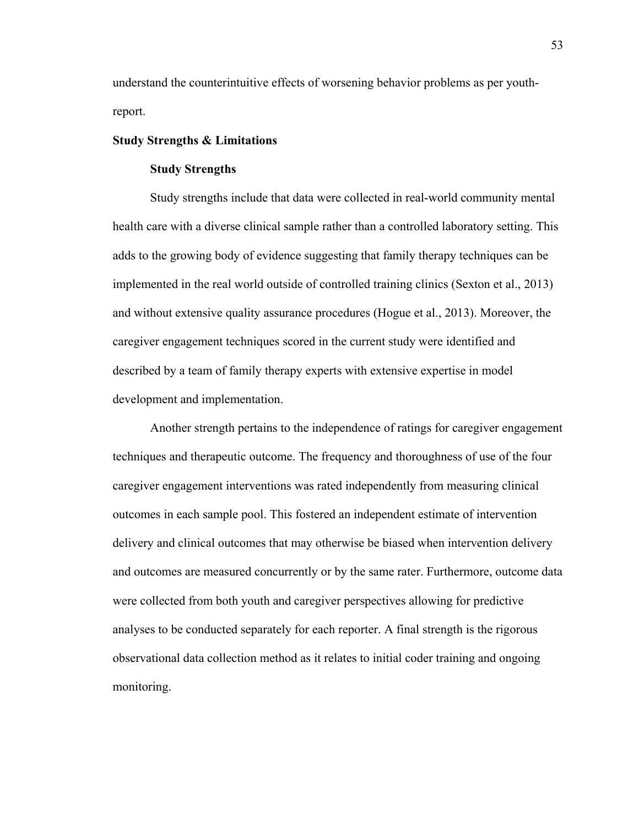understand the counterintuitive effects of worsening behavior problems as per youthreport.

#### **Study Strengths & Limitations**

#### **Study Strengths**

Study strengths include that data were collected in real-world community mental health care with a diverse clinical sample rather than a controlled laboratory setting. This adds to the growing body of evidence suggesting that family therapy techniques can be implemented in the real world outside of controlled training clinics (Sexton et al., 2013) and without extensive quality assurance procedures (Hogue et al., 2013). Moreover, the caregiver engagement techniques scored in the current study were identified and described by a team of family therapy experts with extensive expertise in model development and implementation.

Another strength pertains to the independence of ratings for caregiver engagement techniques and therapeutic outcome. The frequency and thoroughness of use of the four caregiver engagement interventions was rated independently from measuring clinical outcomes in each sample pool. This fostered an independent estimate of intervention delivery and clinical outcomes that may otherwise be biased when intervention delivery and outcomes are measured concurrently or by the same rater. Furthermore, outcome data were collected from both youth and caregiver perspectives allowing for predictive analyses to be conducted separately for each reporter. A final strength is the rigorous observational data collection method as it relates to initial coder training and ongoing monitoring.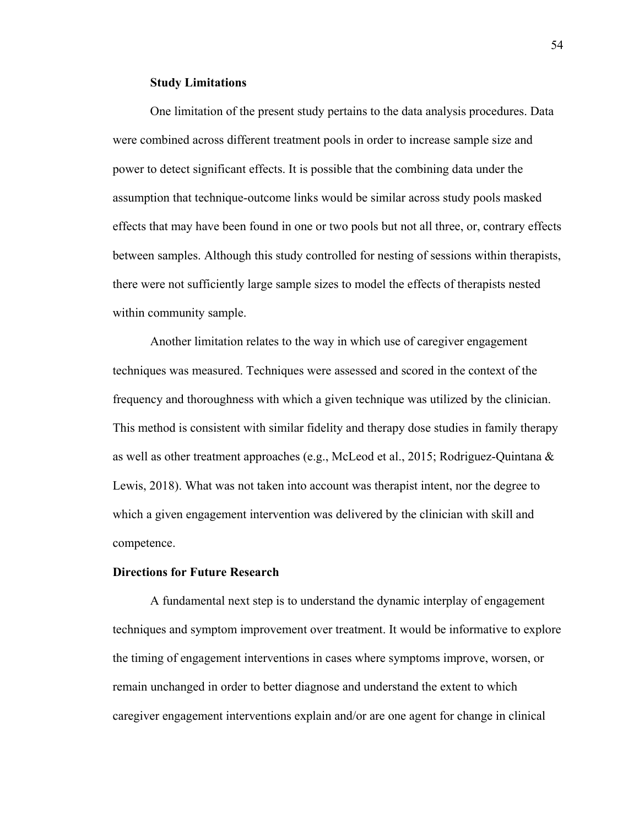#### **Study Limitations**

One limitation of the present study pertains to the data analysis procedures. Data were combined across different treatment pools in order to increase sample size and power to detect significant effects. It is possible that the combining data under the assumption that technique-outcome links would be similar across study pools masked effects that may have been found in one or two pools but not all three, or, contrary effects between samples. Although this study controlled for nesting of sessions within therapists, there were not sufficiently large sample sizes to model the effects of therapists nested within community sample.

 Another limitation relates to the way in which use of caregiver engagement techniques was measured. Techniques were assessed and scored in the context of the frequency and thoroughness with which a given technique was utilized by the clinician. This method is consistent with similar fidelity and therapy dose studies in family therapy as well as other treatment approaches (e.g., McLeod et al., 2015; Rodriguez-Quintana & Lewis, 2018). What was not taken into account was therapist intent, nor the degree to which a given engagement intervention was delivered by the clinician with skill and competence.

#### **Directions for Future Research**

A fundamental next step is to understand the dynamic interplay of engagement techniques and symptom improvement over treatment. It would be informative to explore the timing of engagement interventions in cases where symptoms improve, worsen, or remain unchanged in order to better diagnose and understand the extent to which caregiver engagement interventions explain and/or are one agent for change in clinical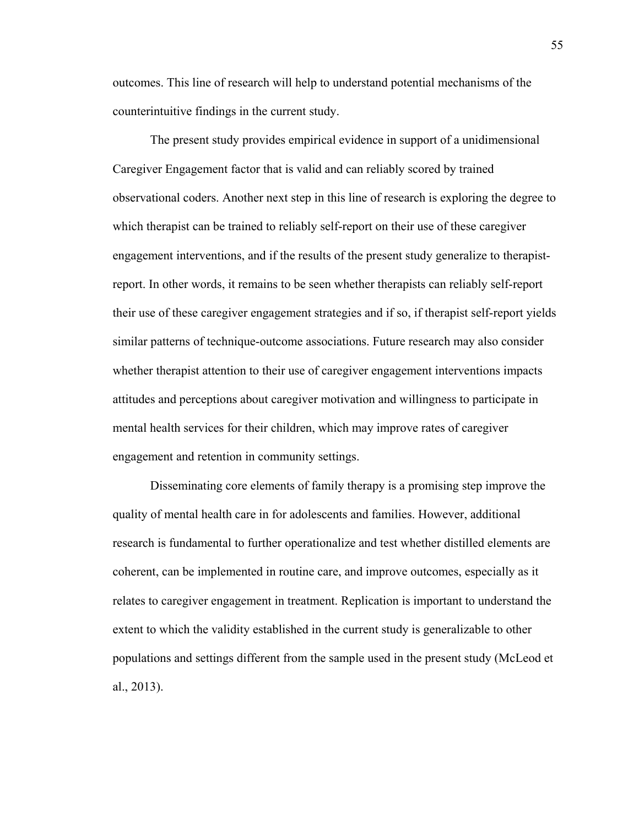outcomes. This line of research will help to understand potential mechanisms of the counterintuitive findings in the current study.

The present study provides empirical evidence in support of a unidimensional Caregiver Engagement factor that is valid and can reliably scored by trained observational coders. Another next step in this line of research is exploring the degree to which therapist can be trained to reliably self-report on their use of these caregiver engagement interventions, and if the results of the present study generalize to therapistreport. In other words, it remains to be seen whether therapists can reliably self-report their use of these caregiver engagement strategies and if so, if therapist self-report yields similar patterns of technique-outcome associations. Future research may also consider whether therapist attention to their use of caregiver engagement interventions impacts attitudes and perceptions about caregiver motivation and willingness to participate in mental health services for their children, which may improve rates of caregiver engagement and retention in community settings.

Disseminating core elements of family therapy is a promising step improve the quality of mental health care in for adolescents and families. However, additional research is fundamental to further operationalize and test whether distilled elements are coherent, can be implemented in routine care, and improve outcomes, especially as it relates to caregiver engagement in treatment. Replication is important to understand the extent to which the validity established in the current study is generalizable to other populations and settings different from the sample used in the present study (McLeod et al., 2013).

55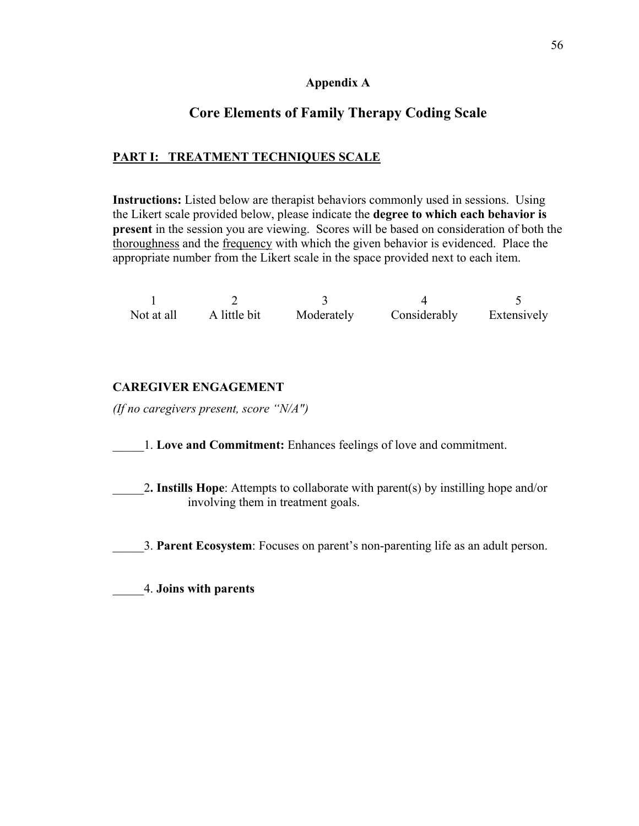## **Appendix A**

## **Core Elements of Family Therapy Coding Scale**

## **PART I: TREATMENT TECHNIQUES SCALE**

**Instructions:** Listed below are therapist behaviors commonly used in sessions. Using the Likert scale provided below, please indicate the **degree to which each behavior is present** in the session you are viewing. Scores will be based on consideration of both the thoroughness and the frequency with which the given behavior is evidenced. Place the appropriate number from the Likert scale in the space provided next to each item.

| Not at all | A little bit | Moderately | Considerably | Extensively |
|------------|--------------|------------|--------------|-------------|

## **CAREGIVER ENGAGEMENT**

*(If no caregivers present, score "N/A")*

- \_\_\_\_\_1. **Love and Commitment:** Enhances feelings of love and commitment.
- \_\_\_\_\_2**. Instills Hope**: Attempts to collaborate with parent(s) by instilling hope and/or involving them in treatment goals.
- \_\_\_\_\_3. **Parent Ecosystem**: Focuses on parent's non-parenting life as an adult person.

\_\_\_\_\_4. **Joins with parents**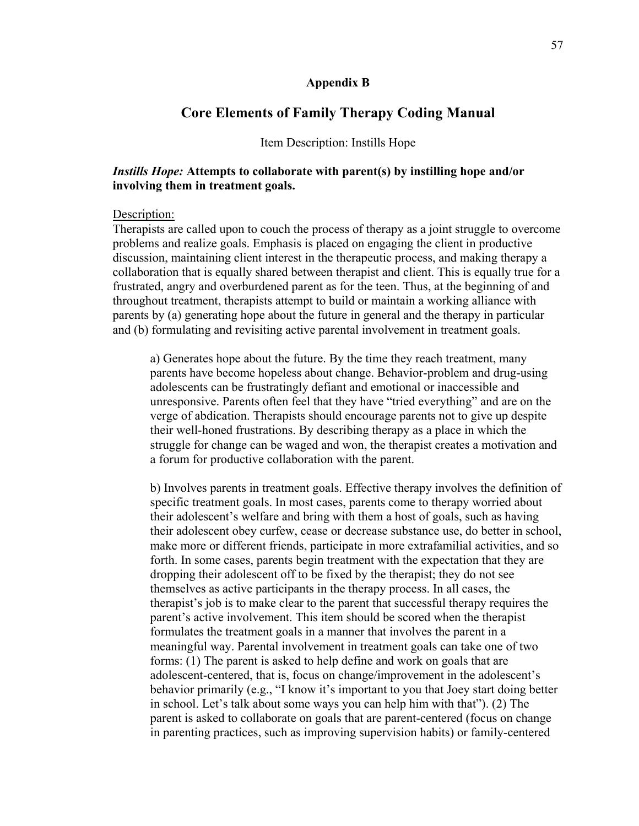#### **Appendix B**

### **Core Elements of Family Therapy Coding Manual**

#### Item Description: Instills Hope

## *Instills Hope:* **Attempts to collaborate with parent(s) by instilling hope and/or involving them in treatment goals.**

#### Description:

Therapists are called upon to couch the process of therapy as a joint struggle to overcome problems and realize goals. Emphasis is placed on engaging the client in productive discussion, maintaining client interest in the therapeutic process, and making therapy a collaboration that is equally shared between therapist and client. This is equally true for a frustrated, angry and overburdened parent as for the teen. Thus, at the beginning of and throughout treatment, therapists attempt to build or maintain a working alliance with parents by (a) generating hope about the future in general and the therapy in particular and (b) formulating and revisiting active parental involvement in treatment goals.

a) Generates hope about the future. By the time they reach treatment, many parents have become hopeless about change. Behavior-problem and drug-using adolescents can be frustratingly defiant and emotional or inaccessible and unresponsive. Parents often feel that they have "tried everything" and are on the verge of abdication. Therapists should encourage parents not to give up despite their well-honed frustrations. By describing therapy as a place in which the struggle for change can be waged and won, the therapist creates a motivation and a forum for productive collaboration with the parent.

b) Involves parents in treatment goals. Effective therapy involves the definition of specific treatment goals. In most cases, parents come to therapy worried about their adolescent's welfare and bring with them a host of goals, such as having their adolescent obey curfew, cease or decrease substance use, do better in school, make more or different friends, participate in more extrafamilial activities, and so forth. In some cases, parents begin treatment with the expectation that they are dropping their adolescent off to be fixed by the therapist; they do not see themselves as active participants in the therapy process. In all cases, the therapist's job is to make clear to the parent that successful therapy requires the parent's active involvement. This item should be scored when the therapist formulates the treatment goals in a manner that involves the parent in a meaningful way. Parental involvement in treatment goals can take one of two forms: (1) The parent is asked to help define and work on goals that are adolescent-centered, that is, focus on change/improvement in the adolescent's behavior primarily (e.g., "I know it's important to you that Joey start doing better in school. Let's talk about some ways you can help him with that"). (2) The parent is asked to collaborate on goals that are parent-centered (focus on change in parenting practices, such as improving supervision habits) or family-centered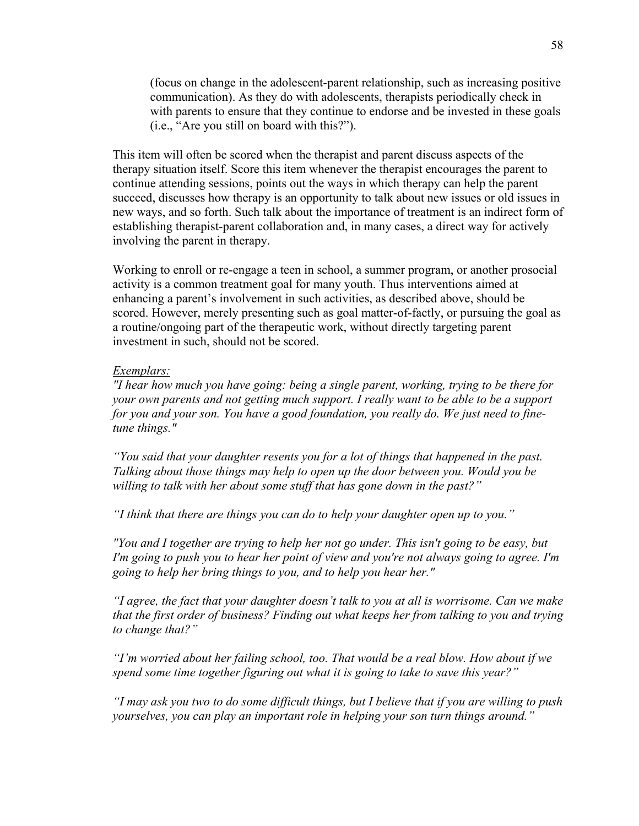(focus on change in the adolescent-parent relationship, such as increasing positive communication). As they do with adolescents, therapists periodically check in with parents to ensure that they continue to endorse and be invested in these goals (i.e., "Are you still on board with this?").

This item will often be scored when the therapist and parent discuss aspects of the therapy situation itself. Score this item whenever the therapist encourages the parent to continue attending sessions, points out the ways in which therapy can help the parent succeed, discusses how therapy is an opportunity to talk about new issues or old issues in new ways, and so forth. Such talk about the importance of treatment is an indirect form of establishing therapist-parent collaboration and, in many cases, a direct way for actively involving the parent in therapy.

Working to enroll or re-engage a teen in school, a summer program, or another prosocial activity is a common treatment goal for many youth. Thus interventions aimed at enhancing a parent's involvement in such activities, as described above, should be scored. However, merely presenting such as goal matter-of-factly, or pursuing the goal as a routine/ongoing part of the therapeutic work, without directly targeting parent investment in such, should not be scored.

#### *Exemplars:*

*"I hear how much you have going: being a single parent, working, trying to be there for your own parents and not getting much support. I really want to be able to be a support for you and your son. You have a good foundation, you really do. We just need to finetune things."* 

*"You said that your daughter resents you for a lot of things that happened in the past. Talking about those things may help to open up the door between you. Would you be willing to talk with her about some stuff that has gone down in the past?"* 

*"I think that there are things you can do to help your daughter open up to you."* 

*"You and I together are trying to help her not go under. This isn't going to be easy, but I'm going to push you to hear her point of view and you're not always going to agree. I'm going to help her bring things to you, and to help you hear her."* 

*"I agree, the fact that your daughter doesn't talk to you at all is worrisome. Can we make that the first order of business? Finding out what keeps her from talking to you and trying to change that?"* 

*"I'm worried about her failing school, too. That would be a real blow. How about if we spend some time together figuring out what it is going to take to save this year?"* 

*"I may ask you two to do some difficult things, but I believe that if you are willing to push yourselves, you can play an important role in helping your son turn things around."*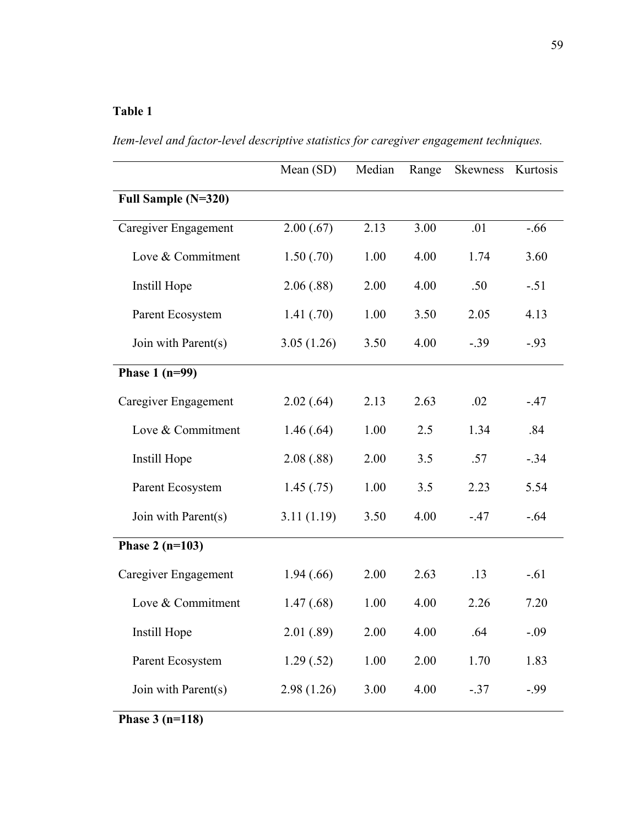## **Table 1**

Mean (SD) Median Range Skewness Kurtosis **Full Sample (N=320)** Caregiver Engagement 2.00 (.67) 2.13 3.00 .01 -.66 Love & Commitment 1.50 (.70) 1.00 4.00 1.74 3.60 Instill Hope 2.06 (.88) 2.00 4.00 .50 -.51 Parent Ecosystem 1.41 (.70) 1.00 3.50 2.05 4.13 Join with Parent(s)  $3.05 (1.26)$   $3.50$   $4.00$   $-0.39$   $-0.93$ **Phase 1 (n=99)** Caregiver Engagement 2.02 (.64) 2.13 2.63 .02 -.47 Love & Commitment 1.46 (.64) 1.00 2.5 1.34 .84 Instill Hope 2.08 (.88) 2.00 3.5 .57 -.34 Parent Ecosystem 1.45 (.75) 1.00 3.5 2.23 5.54 Join with Parent(s) 3.11 (1.19) 3.50 4.00 -.47 -.64 **Phase 2 (n=103)** Caregiver Engagement 1.94 (.66) 2.00 2.63 .13 -.61 Love & Commitment 1.47 (.68) 1.00 4.00 2.26 7.20 Instill Hope 2.01 (.89) 2.00 4.00 .64 -.09 Parent Ecosystem 1.29 (.52) 1.00 2.00 1.70 1.83 Join with Parent(s)  $2.98 (1.26)$   $3.00$   $4.00$   $-0.37$   $-0.99$ **Phase 3 (n=118)**

*Item-level and factor-level descriptive statistics for caregiver engagement techniques.*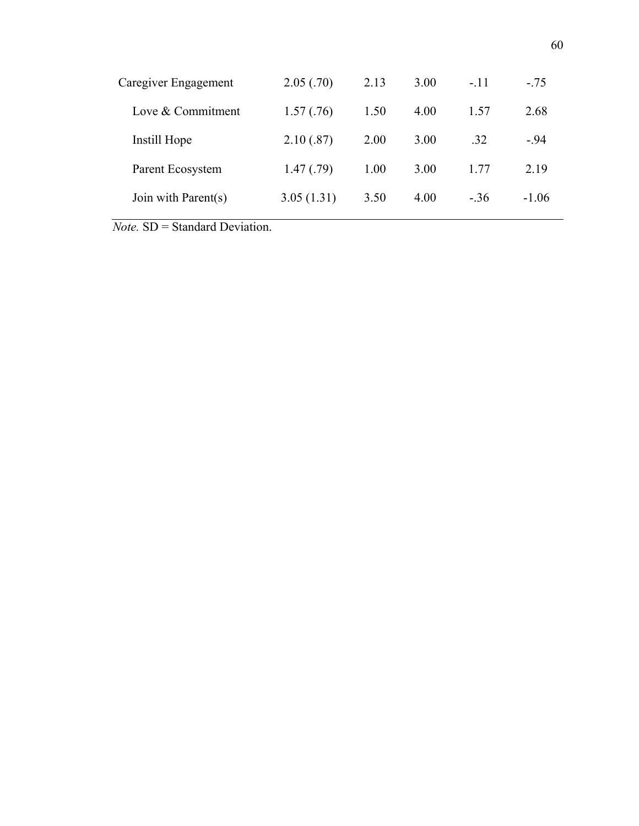| Caregiver Engagement | 2.05(.70)  | 2.13 | 3.00 | $-.11$ | $-.75$  |
|----------------------|------------|------|------|--------|---------|
| Love & Commitment    | 1.57(.76)  | 1.50 | 4.00 | 1.57   | 2.68    |
| Instill Hope         | 2.10(.87)  | 2.00 | 3.00 | .32    | $-.94$  |
| Parent Ecosystem     | 1.47(0.79) | 1.00 | 3.00 | 1.77   | 2.19    |
| Join with Parent(s)  | 3.05(1.31) | 3.50 | 4.00 | $-.36$ | $-1.06$ |
| .<br>.<br>___        |            |      |      |        |         |

*Note.* SD = Standard Deviation.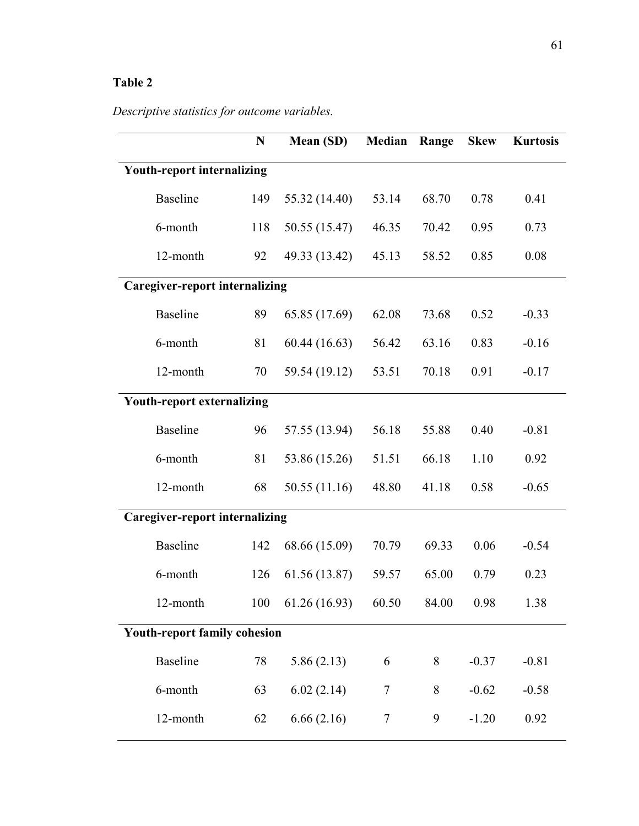## **Table 2**

# *Descriptive statistics for outcome variables.*

|                                       | N   | Mean (SD)     | Median | Range | <b>Skew</b> | <b>Kurtosis</b> |  |  |
|---------------------------------------|-----|---------------|--------|-------|-------------|-----------------|--|--|
| <b>Youth-report internalizing</b>     |     |               |        |       |             |                 |  |  |
| <b>Baseline</b>                       | 149 | 55.32 (14.40) | 53.14  | 68.70 | 0.78        | 0.41            |  |  |
| 6-month                               | 118 | 50.55 (15.47) | 46.35  | 70.42 | 0.95        | 0.73            |  |  |
| 12-month                              | 92  | 49.33 (13.42) | 45.13  | 58.52 | 0.85        | 0.08            |  |  |
| <b>Caregiver-report internalizing</b> |     |               |        |       |             |                 |  |  |
| <b>Baseline</b>                       | 89  | 65.85 (17.69) | 62.08  | 73.68 | 0.52        | $-0.33$         |  |  |
| 6-month                               | 81  | 60.44(16.63)  | 56.42  | 63.16 | 0.83        | $-0.16$         |  |  |
| 12-month                              | 70  | 59.54 (19.12) | 53.51  | 70.18 | 0.91        | $-0.17$         |  |  |
| <b>Youth-report externalizing</b>     |     |               |        |       |             |                 |  |  |
| <b>Baseline</b>                       | 96  | 57.55 (13.94) | 56.18  | 55.88 | 0.40        | $-0.81$         |  |  |
| 6-month                               | 81  | 53.86 (15.26) | 51.51  | 66.18 | 1.10        | 0.92            |  |  |
| 12-month                              | 68  | 50.55 (11.16) | 48.80  | 41.18 | 0.58        | $-0.65$         |  |  |
| <b>Caregiver-report internalizing</b> |     |               |        |       |             |                 |  |  |
| <b>Baseline</b>                       | 142 | 68.66 (15.09) | 70.79  | 69.33 | 0.06        | $-0.54$         |  |  |
| 6-month                               | 126 | 61.56 (13.87) | 59.57  | 65.00 | 0.79        | 0.23            |  |  |
| 12-month                              | 100 | 61.26 (16.93) | 60.50  | 84.00 | 0.98        | 1.38            |  |  |
| <b>Youth-report family cohesion</b>   |     |               |        |       |             |                 |  |  |
| <b>Baseline</b>                       | 78  | 5.86(2.13)    | 6      | 8     | $-0.37$     | $-0.81$         |  |  |
| 6-month                               | 63  | 6.02(2.14)    | 7      | 8     | $-0.62$     | $-0.58$         |  |  |
| 12-month                              | 62  | 6.66(2.16)    | $\tau$ | 9     | $-1.20$     | 0.92            |  |  |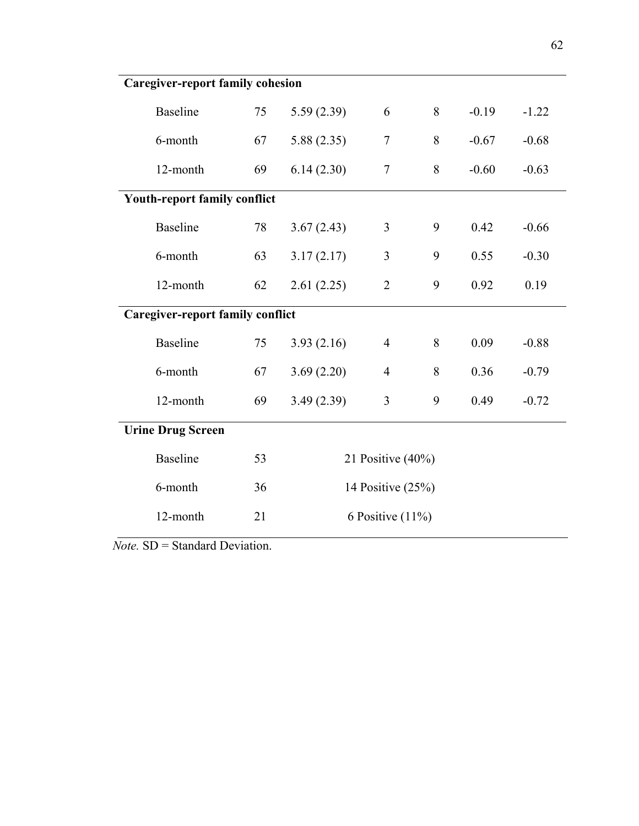| <b>Caregiver-report family cohesion</b> |                                     |    |                      |                     |   |         |         |  |
|-----------------------------------------|-------------------------------------|----|----------------------|---------------------|---|---------|---------|--|
| <b>Baseline</b>                         |                                     | 75 | 5.59(2.39)           | 6                   | 8 | $-0.19$ | $-1.22$ |  |
| 6-month                                 |                                     | 67 | 5.88(2.35)           | $\overline{7}$      | 8 | $-0.67$ | $-0.68$ |  |
|                                         | 12-month                            | 69 | 6.14(2.30)           | $\tau$              | 8 | $-0.60$ | $-0.63$ |  |
|                                         | <b>Youth-report family conflict</b> |    |                      |                     |   |         |         |  |
| <b>Baseline</b>                         |                                     | 78 | 3.67(2.43)           | 3                   | 9 | 0.42    | $-0.66$ |  |
| 6-month                                 |                                     | 63 | 3.17(2.17)           | 3                   | 9 | 0.55    | $-0.30$ |  |
|                                         | 12-month                            | 62 | 2.61(2.25)           | $\overline{2}$      | 9 | 0.92    | 0.19    |  |
| <b>Caregiver-report family conflict</b> |                                     |    |                      |                     |   |         |         |  |
| <b>Baseline</b>                         |                                     | 75 | 3.93(2.16)           | $\overline{4}$      | 8 | 0.09    | $-0.88$ |  |
| 6-month                                 |                                     | 67 | 3.69(2.20)           | $\overline{4}$      | 8 | 0.36    | $-0.79$ |  |
|                                         | 12-month                            | 69 | 3.49(2.39)           | $\overline{3}$      | 9 | 0.49    | $-0.72$ |  |
| <b>Urine Drug Screen</b>                |                                     |    |                      |                     |   |         |         |  |
| <b>Baseline</b>                         |                                     | 53 | 21 Positive $(40\%)$ |                     |   |         |         |  |
| 6-month                                 |                                     | 36 |                      | 14 Positive $(25%)$ |   |         |         |  |
|                                         | 12-month                            | 21 | 6 Positive $(11\%)$  |                     |   |         |         |  |

*Note.* SD = Standard Deviation.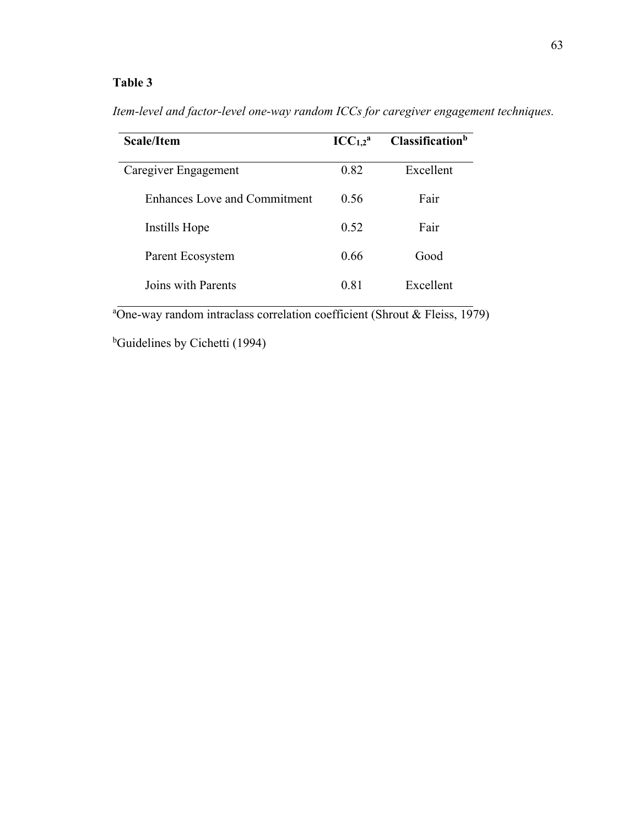| <b>Scale/Item</b>                   | $ICC_{1,2}^a$ | Classification <sup>b</sup> |
|-------------------------------------|---------------|-----------------------------|
| Caregiver Engagement                | 0.82          | Excellent                   |
| <b>Enhances Love and Commitment</b> | 0.56          | Fair                        |
| Instills Hope                       | 0.52          | Fair                        |
| Parent Ecosystem                    | 0.66          | Good                        |
| Joins with Parents                  | 0.81          | Excellent                   |

*Item-level and factor-level one-way random ICCs for caregiver engagement techniques.* 

<sup>a</sup>One-way random intraclass correlation coefficient (Shrout & Fleiss, 1979)

<sup>b</sup>Guidelines by Cichetti (1994)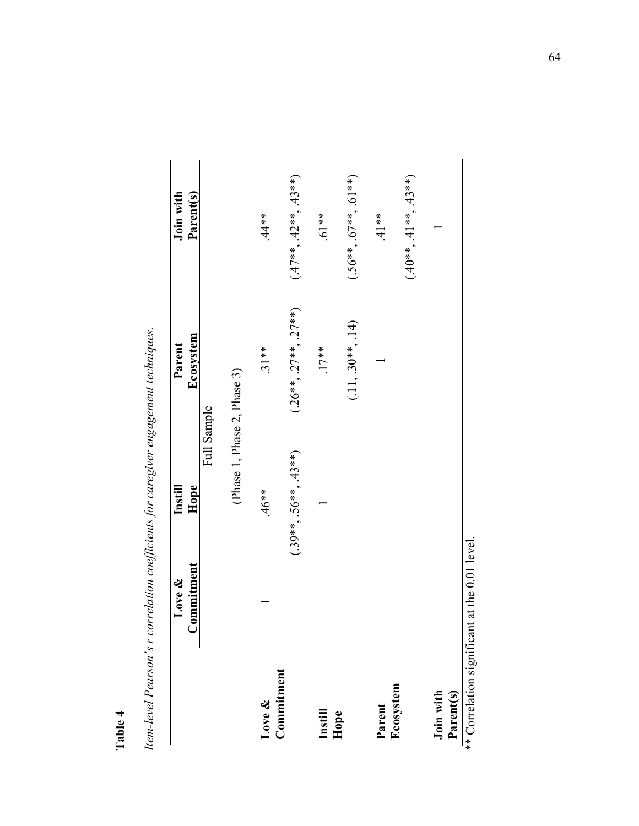Item-level Pearson's r correlation coefficients for caregiver engagement techniques. *Item-level Pearson's r correlation coefficients for caregiver engagement techniques.*

|                                                                                                    | Commitment<br>Love &             | Instill<br>Hope             | Ecosystem<br>Parent       | Join with<br>Parent(s)  |
|----------------------------------------------------------------------------------------------------|----------------------------------|-----------------------------|---------------------------|-------------------------|
|                                                                                                    |                                  | Full Sample                 |                           |                         |
|                                                                                                    |                                  | (Phase 1, Phase 2, Phase 3) |                           |                         |
| Commitment<br>Love &                                                                               |                                  | $*80+$                      | $.31**$                   | $.44**$                 |
|                                                                                                    |                                  | $(.39**, .56**, .43**)$     | $(.26**, .27***, .27***)$ | $(47**, 42**, 43**)$    |
| Instill                                                                                            |                                  |                             | $.17***$                  | $**19$ .                |
| Hope                                                                                               |                                  |                             | $(.11, .30**, .14)$       | $(.56**, .67**, .61**)$ |
| Parent                                                                                             |                                  |                             |                           | $.41**$                 |
| Ecosystem                                                                                          |                                  |                             |                           | $(.40**, .41**, .43**)$ |
| Join with                                                                                          |                                  |                             |                           |                         |
| ** $\bigcap_{m=1}^{\infty}$ oti $\bigcap_{m=1}^{\infty}$ oti $\bigcap_{m=1}^{\infty}$<br>Parent(s) | $\frac{1}{2}$ at the 0.01 lessed |                             |                           |                         |

\*\* Correlation significant at the 0.01 level.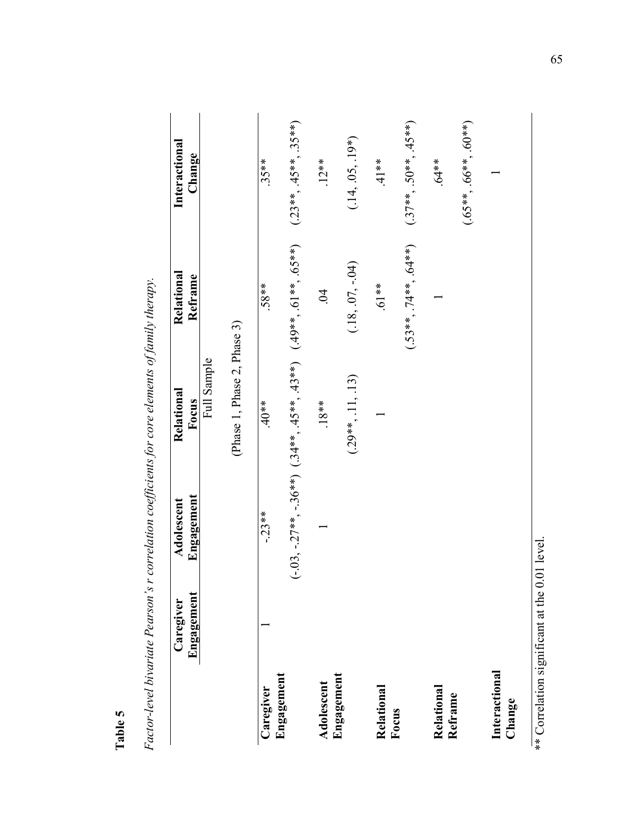| ın |
|----|
| ω  |
| ., |
| ă  |
| -  |

*Factor-level bivariate Pearson's r correlation coefficients for core elements of family therapy.*  Factor-level bivariate Pearson's r correlation coefficients for core elements of family therapy.

|                         | Engagement<br>Caregiver | Engagement<br>Adolescent | Relational<br>Focus         | Relational<br>Reframe                                                    | Interactional<br>Change |
|-------------------------|-------------------------|--------------------------|-----------------------------|--------------------------------------------------------------------------|-------------------------|
|                         |                         |                          | Full Sample                 |                                                                          |                         |
|                         |                         |                          | (Phase 1, Phase 2, Phase 3) |                                                                          |                         |
| Caregiver               |                         | $-23**$                  | $.40**$                     | $.58**$                                                                  | $.35**$                 |
| Engagement              |                         |                          |                             | $(-.03, -.27**, -.36**)$ $(.34**, .45**, .43**)$ $(.49**, .61**, .65**)$ | $(.23**, .45**, .35**)$ |
| Adolescent              |                         |                          | $.18**$                     | S.                                                                       | $.12***$                |
| Engagement              |                         |                          | $(.29**, .11, .13)$         | $(.18, .07, -.04)$                                                       | $(.14, .05, .19*)$      |
| Relational              |                         |                          |                             | $.61***$                                                                 | $41**$                  |
| Focus                   |                         |                          |                             | $(.53**, .74**, .64**)$                                                  | $(.37**, .50**, .45**)$ |
| Relational<br>Reframe   |                         |                          |                             |                                                                          | $.64***$                |
|                         |                         |                          |                             |                                                                          | $(65**, 66**, 60**)$    |
| Interactional<br>Change |                         |                          |                             |                                                                          |                         |
|                         |                         |                          |                             |                                                                          |                         |

\*\* Correlation significant at the 0.01 level. \*\* Correlation significant at the 0.01 level.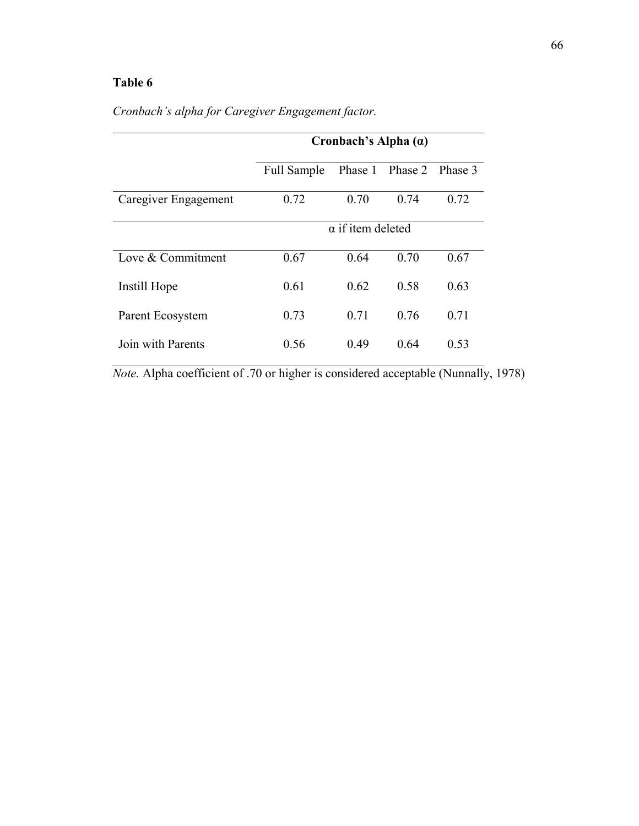|                      |             | Cronbach's Alpha $(a)$   |                         |      |  |
|----------------------|-------------|--------------------------|-------------------------|------|--|
|                      | Full Sample |                          | Phase 1 Phase 2 Phase 3 |      |  |
| Caregiver Engagement | 0.72        | 0.70                     | 0.74                    | 0.72 |  |
|                      |             | $\alpha$ if item deleted |                         |      |  |
| Love & Commitment    | 0.67        | 0.64                     | 0.70                    | 0.67 |  |
| Instill Hope         | 0.61        | 0.62                     | 0.58                    | 0.63 |  |
| Parent Ecosystem     | 0.73        | 0.71                     | 0.76                    | 0.71 |  |
| Join with Parents    | 0.56        | 0.49                     | 0.64                    | 0.53 |  |

*Cronbach's alpha for Caregiver Engagement factor.* 

*Note.* Alpha coefficient of .70 or higher is considered acceptable (Nunnally, 1978)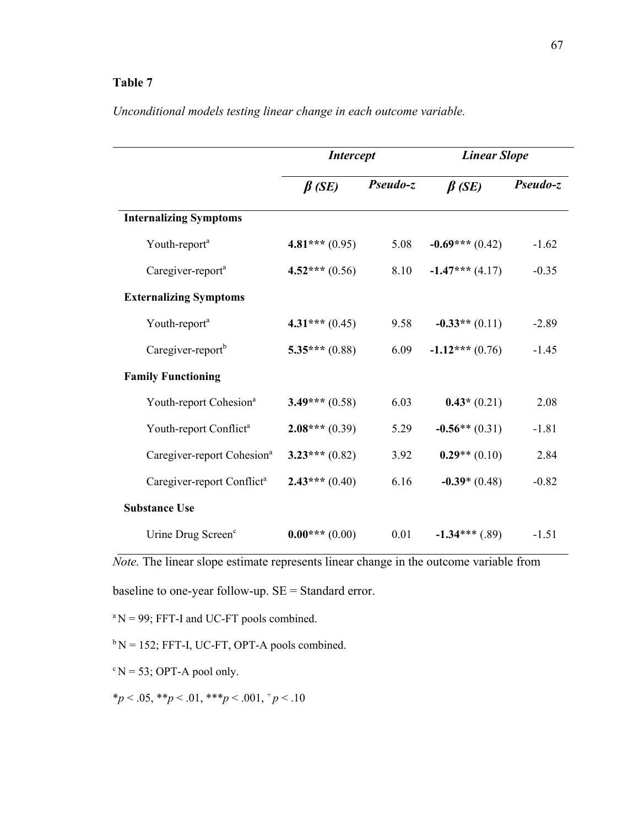|                                        | <b>Intercept</b> |          | <b>Linear Slope</b> |          |
|----------------------------------------|------------------|----------|---------------------|----------|
|                                        | $\beta$ (SE)     | Pseudo-z | $\beta$ (SE)        | Pseudo-z |
| <b>Internalizing Symptoms</b>          |                  |          |                     |          |
| Youth-report <sup>a</sup>              | $4.81***(0.95)$  | 5.08     | $-0.69***(0.42)$    | $-1.62$  |
| Caregiver-report <sup>a</sup>          | $4.52***(0.56)$  | 8.10     | $-1.47***$ (4.17)   | $-0.35$  |
| <b>Externalizing Symptoms</b>          |                  |          |                     |          |
| Youth-report <sup>a</sup>              | $4.31***(0.45)$  | 9.58     | $-0.33**$ (0.11)    | $-2.89$  |
| Caregiver-report <sup>b</sup>          | $5.35***(0.88)$  | 6.09     | $-1.12***(0.76)$    | $-1.45$  |
| <b>Family Functioning</b>              |                  |          |                     |          |
| Youth-report Cohesion <sup>a</sup>     | $3.49***$ (0.58) | 6.03     | $0.43*(0.21)$       | 2.08     |
| Youth-report Conflict <sup>a</sup>     | $2.08***(0.39)$  | 5.29     | $-0.56**$ (0.31)    | $-1.81$  |
| Caregiver-report Cohesion <sup>a</sup> | $3.23***(0.82)$  | 3.92     | $0.29**$ (0.10)     | 2.84     |
| Caregiver-report Conflict <sup>a</sup> | $2.43***(0.40)$  | 6.16     | $-0.39*(0.48)$      | $-0.82$  |
| <b>Substance Use</b>                   |                  |          |                     |          |
| Urine Drug Screen <sup>c</sup>         | $0.00***(0.00)$  | 0.01     | $-1.34***$ (.89)    | $-1.51$  |

*Unconditional models testing linear change in each outcome variable.* 

*Note.* The linear slope estimate represents linear change in the outcome variable from

baseline to one-year follow-up. SE = Standard error.

 ${}^{\rm a}$ N = 99; FFT-I and UC-FT pools combined.

 $b N = 152$ ; FFT-I, UC-FT, OPT-A pools combined.

 $\mathrm{c} \text{N} = 53$ ; OPT-A pool only.

\**p* < .05, \*\**p* < .01, \*\*\**p* < .001, <sup>+</sup>*p* < .10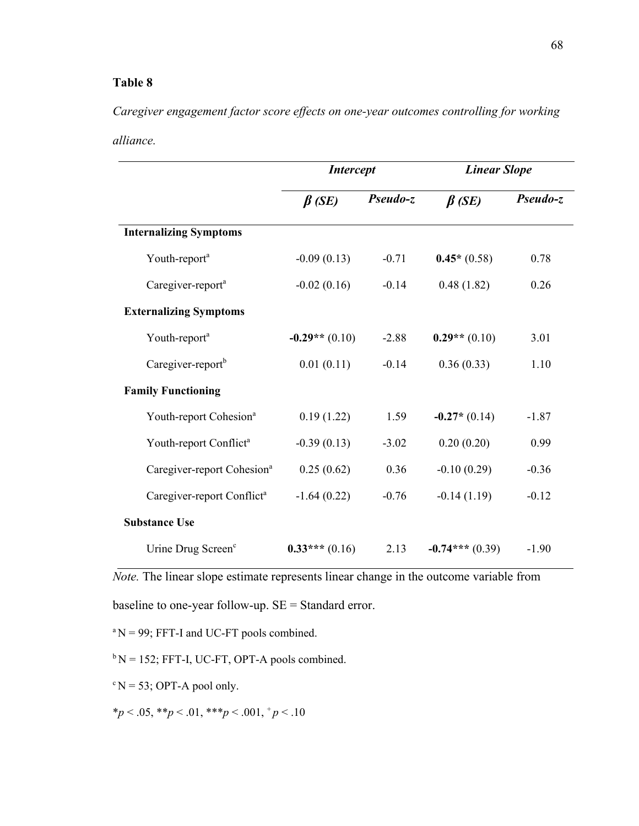*Caregiver engagement factor score effects on one-year outcomes controlling for working alliance.*

|                                        | <b>Intercept</b> |          | <b>Linear Slope</b> |          |
|----------------------------------------|------------------|----------|---------------------|----------|
|                                        | $\beta$ (SE)     | Pseudo-z | $\beta$ (SE)        | Pseudo-z |
| <b>Internalizing Symptoms</b>          |                  |          |                     |          |
| Youth-report <sup>a</sup>              | $-0.09(0.13)$    | $-0.71$  | $0.45*(0.58)$       | 0.78     |
| Caregiver-report <sup>a</sup>          | $-0.02(0.16)$    | $-0.14$  | 0.48(1.82)          | 0.26     |
| <b>Externalizing Symptoms</b>          |                  |          |                     |          |
| Youth-report <sup>a</sup>              | $-0.29**$ (0.10) | $-2.88$  | $0.29**$ (0.10)     | 3.01     |
| Caregiver-report <sup>b</sup>          | 0.01(0.11)       | $-0.14$  | 0.36(0.33)          | 1.10     |
| <b>Family Functioning</b>              |                  |          |                     |          |
| Youth-report Cohesion <sup>a</sup>     | 0.19(1.22)       | 1.59     | $-0.27*(0.14)$      | $-1.87$  |
| Youth-report Conflict <sup>a</sup>     | $-0.39(0.13)$    | $-3.02$  | 0.20(0.20)          | 0.99     |
| Caregiver-report Cohesion <sup>a</sup> | 0.25(0.62)       | 0.36     | $-0.10(0.29)$       | $-0.36$  |
| Caregiver-report Conflict <sup>a</sup> | $-1.64(0.22)$    | $-0.76$  | $-0.14(1.19)$       | $-0.12$  |
| <b>Substance Use</b>                   |                  |          |                     |          |
| Urine Drug Screen <sup>c</sup>         | $0.33***(0.16)$  | 2.13     | $-0.74***(0.39)$    | $-1.90$  |

*Note.* The linear slope estimate represents linear change in the outcome variable from

baseline to one-year follow-up. SE = Standard error.

 ${}^{\text{a}}$ N = 99; FFT-I and UC-FT pools combined.

 $b N = 152$ ; FFT-I, UC-FT, OPT-A pools combined.

 $c$  N = 53; OPT-A pool only.

\**p* < .05, \*\**p* < .01, \*\*\**p* < .001, <sup>+</sup>*p* < .10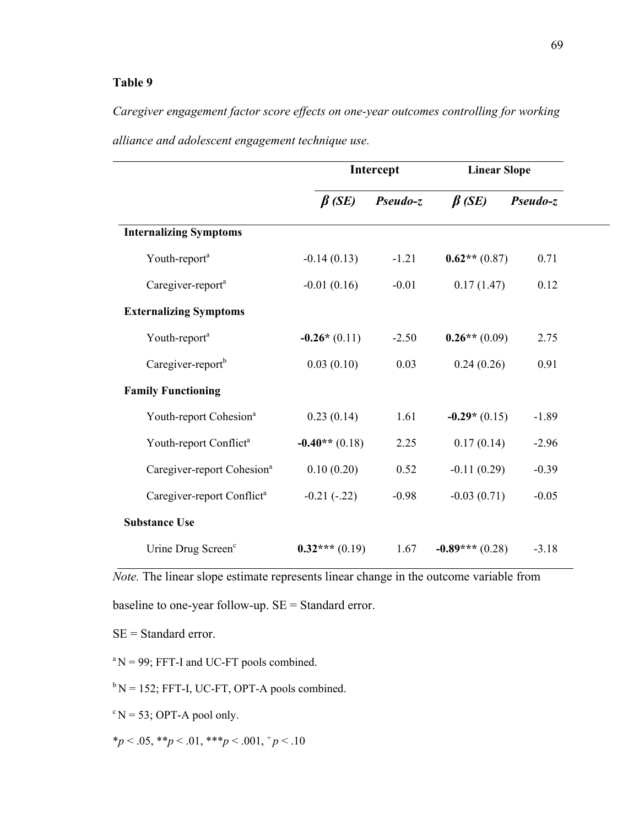*Caregiver engagement factor score effects on one-year outcomes controlling for working alliance and adolescent engagement technique use.*

|                                        |                  | Intercept | <b>Linear Slope</b> |          |
|----------------------------------------|------------------|-----------|---------------------|----------|
|                                        | $\beta$ (SE)     | Pseudo-z  | $\beta$ (SE)        | Pseudo-z |
| <b>Internalizing Symptoms</b>          |                  |           |                     |          |
| Youth-report <sup>a</sup>              | $-0.14(0.13)$    | $-1.21$   | $0.62**$ (0.87)     | 0.71     |
| Caregiver-report <sup>a</sup>          | $-0.01(0.16)$    | $-0.01$   | 0.17(1.47)          | 0.12     |
| <b>Externalizing Symptoms</b>          |                  |           |                     |          |
| Youth-report <sup>a</sup>              | $-0.26*(0.11)$   | $-2.50$   | $0.26**$ (0.09)     | 2.75     |
| Caregiver-report <sup>b</sup>          | 0.03(0.10)       | 0.03      | 0.24(0.26)          | 0.91     |
| <b>Family Functioning</b>              |                  |           |                     |          |
| Youth-report Cohesion <sup>a</sup>     | 0.23(0.14)       | 1.61      | $-0.29*(0.15)$      | $-1.89$  |
| Youth-report Conflict <sup>a</sup>     | $-0.40**$ (0.18) | 2.25      | 0.17(0.14)          | $-2.96$  |
| Caregiver-report Cohesion <sup>a</sup> | 0.10(0.20)       | 0.52      | $-0.11(0.29)$       | $-0.39$  |
| Caregiver-report Conflict <sup>a</sup> | $-0.21(-.22)$    | $-0.98$   | $-0.03(0.71)$       | $-0.05$  |
| <b>Substance Use</b>                   |                  |           |                     |          |
| Urine Drug Screen <sup>c</sup>         | $0.32***(0.19)$  | 1.67      | $-0.89***(0.28)$    | $-3.18$  |

*Note.* The linear slope estimate represents linear change in the outcome variable from

baseline to one-year follow-up. SE = Standard error.

SE = Standard error.

 ${}^{\text{a}}$ N = 99; FFT-I and UC-FT pools combined.

 $b N = 152$ ; FFT-I, UC-FT, OPT-A pools combined.

 $\mathrm{c} \text{N} = 53$ ; OPT-A pool only.

\**p* < .05, \*\**p* < .01, \*\*\**p* < .001, <sup>+</sup>*p* < .10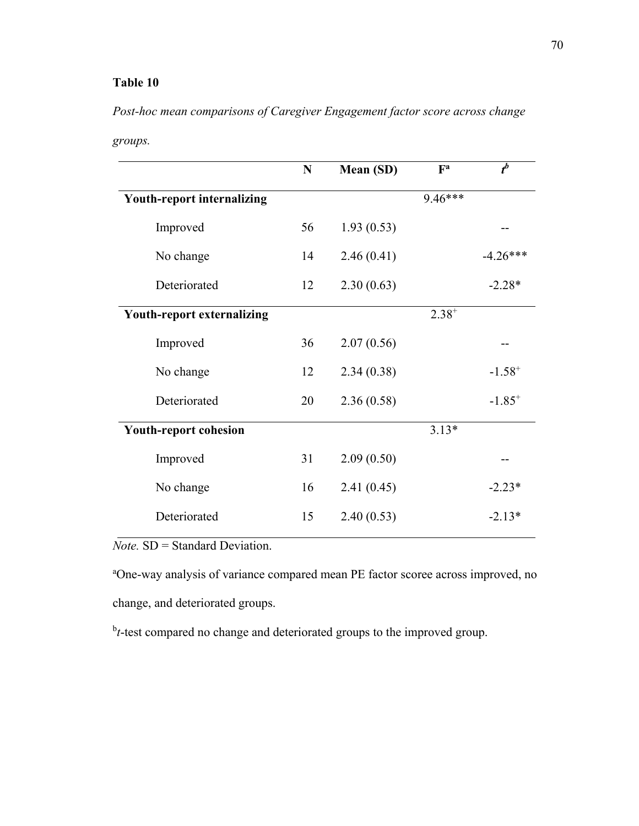*Post-hoc mean comparisons of Caregiver Engagement factor score across change* 

| groups. |
|---------|
|---------|

|                                   | N  | Mean (SD)  | $\mathbf{F}^{\mathbf{a}}$ | $t^b$       |
|-----------------------------------|----|------------|---------------------------|-------------|
| <b>Youth-report internalizing</b> |    |            | 9.46***                   |             |
| Improved                          | 56 | 1.93(0.53) |                           |             |
| No change                         | 14 | 2.46(0.41) |                           | $-4.26***$  |
| Deteriorated                      | 12 | 2.30(0.63) |                           | $-2.28*$    |
| <b>Youth-report externalizing</b> |    |            | $2.38^{+}$                |             |
| Improved                          | 36 | 2.07(0.56) |                           |             |
| No change                         | 12 | 2.34(0.38) |                           | $-1.58^{+}$ |
| Deteriorated                      | 20 | 2.36(0.58) |                           | $-1.85^{+}$ |
| <b>Youth-report cohesion</b>      |    |            | $3.13*$                   |             |
| Improved                          | 31 | 2.09(0.50) |                           |             |
| No change                         | 16 | 2.41(0.45) |                           | $-2.23*$    |
| Deteriorated                      | 15 | 2.40(0.53) |                           | $-2.13*$    |
|                                   |    |            |                           |             |

*Note.* SD = Standard Deviation.

<sup>a</sup>One-way analysis of variance compared mean PE factor scoree across improved, no change, and deteriorated groups.

<sup>b</sup>t-test compared no change and deteriorated groups to the improved group.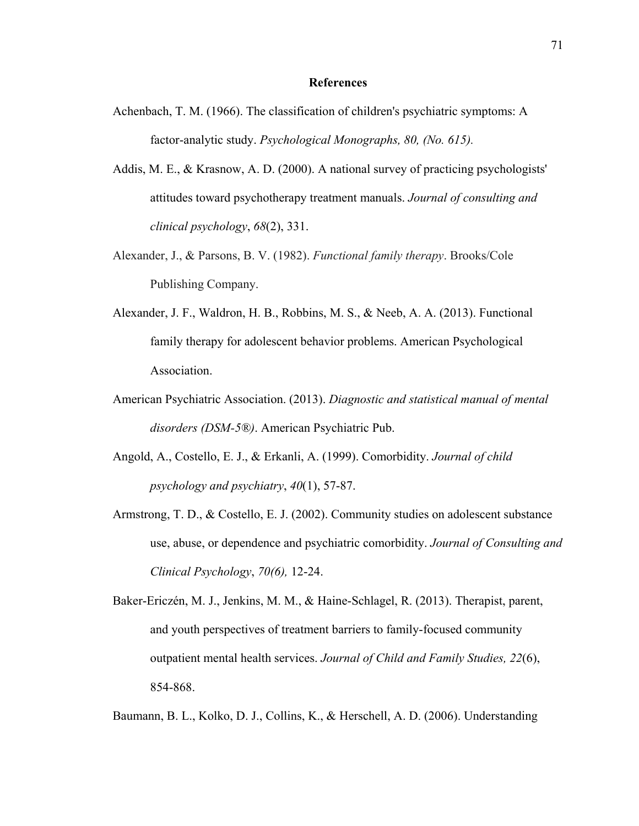#### **References**

- Achenbach, T. M. (1966). The classification of children's psychiatric symptoms: A factor-analytic study. *Psychological Monographs, 80, (No. 615).*
- Addis, M. E., & Krasnow, A. D. (2000). A national survey of practicing psychologists' attitudes toward psychotherapy treatment manuals. *Journal of consulting and clinical psychology*, *68*(2), 331.
- Alexander, J., & Parsons, B. V. (1982). *Functional family therapy*. Brooks/Cole Publishing Company.
- Alexander, J. F., Waldron, H. B., Robbins, M. S., & Neeb, A. A. (2013). Functional family therapy for adolescent behavior problems. American Psychological Association.
- American Psychiatric Association. (2013). *Diagnostic and statistical manual of mental disorders (DSM-5®)*. American Psychiatric Pub.
- Angold, A., Costello, E. J., & Erkanli, A. (1999). Comorbidity. *Journal of child psychology and psychiatry*, *40*(1), 57-87.
- Armstrong, T. D., & Costello, E. J. (2002). Community studies on adolescent substance use, abuse, or dependence and psychiatric comorbidity. *Journal of Consulting and Clinical Psychology*, *70(6),* 12-24.
- Baker-Ericzén, M. J., Jenkins, M. M., & Haine-Schlagel, R. (2013). Therapist, parent, and youth perspectives of treatment barriers to family-focused community outpatient mental health services. *Journal of Child and Family Studies, 22*(6), 854-868.

Baumann, B. L., Kolko, D. J., Collins, K., & Herschell, A. D. (2006). Understanding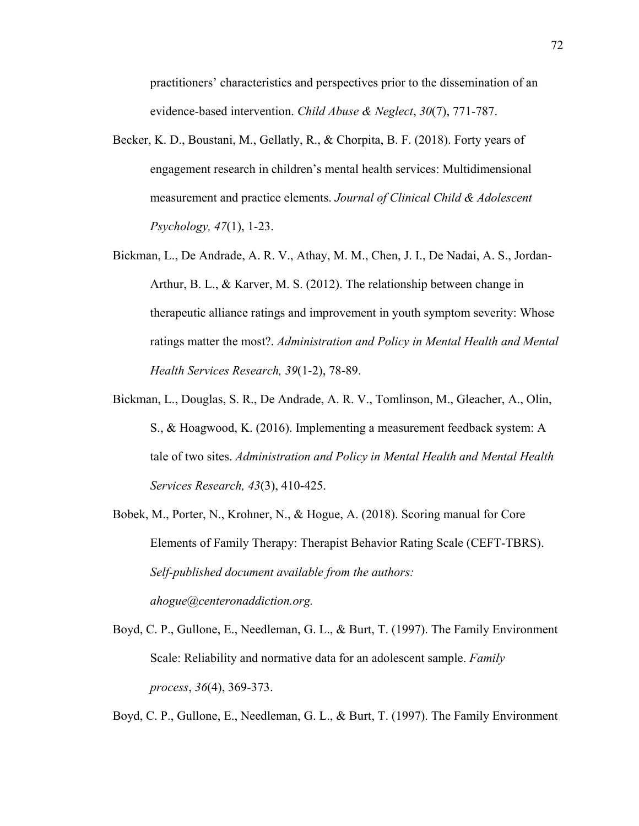practitioners' characteristics and perspectives prior to the dissemination of an evidence-based intervention. *Child Abuse & Neglect*, *30*(7), 771-787.

- Becker, K. D., Boustani, M., Gellatly, R., & Chorpita, B. F. (2018). Forty years of engagement research in children's mental health services: Multidimensional measurement and practice elements. *Journal of Clinical Child & Adolescent Psychology, 47*(1), 1-23.
- Bickman, L., De Andrade, A. R. V., Athay, M. M., Chen, J. I., De Nadai, A. S., Jordan-Arthur, B. L., & Karver, M. S. (2012). The relationship between change in therapeutic alliance ratings and improvement in youth symptom severity: Whose ratings matter the most?. *Administration and Policy in Mental Health and Mental Health Services Research, 39*(1-2), 78-89.
- Bickman, L., Douglas, S. R., De Andrade, A. R. V., Tomlinson, M., Gleacher, A., Olin, S., & Hoagwood, K. (2016). Implementing a measurement feedback system: A tale of two sites. *Administration and Policy in Mental Health and Mental Health Services Research, 43*(3), 410-425.
- Bobek, M., Porter, N., Krohner, N., & Hogue, A. (2018). Scoring manual for Core Elements of Family Therapy: Therapist Behavior Rating Scale (CEFT-TBRS). *Self-published document available from the authors: ahogue@centeronaddiction.org.*
- Boyd, C. P., Gullone, E., Needleman, G. L., & Burt, T. (1997). The Family Environment Scale: Reliability and normative data for an adolescent sample. *Family process*, *36*(4), 369-373.

Boyd, C. P., Gullone, E., Needleman, G. L., & Burt, T. (1997). The Family Environment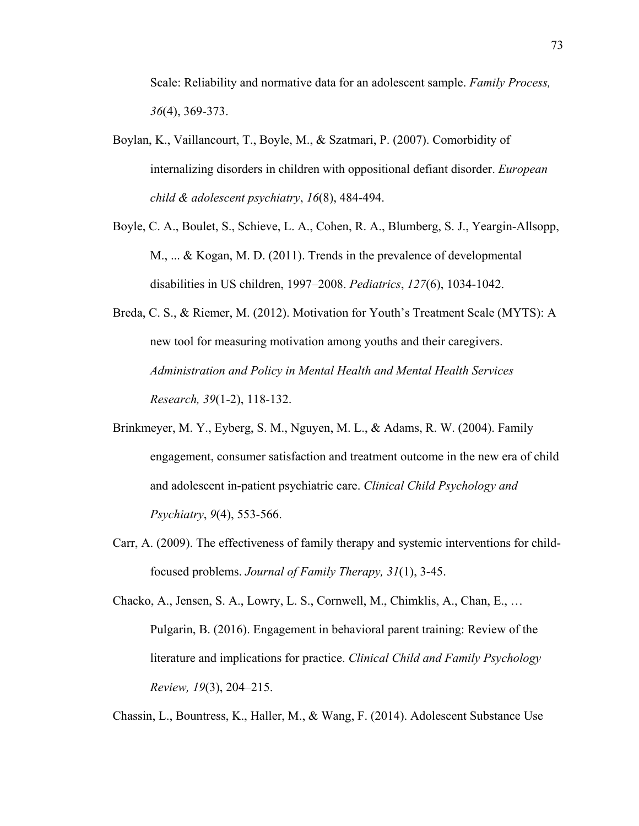Scale: Reliability and normative data for an adolescent sample. *Family Process, 36*(4), 369-373.

- Boylan, K., Vaillancourt, T., Boyle, M., & Szatmari, P. (2007). Comorbidity of internalizing disorders in children with oppositional defiant disorder. *European child & adolescent psychiatry*, *16*(8), 484-494.
- Boyle, C. A., Boulet, S., Schieve, L. A., Cohen, R. A., Blumberg, S. J., Yeargin-Allsopp, M., ... & Kogan, M. D. (2011). Trends in the prevalence of developmental disabilities in US children, 1997–2008. *Pediatrics*, *127*(6), 1034-1042.
- Breda, C. S., & Riemer, M. (2012). Motivation for Youth's Treatment Scale (MYTS): A new tool for measuring motivation among youths and their caregivers. *Administration and Policy in Mental Health and Mental Health Services Research, 39*(1-2), 118-132.
- Brinkmeyer, M. Y., Eyberg, S. M., Nguyen, M. L., & Adams, R. W. (2004). Family engagement, consumer satisfaction and treatment outcome in the new era of child and adolescent in-patient psychiatric care. *Clinical Child Psychology and Psychiatry*, *9*(4), 553-566.
- Carr, A. (2009). The effectiveness of family therapy and systemic interventions for child‐ focused problems. *Journal of Family Therapy, 31*(1), 3-45.

Chacko, A., Jensen, S. A., Lowry, L. S., Cornwell, M., Chimklis, A., Chan, E., … Pulgarin, B. (2016). Engagement in behavioral parent training: Review of the literature and implications for practice. *Clinical Child and Family Psychology Review, 19*(3), 204–215.

Chassin, L., Bountress, K., Haller, M., & Wang, F. (2014). Adolescent Substance Use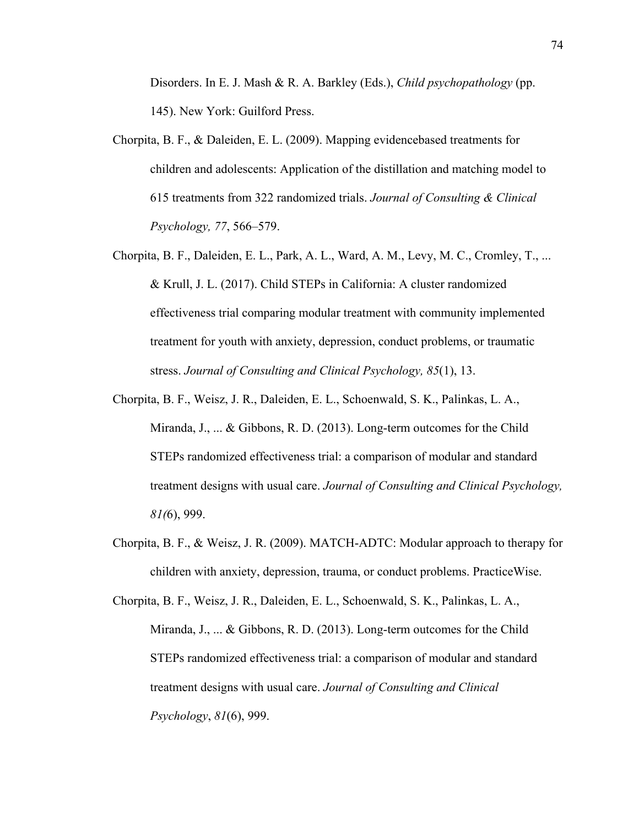Disorders. In E. J. Mash & R. A. Barkley (Eds.), *Child psychopathology* (pp. 145). New York: Guilford Press.

- Chorpita, B. F., & Daleiden, E. L. (2009). Mapping evidencebased treatments for children and adolescents: Application of the distillation and matching model to 615 treatments from 322 randomized trials. *Journal of Consulting & Clinical Psychology, 77*, 566–579.
- Chorpita, B. F., Daleiden, E. L., Park, A. L., Ward, A. M., Levy, M. C., Cromley, T., ... & Krull, J. L. (2017). Child STEPs in California: A cluster randomized effectiveness trial comparing modular treatment with community implemented treatment for youth with anxiety, depression, conduct problems, or traumatic stress. *Journal of Consulting and Clinical Psychology, 85*(1), 13.
- Chorpita, B. F., Weisz, J. R., Daleiden, E. L., Schoenwald, S. K., Palinkas, L. A., Miranda, J., ... & Gibbons, R. D. (2013). Long-term outcomes for the Child STEPs randomized effectiveness trial: a comparison of modular and standard treatment designs with usual care. *Journal of Consulting and Clinical Psychology, 81(*6), 999.
- Chorpita, B. F., & Weisz, J. R. (2009). MATCH-ADTC: Modular approach to therapy for children with anxiety, depression, trauma, or conduct problems. PracticeWise.

Chorpita, B. F., Weisz, J. R., Daleiden, E. L., Schoenwald, S. K., Palinkas, L. A., Miranda, J., ... & Gibbons, R. D. (2013). Long-term outcomes for the Child STEPs randomized effectiveness trial: a comparison of modular and standard treatment designs with usual care. *Journal of Consulting and Clinical Psychology*, *81*(6), 999.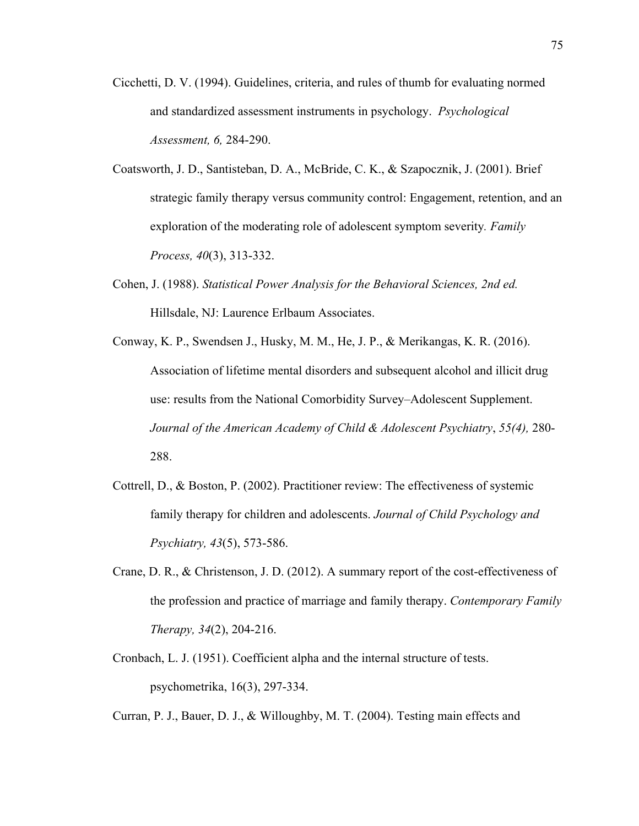- Cicchetti, D. V. (1994). Guidelines, criteria, and rules of thumb for evaluating normed and standardized assessment instruments in psychology. *Psychological Assessment, 6,* 284-290.
- Coatsworth, J. D., Santisteban, D. A., McBride, C. K., & Szapocznik, J. (2001). Brief strategic family therapy versus community control: Engagement, retention, and an exploration of the moderating role of adolescent symptom severity*. Family Process, 40*(3), 313-332.
- Cohen, J. (1988). *Statistical Power Analysis for the Behavioral Sciences, 2nd ed.* Hillsdale, NJ: Laurence Erlbaum Associates.
- Conway, K. P., Swendsen J., Husky, M. M., He, J. P., & Merikangas, K. R. (2016). Association of lifetime mental disorders and subsequent alcohol and illicit drug use: results from the National Comorbidity Survey–Adolescent Supplement. *Journal of the American Academy of Child & Adolescent Psychiatry*, *55(4),* 280- 288.
- Cottrell, D., & Boston, P. (2002). Practitioner review: The effectiveness of systemic family therapy for children and adolescents. *Journal of Child Psychology and Psychiatry, 43*(5), 573-586.
- Crane, D. R., & Christenson, J. D. (2012). A summary report of the cost-effectiveness of the profession and practice of marriage and family therapy. *Contemporary Family Therapy, 34*(2), 204-216.
- Cronbach, L. J. (1951). Coefficient alpha and the internal structure of tests. psychometrika, 16(3), 297-334.

Curran, P. J., Bauer, D. J., & Willoughby, M. T. (2004). Testing main effects and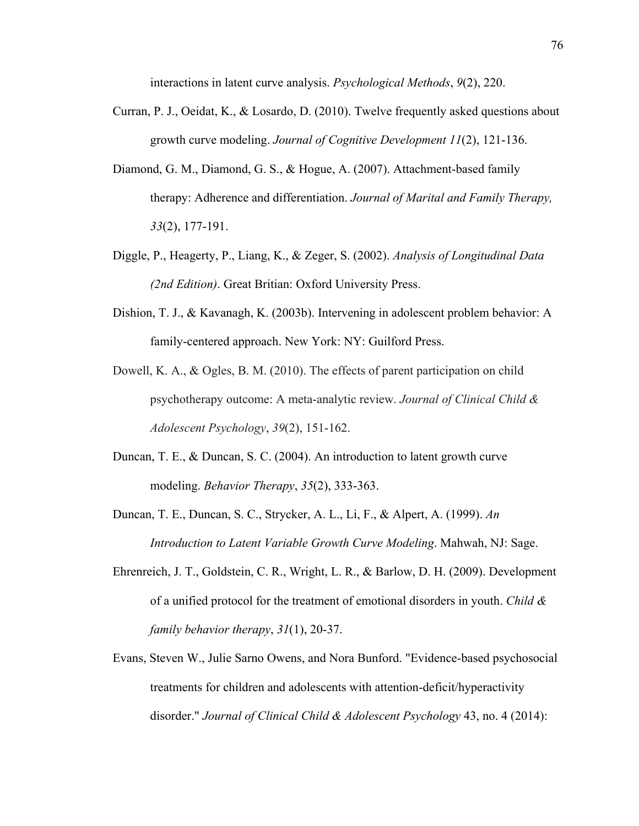interactions in latent curve analysis. *Psychological Methods*, *9*(2), 220.

- Curran, P. J., Oeidat, K., & Losardo, D. (2010). Twelve frequently asked questions about growth curve modeling. *Journal of Cognitive Development 11*(2), 121-136.
- Diamond, G. M., Diamond, G. S., & Hogue, A. (2007). Attachment‐based family therapy: Adherence and differentiation. *Journal of Marital and Family Therapy, 33*(2), 177-191.
- Diggle, P., Heagerty, P., Liang, K., & Zeger, S. (2002). *Analysis of Longitudinal Data (2nd Edition)*. Great Britian: Oxford University Press.
- Dishion, T. J., & Kavanagh, K. (2003b). Intervening in adolescent problem behavior: A family-centered approach. New York: NY: Guilford Press.
- Dowell, K. A., & Ogles, B. M. (2010). The effects of parent participation on child psychotherapy outcome: A meta-analytic review. *Journal of Clinical Child & Adolescent Psychology*, *39*(2), 151-162.
- Duncan, T. E., & Duncan, S. C. (2004). An introduction to latent growth curve modeling. *Behavior Therapy*, *35*(2), 333-363.
- Duncan, T. E., Duncan, S. C., Strycker, A. L., Li, F., & Alpert, A. (1999). *An Introduction to Latent Variable Growth Curve Modeling*. Mahwah, NJ: Sage.
- Ehrenreich, J. T., Goldstein, C. R., Wright, L. R., & Barlow, D. H. (2009). Development of a unified protocol for the treatment of emotional disorders in youth. *Child & family behavior therapy*, *31*(1), 20-37.
- Evans, Steven W., Julie Sarno Owens, and Nora Bunford. "Evidence-based psychosocial treatments for children and adolescents with attention-deficit/hyperactivity disorder." *Journal of Clinical Child & Adolescent Psychology* 43, no. 4 (2014):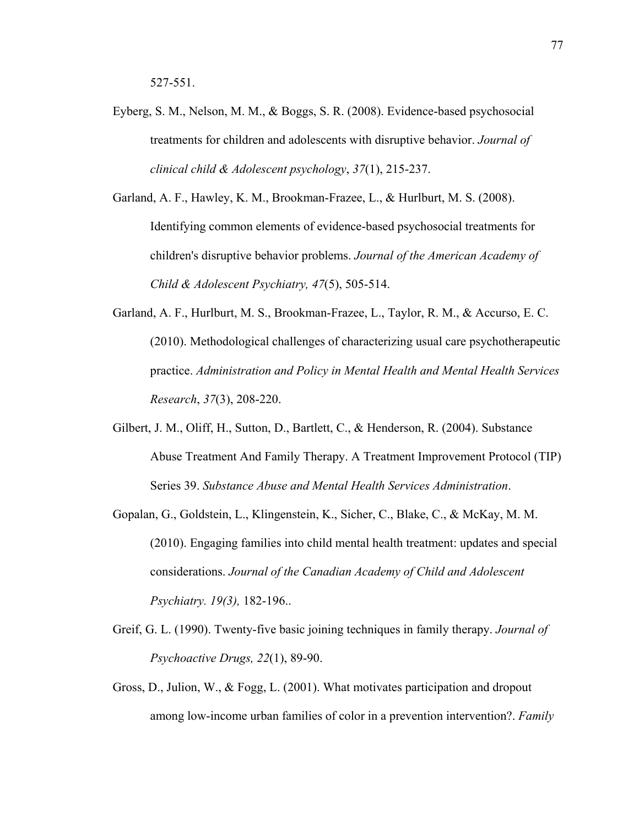- Eyberg, S. M., Nelson, M. M., & Boggs, S. R. (2008). Evidence-based psychosocial treatments for children and adolescents with disruptive behavior. *Journal of clinical child & Adolescent psychology*, *37*(1), 215-237.
- Garland, A. F., Hawley, K. M., Brookman-Frazee, L., & Hurlburt, M. S. (2008). Identifying common elements of evidence-based psychosocial treatments for children's disruptive behavior problems. *Journal of the American Academy of Child & Adolescent Psychiatry, 47*(5), 505-514.
- Garland, A. F., Hurlburt, M. S., Brookman-Frazee, L., Taylor, R. M., & Accurso, E. C. (2010). Methodological challenges of characterizing usual care psychotherapeutic practice. *Administration and Policy in Mental Health and Mental Health Services Research*, *37*(3), 208-220.
- Gilbert, J. M., Oliff, H., Sutton, D., Bartlett, C., & Henderson, R. (2004). Substance Abuse Treatment And Family Therapy. A Treatment Improvement Protocol (TIP) Series 39. *Substance Abuse and Mental Health Services Administration*.
- Gopalan, G., Goldstein, L., Klingenstein, K., Sicher, C., Blake, C., & McKay, M. M. (2010). Engaging families into child mental health treatment: updates and special considerations. *Journal of the Canadian Academy of Child and Adolescent Psychiatry. 19(3),* 182-196..
- Greif, G. L. (1990). Twenty-five basic joining techniques in family therapy. *Journal of Psychoactive Drugs, 22*(1), 89-90.
- Gross, D., Julion, W., & Fogg, L. (2001). What motivates participation and dropout among low‐income urban families of color in a prevention intervention?. *Family*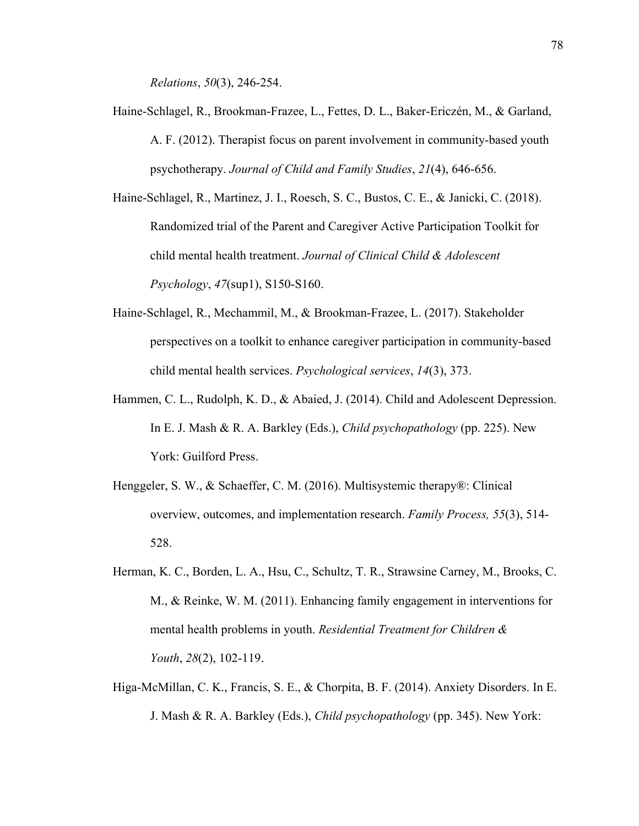*Relations*, *50*(3), 246-254.

Haine-Schlagel, R., Brookman-Frazee, L., Fettes, D. L., Baker-Ericzén, M., & Garland, A. F. (2012). Therapist focus on parent involvement in community-based youth psychotherapy. *Journal of Child and Family Studies*, *21*(4), 646-656.

Haine-Schlagel, R., Martinez, J. I., Roesch, S. C., Bustos, C. E., & Janicki, C. (2018). Randomized trial of the Parent and Caregiver Active Participation Toolkit for child mental health treatment. *Journal of Clinical Child & Adolescent Psychology*, *47*(sup1), S150-S160.

- Haine-Schlagel, R., Mechammil, M., & Brookman-Frazee, L. (2017). Stakeholder perspectives on a toolkit to enhance caregiver participation in community-based child mental health services. *Psychological services*, *14*(3), 373.
- Hammen, C. L., Rudolph, K. D., & Abaied, J. (2014). Child and Adolescent Depression. In E. J. Mash & R. A. Barkley (Eds.), *Child psychopathology* (pp. 225). New York: Guilford Press.
- Henggeler, S. W., & Schaeffer, C. M. (2016). Multisystemic therapy®: Clinical overview, outcomes, and implementation research. *Family Process, 55*(3), 514- 528.
- Herman, K. C., Borden, L. A., Hsu, C., Schultz, T. R., Strawsine Carney, M., Brooks, C. M., & Reinke, W. M. (2011). Enhancing family engagement in interventions for mental health problems in youth. *Residential Treatment for Children & Youth*, *28*(2), 102-119.
- Higa-McMillan, C. K., Francis, S. E., & Chorpita, B. F. (2014). Anxiety Disorders. In E. J. Mash & R. A. Barkley (Eds.), *Child psychopathology* (pp. 345). New York: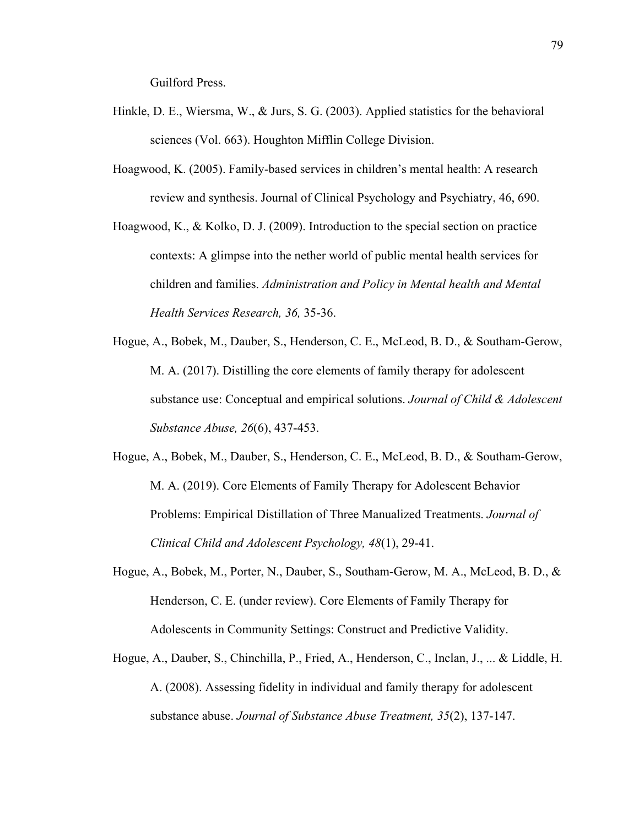Guilford Press.

- Hinkle, D. E., Wiersma, W., & Jurs, S. G. (2003). Applied statistics for the behavioral sciences (Vol. 663). Houghton Mifflin College Division.
- Hoagwood, K. (2005). Family-based services in children's mental health: A research review and synthesis. Journal of Clinical Psychology and Psychiatry, 46, 690.
- Hoagwood, K., & Kolko, D. J. (2009). Introduction to the special section on practice contexts: A glimpse into the nether world of public mental health services for children and families. *Administration and Policy in Mental health and Mental Health Services Research, 36,* 35-36.
- Hogue, A., Bobek, M., Dauber, S., Henderson, C. E., McLeod, B. D., & Southam-Gerow, M. A. (2017). Distilling the core elements of family therapy for adolescent substance use: Conceptual and empirical solutions. *Journal of Child & Adolescent Substance Abuse, 26*(6), 437-453.
- Hogue, A., Bobek, M., Dauber, S., Henderson, C. E., McLeod, B. D., & Southam-Gerow, M. A. (2019). Core Elements of Family Therapy for Adolescent Behavior Problems: Empirical Distillation of Three Manualized Treatments. *Journal of Clinical Child and Adolescent Psychology, 48*(1), 29-41.
- Hogue, A., Bobek, M., Porter, N., Dauber, S., Southam-Gerow, M. A., McLeod, B. D., & Henderson, C. E. (under review). Core Elements of Family Therapy for Adolescents in Community Settings: Construct and Predictive Validity.
- Hogue, A., Dauber, S., Chinchilla, P., Fried, A., Henderson, C., Inclan, J., ... & Liddle, H. A. (2008). Assessing fidelity in individual and family therapy for adolescent substance abuse. *Journal of Substance Abuse Treatment, 35*(2), 137-147.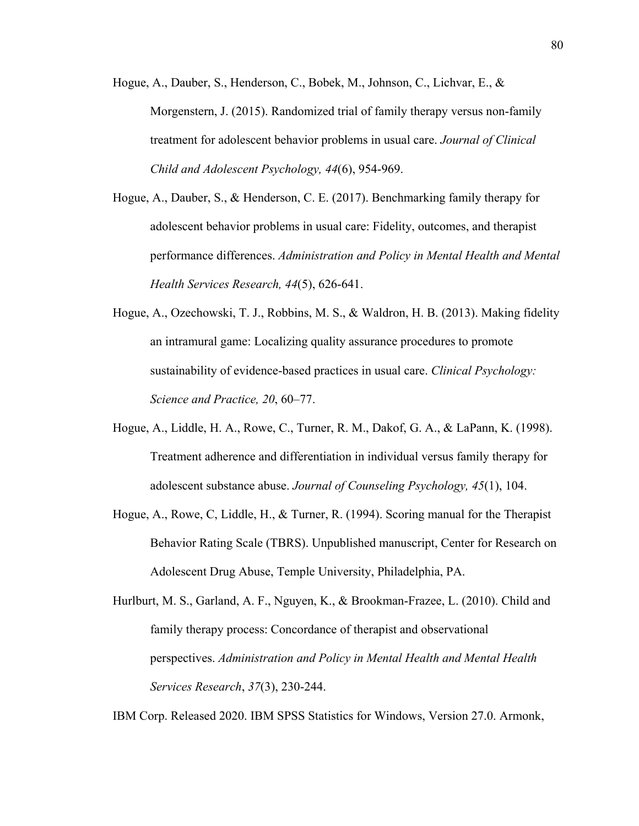- Hogue, A., Dauber, S., Henderson, C., Bobek, M., Johnson, C., Lichvar, E., & Morgenstern, J. (2015). Randomized trial of family therapy versus non-family treatment for adolescent behavior problems in usual care. *Journal of Clinical Child and Adolescent Psychology, 44*(6), 954-969.
- Hogue, A., Dauber, S., & Henderson, C. E. (2017). Benchmarking family therapy for adolescent behavior problems in usual care: Fidelity, outcomes, and therapist performance differences. *Administration and Policy in Mental Health and Mental Health Services Research, 44*(5), 626-641.
- Hogue, A., Ozechowski, T. J., Robbins, M. S., & Waldron, H. B. (2013). Making fidelity an intramural game: Localizing quality assurance procedures to promote sustainability of evidence-based practices in usual care. *Clinical Psychology: Science and Practice, 20*, 60–77.
- Hogue, A., Liddle, H. A., Rowe, C., Turner, R. M., Dakof, G. A., & LaPann, K. (1998). Treatment adherence and differentiation in individual versus family therapy for adolescent substance abuse. *Journal of Counseling Psychology, 45*(1), 104.
- Hogue, A., Rowe, C, Liddle, H., & Turner, R. (1994). Scoring manual for the Therapist Behavior Rating Scale (TBRS). Unpublished manuscript, Center for Research on Adolescent Drug Abuse, Temple University, Philadelphia, PA.

IBM Corp. Released 2020. IBM SPSS Statistics for Windows, Version 27.0. Armonk,

Hurlburt, M. S., Garland, A. F., Nguyen, K., & Brookman-Frazee, L. (2010). Child and family therapy process: Concordance of therapist and observational perspectives. *Administration and Policy in Mental Health and Mental Health Services Research*, *37*(3), 230-244.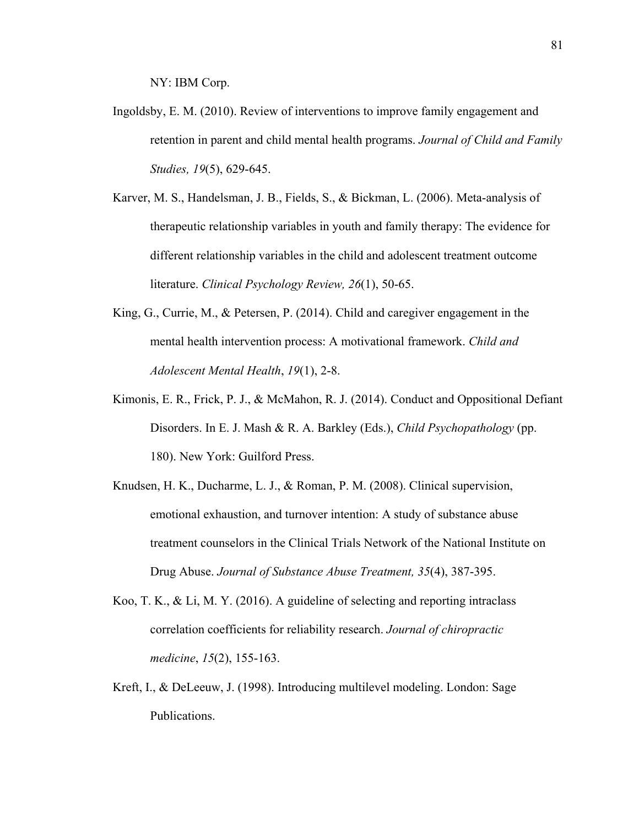NY: IBM Corp.

- Ingoldsby, E. M. (2010). Review of interventions to improve family engagement and retention in parent and child mental health programs. *Journal of Child and Family Studies, 19*(5), 629-645.
- Karver, M. S., Handelsman, J. B., Fields, S., & Bickman, L. (2006). Meta-analysis of therapeutic relationship variables in youth and family therapy: The evidence for different relationship variables in the child and adolescent treatment outcome literature. *Clinical Psychology Review, 26*(1), 50-65.
- King, G., Currie, M., & Petersen, P. (2014). Child and caregiver engagement in the mental health intervention process: A motivational framework. *Child and Adolescent Mental Health*, *19*(1), 2-8.
- Kimonis, E. R., Frick, P. J., & McMahon, R. J. (2014). Conduct and Oppositional Defiant Disorders. In E. J. Mash & R. A. Barkley (Eds.), *Child Psychopathology* (pp. 180). New York: Guilford Press.
- Knudsen, H. K., Ducharme, L. J., & Roman, P. M. (2008). Clinical supervision, emotional exhaustion, and turnover intention: A study of substance abuse treatment counselors in the Clinical Trials Network of the National Institute on Drug Abuse. *Journal of Substance Abuse Treatment, 35*(4), 387-395.
- Koo, T. K., & Li, M. Y. (2016). A guideline of selecting and reporting intraclass correlation coefficients for reliability research. *Journal of chiropractic medicine*, *15*(2), 155-163.
- Kreft, I., & DeLeeuw, J. (1998). Introducing multilevel modeling. London: Sage Publications.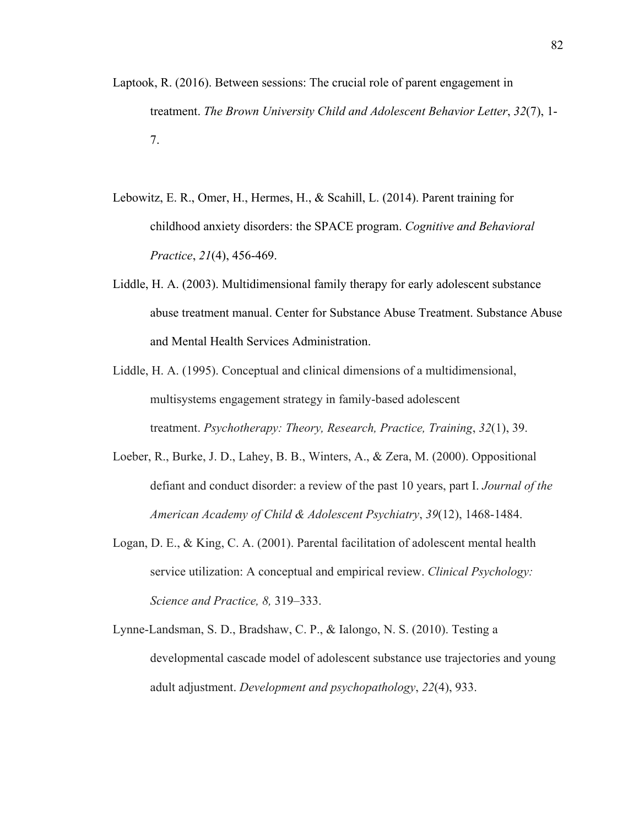- Laptook, R. (2016). Between sessions: The crucial role of parent engagement in treatment. *The Brown University Child and Adolescent Behavior Letter*, *32*(7), 1- 7.
- Lebowitz, E. R., Omer, H., Hermes, H., & Scahill, L. (2014). Parent training for childhood anxiety disorders: the SPACE program. *Cognitive and Behavioral Practice*, *21*(4), 456-469.
- Liddle, H. A. (2003). Multidimensional family therapy for early adolescent substance abuse treatment manual. Center for Substance Abuse Treatment. Substance Abuse and Mental Health Services Administration.
- Liddle, H. A. (1995). Conceptual and clinical dimensions of a multidimensional, multisystems engagement strategy in family-based adolescent treatment. *Psychotherapy: Theory, Research, Practice, Training*, *32*(1), 39.
- Loeber, R., Burke, J. D., Lahey, B. B., Winters, A., & Zera, M. (2000). Oppositional defiant and conduct disorder: a review of the past 10 years, part I. *Journal of the American Academy of Child & Adolescent Psychiatry*, *39*(12), 1468-1484.
- Logan, D. E., & King, C. A. (2001). Parental facilitation of adolescent mental health service utilization: A conceptual and empirical review. *Clinical Psychology: Science and Practice, 8,* 319–333.
- Lynne-Landsman, S. D., Bradshaw, C. P., & Ialongo, N. S. (2010). Testing a developmental cascade model of adolescent substance use trajectories and young adult adjustment. *Development and psychopathology*, *22*(4), 933.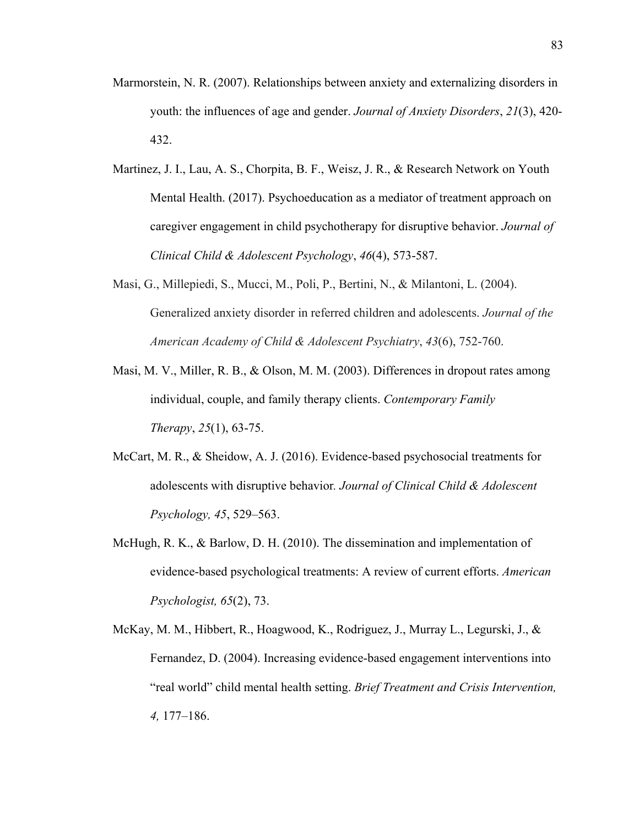- Marmorstein, N. R. (2007). Relationships between anxiety and externalizing disorders in youth: the influences of age and gender. *Journal of Anxiety Disorders*, *21*(3), 420- 432.
- Martinez, J. I., Lau, A. S., Chorpita, B. F., Weisz, J. R., & Research Network on Youth Mental Health. (2017). Psychoeducation as a mediator of treatment approach on caregiver engagement in child psychotherapy for disruptive behavior. *Journal of Clinical Child & Adolescent Psychology*, *46*(4), 573-587.
- Masi, G., Millepiedi, S., Mucci, M., Poli, P., Bertini, N., & Milantoni, L. (2004). Generalized anxiety disorder in referred children and adolescents. *Journal of the American Academy of Child & Adolescent Psychiatry*, *43*(6), 752-760.
- Masi, M. V., Miller, R. B., & Olson, M. M. (2003). Differences in dropout rates among individual, couple, and family therapy clients. *Contemporary Family Therapy*, *25*(1), 63-75.
- McCart, M. R., & Sheidow, A. J. (2016). Evidence-based psychosocial treatments for adolescents with disruptive behavior*. Journal of Clinical Child & Adolescent Psychology, 45*, 529–563.
- McHugh, R. K., & Barlow, D. H. (2010). The dissemination and implementation of evidence-based psychological treatments: A review of current efforts. *American Psychologist, 65*(2), 73.
- McKay, M. M., Hibbert, R., Hoagwood, K., Rodriguez, J., Murray L., Legurski, J., & Fernandez, D. (2004). Increasing evidence-based engagement interventions into "real world" child mental health setting. *Brief Treatment and Crisis Intervention, 4,* 177–186.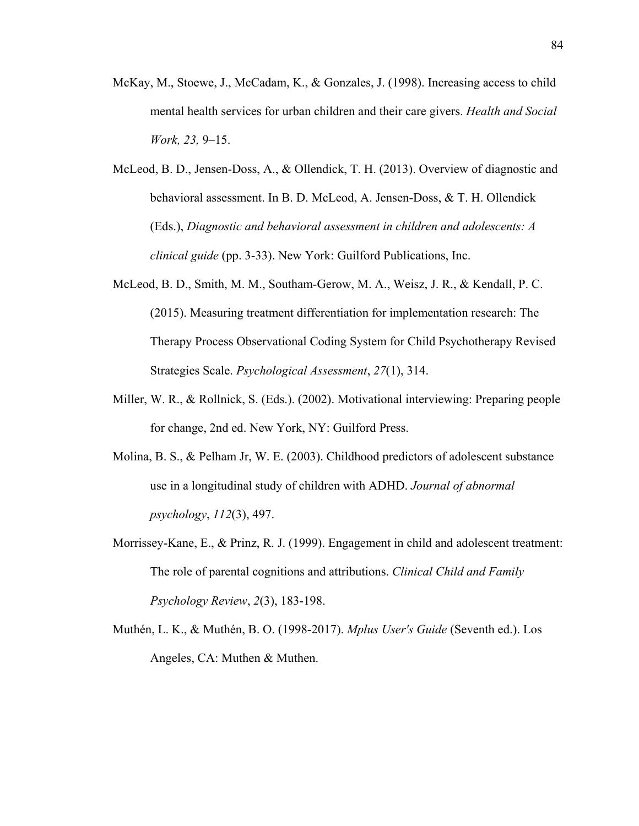- McKay, M., Stoewe, J., McCadam, K., & Gonzales, J. (1998). Increasing access to child mental health services for urban children and their care givers. *Health and Social Work, 23,* 9–15.
- McLeod, B. D., Jensen-Doss, A., & Ollendick, T. H. (2013). Overview of diagnostic and behavioral assessment. In B. D. McLeod, A. Jensen-Doss, & T. H. Ollendick (Eds.), *Diagnostic and behavioral assessment in children and adolescents: A clinical guide* (pp. 3-33). New York: Guilford Publications, Inc.
- McLeod, B. D., Smith, M. M., Southam-Gerow, M. A., Weisz, J. R., & Kendall, P. C. (2015). Measuring treatment differentiation for implementation research: The Therapy Process Observational Coding System for Child Psychotherapy Revised Strategies Scale. *Psychological Assessment*, *27*(1), 314.
- Miller, W. R., & Rollnick, S. (Eds.). (2002). Motivational interviewing: Preparing people for change, 2nd ed. New York, NY: Guilford Press.
- Molina, B. S., & Pelham Jr, W. E. (2003). Childhood predictors of adolescent substance use in a longitudinal study of children with ADHD. *Journal of abnormal psychology*, *112*(3), 497.
- Morrissey-Kane, E., & Prinz, R. J. (1999). Engagement in child and adolescent treatment: The role of parental cognitions and attributions. *Clinical Child and Family Psychology Review*, *2*(3), 183-198.
- Muthén, L. K., & Muthén, B. O. (1998-2017). *Mplus User's Guide* (Seventh ed.). Los Angeles, CA: Muthen & Muthen.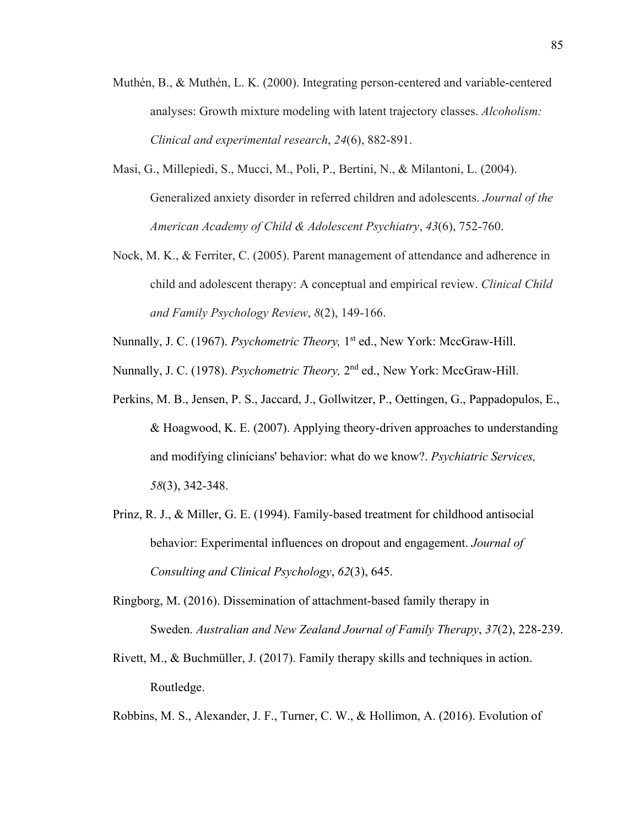- Muthén, B., & Muthén, L. K. (2000). Integrating person-centered and variable-centered analyses: Growth mixture modeling with latent trajectory classes. *Alcoholism: Clinical and experimental research*, *24*(6), 882-891.
- Masi, G., Millepiedi, S., Mucci, M., Poli, P., Bertini, N., & Milantoni, L. (2004). Generalized anxiety disorder in referred children and adolescents. *Journal of the American Academy of Child & Adolescent Psychiatry*, *43*(6), 752-760.
- Nock, M. K., & Ferriter, C. (2005). Parent management of attendance and adherence in child and adolescent therapy: A conceptual and empirical review. *Clinical Child and Family Psychology Review*, *8*(2), 149-166.
- Nunnally, J. C. (1967). *Psychometric Theory,* 1st ed., New York: MccGraw-Hill.
- Nunnally, J. C. (1978). *Psychometric Theory,* 2nd ed., New York: MccGraw-Hill.
- Perkins, M. B., Jensen, P. S., Jaccard, J., Gollwitzer, P., Oettingen, G., Pappadopulos, E., & Hoagwood, K. E. (2007). Applying theory-driven approaches to understanding and modifying clinicians' behavior: what do we know?. *Psychiatric Services, 58*(3), 342-348.
- Prinz, R. J., & Miller, G. E. (1994). Family-based treatment for childhood antisocial behavior: Experimental influences on dropout and engagement. *Journal of Consulting and Clinical Psychology*, *62*(3), 645.
- Ringborg, M. (2016). Dissemination of attachment‐based family therapy in Sweden. *Australian and New Zealand Journal of Family Therapy*, *37*(2), 228-239.
- Rivett, M., & Buchmüller, J. (2017). Family therapy skills and techniques in action. Routledge.
- Robbins, M. S., Alexander, J. F., Turner, C. W., & Hollimon, A. (2016). Evolution of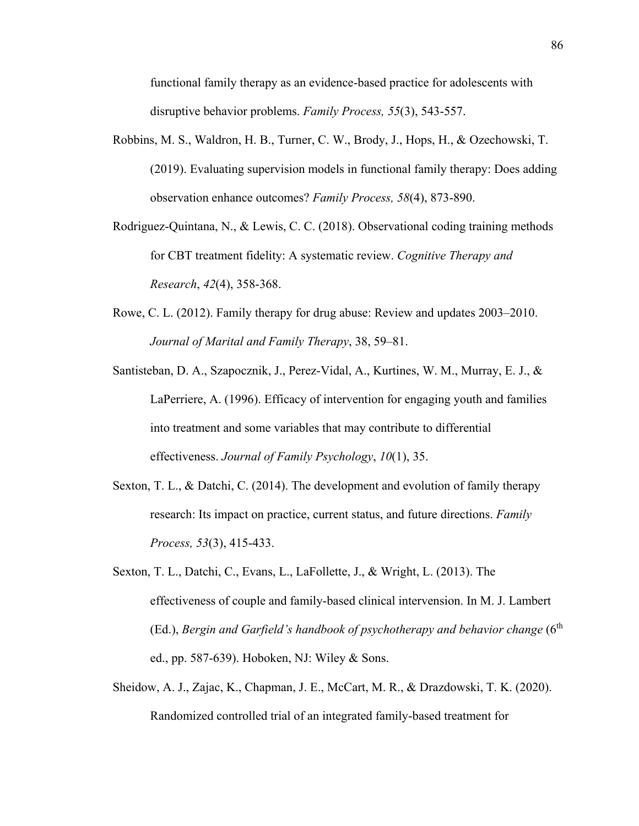functional family therapy as an evidence‐based practice for adolescents with disruptive behavior problems. *Family Process, 55*(3), 543-557.

- Robbins, M. S., Waldron, H. B., Turner, C. W., Brody, J., Hops, H., & Ozechowski, T. (2019). Evaluating supervision models in functional family therapy: Does adding observation enhance outcomes? *Family Process, 58*(4), 873-890.
- Rodriguez-Quintana, N., & Lewis, C. C. (2018). Observational coding training methods for CBT treatment fidelity: A systematic review. *Cognitive Therapy and Research*, *42*(4), 358-368.
- Rowe, C. L. (2012). Family therapy for drug abuse: Review and updates 2003–2010. *Journal of Marital and Family Therapy*, 38, 59–81.
- Santisteban, D. A., Szapocznik, J., Perez-Vidal, A., Kurtines, W. M., Murray, E. J., & LaPerriere, A. (1996). Efficacy of intervention for engaging youth and families into treatment and some variables that may contribute to differential effectiveness. *Journal of Family Psychology*, *10*(1), 35.
- Sexton, T. L., & Datchi, C. (2014). The development and evolution of family therapy research: Its impact on practice, current status, and future directions. *Family Process, 53*(3), 415-433.
- Sexton, T. L., Datchi, C., Evans, L., LaFollette, J., & Wright, L. (2013). The effectiveness of couple and family-based clinical intervension. In M. J. Lambert (Ed.), *Bergin and Garfield's handbook of psychotherapy and behavior change* (6<sup>th</sup>) ed., pp. 587-639). Hoboken, NJ: Wiley & Sons.
- Sheidow, A. J., Zajac, K., Chapman, J. E., McCart, M. R., & Drazdowski, T. K. (2020). Randomized controlled trial of an integrated family-based treatment for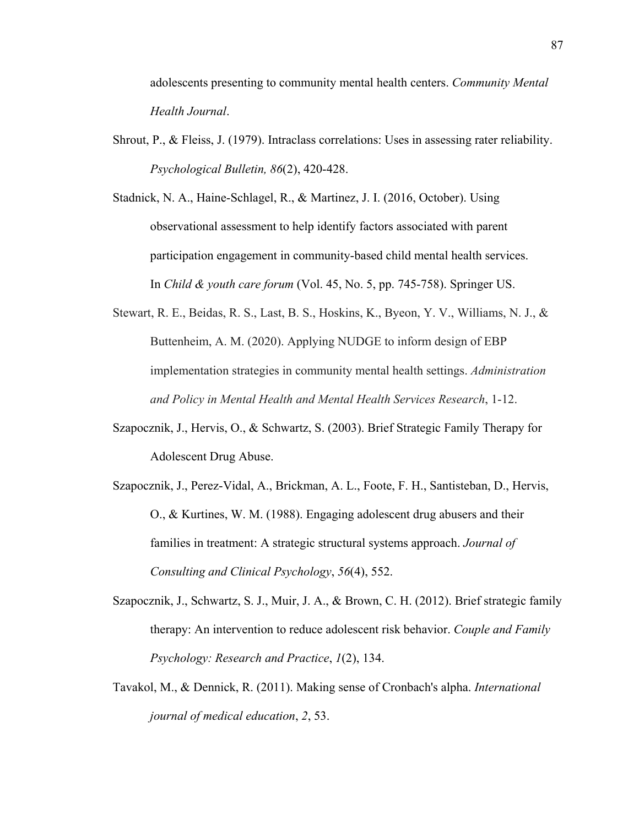adolescents presenting to community mental health centers. *Community Mental Health Journal*.

Shrout, P., & Fleiss, J. (1979). Intraclass correlations: Uses in assessing rater reliability. *Psychological Bulletin, 86*(2), 420-428.

Stadnick, N. A., Haine-Schlagel, R., & Martinez, J. I. (2016, October). Using observational assessment to help identify factors associated with parent participation engagement in community-based child mental health services. In *Child & youth care forum* (Vol. 45, No. 5, pp. 745-758). Springer US.

- Stewart, R. E., Beidas, R. S., Last, B. S., Hoskins, K., Byeon, Y. V., Williams, N. J., & Buttenheim, A. M. (2020). Applying NUDGE to inform design of EBP implementation strategies in community mental health settings. *Administration and Policy in Mental Health and Mental Health Services Research*, 1-12.
- Szapocznik, J., Hervis, O., & Schwartz, S. (2003). Brief Strategic Family Therapy for Adolescent Drug Abuse.
- Szapocznik, J., Perez-Vidal, A., Brickman, A. L., Foote, F. H., Santisteban, D., Hervis, O., & Kurtines, W. M. (1988). Engaging adolescent drug abusers and their families in treatment: A strategic structural systems approach. *Journal of Consulting and Clinical Psychology*, *56*(4), 552.
- Szapocznik, J., Schwartz, S. J., Muir, J. A., & Brown, C. H. (2012). Brief strategic family therapy: An intervention to reduce adolescent risk behavior. *Couple and Family Psychology: Research and Practice*, *1*(2), 134.
- Tavakol, M., & Dennick, R. (2011). Making sense of Cronbach's alpha. *International journal of medical education*, *2*, 53.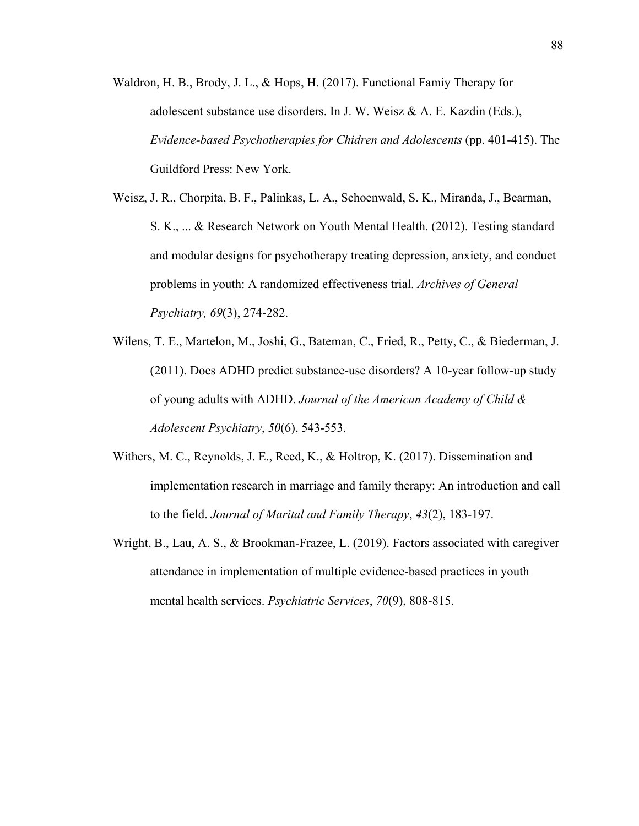- Waldron, H. B., Brody, J. L., & Hops, H. (2017). Functional Famiy Therapy for adolescent substance use disorders. In J. W. Weisz & A. E. Kazdin (Eds.), *Evidence-based Psychotherapies for Chidren and Adolescents* (pp. 401-415). The Guildford Press: New York.
- Weisz, J. R., Chorpita, B. F., Palinkas, L. A., Schoenwald, S. K., Miranda, J., Bearman, S. K., ... & Research Network on Youth Mental Health. (2012). Testing standard and modular designs for psychotherapy treating depression, anxiety, and conduct problems in youth: A randomized effectiveness trial. *Archives of General Psychiatry, 69*(3), 274-282.
- Wilens, T. E., Martelon, M., Joshi, G., Bateman, C., Fried, R., Petty, C., & Biederman, J. (2011). Does ADHD predict substance-use disorders? A 10-year follow-up study of young adults with ADHD. *Journal of the American Academy of Child & Adolescent Psychiatry*, *50*(6), 543-553.
- Withers, M. C., Reynolds, J. E., Reed, K., & Holtrop, K. (2017). Dissemination and implementation research in marriage and family therapy: An introduction and call to the field. *Journal of Marital and Family Therapy*, *43*(2), 183-197.
- Wright, B., Lau, A. S., & Brookman-Frazee, L. (2019). Factors associated with caregiver attendance in implementation of multiple evidence-based practices in youth mental health services. *Psychiatric Services*, *70*(9), 808-815.